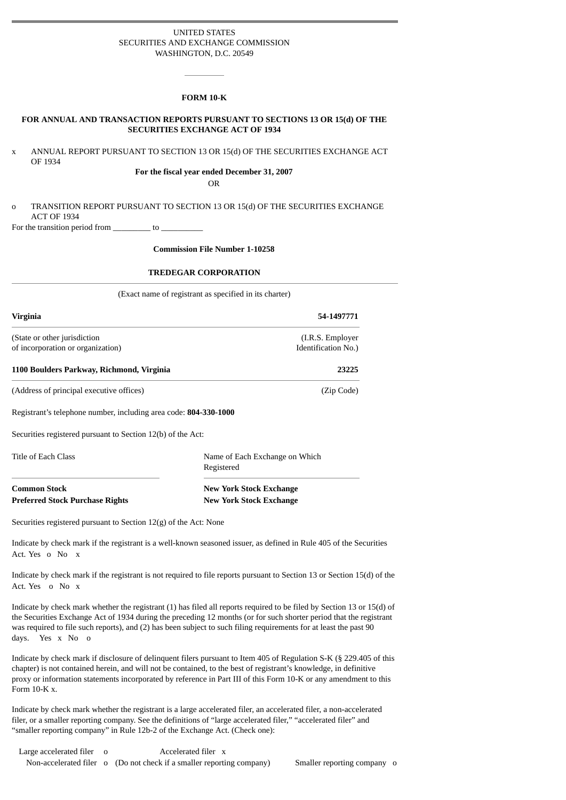## UNITED STATES SECURITIES AND EXCHANGE COMMISSION WASHINGTON, D.C. 20549

### **FORM 10-K**

## **FOR ANNUAL AND TRANSACTION REPORTS PURSUANT TO SECTIONS 13 OR 15(d) OF THE SECURITIES EXCHANGE ACT OF 1934**

x ANNUAL REPORT PURSUANT TO SECTION 13 OR 15(d) OF THE SECURITIES EXCHANGE ACT OF 1934

**For the fiscal year ended December 31, 2007**

OR

o TRANSITION REPORT PURSUANT TO SECTION 13 OR 15(d) OF THE SECURITIES EXCHANGE ACT OF 1934

For the transition period from \_\_\_\_\_\_\_\_\_\_\_ to \_

## **Commission File Number 1-10258**

## **TREDEGAR CORPORATION**

(Exact name of registrant as specified in its charter)

| Virginia                                                          | 54-1497771                               |
|-------------------------------------------------------------------|------------------------------------------|
| (State or other jurisdiction<br>of incorporation or organization) | (I.R.S. Employer)<br>Identification No.) |
| 1100 Boulders Parkway, Richmond, Virginia                         | 23225                                    |
| (Address of principal executive offices)                          | (Zip Code)                               |

Registrant's telephone number, including area code: **804-330-1000**

Securities registered pursuant to Section 12(b) of the Act:

Title of Each Class Name of Each Exchange on Which

Registered

**Common Stock New York Stock Exchange Preferred Stock Purchase Rights New York Stock Exchange**

Securities registered pursuant to Section 12(g) of the Act: None

Indicate by check mark if the registrant is a well-known seasoned issuer, as defined in Rule 405 of the Securities Act. Yes o No x

Indicate by check mark if the registrant is not required to file reports pursuant to Section 13 or Section 15(d) of the Act. Yes o No x

Indicate by check mark whether the registrant (1) has filed all reports required to be filed by Section 13 or 15(d) of the Securities Exchange Act of 1934 during the preceding 12 months (or for such shorter period that the registrant was required to file such reports), and (2) has been subject to such filing requirements for at least the past 90 days. Yes x No o

Indicate by check mark if disclosure of delinquent filers pursuant to Item 405 of Regulation S-K (§ 229.405 of this chapter) is not contained herein, and will not be contained, to the best of registrant's knowledge, in definitive proxy or information statements incorporated by reference in Part III of this Form 10-K or any amendment to this Form 10-K x.

Indicate by check mark whether the registrant is a large accelerated filer, an accelerated filer, a non-accelerated filer, or a smaller reporting company. See the definitions of "large accelerated filer," "accelerated filer" and "smaller reporting company" in Rule 12b-2 of the Exchange Act. (Check one):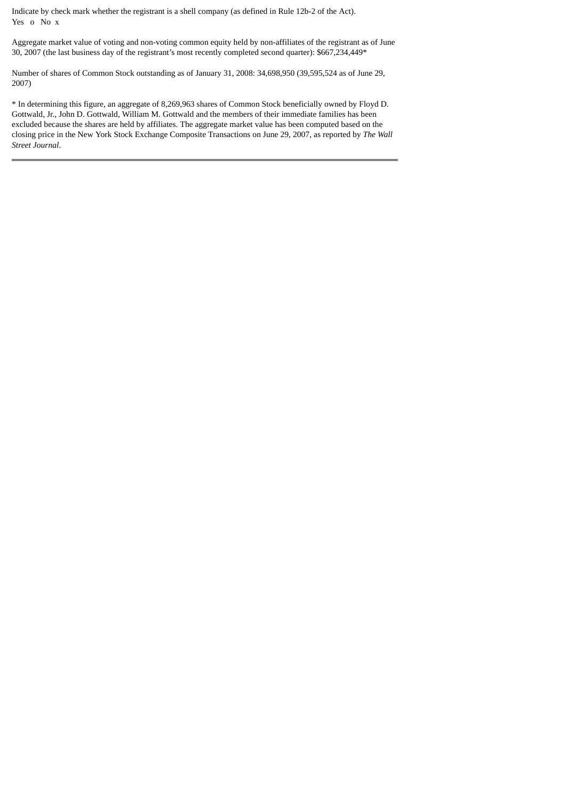Indicate by check mark whether the registrant is a shell company (as defined in Rule 12b-2 of the Act). Yes o No x

Aggregate market value of voting and non-voting common equity held by non-affiliates of the registrant as of June 30, 2007 (the last business day of the registrant's most recently completed second quarter): \$667,234,449\*

Number of shares of Common Stock outstanding as of January 31, 2008: 34,698,950 (39,595,524 as of June 29, 2007)

\* In determining this figure, an aggregate of 8,269,963 shares of Common Stock beneficially owned by Floyd D. Gottwald, Jr., John D. Gottwald, William M. Gottwald and the members of their immediate families has been excluded because the shares are held by affiliates. The aggregate market value has been computed based on the closing price in the New York Stock Exchange Composite Transactions on June 29, 2007, as reported by *The Wall Street Journal*.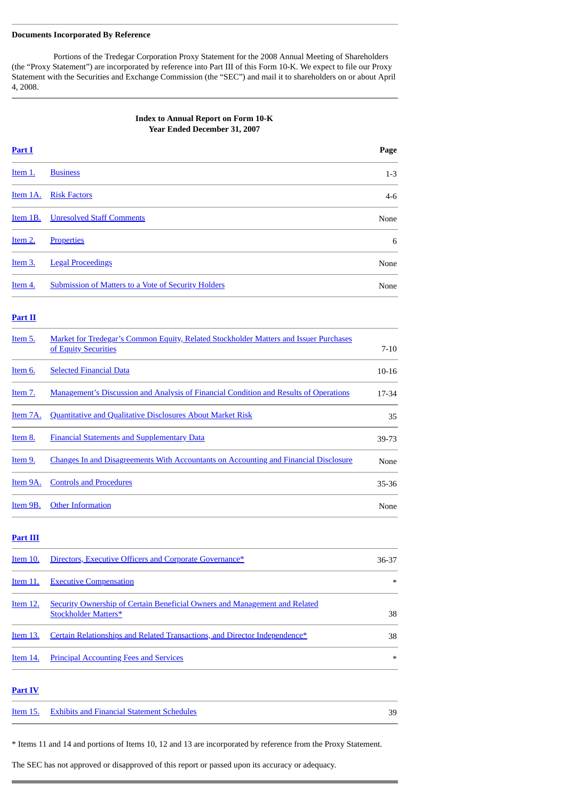## **Documents Incorporated By Reference**

 Portions of the Tredegar Corporation Proxy Statement for the 2008 Annual Meeting of Shareholders (the "Proxy Statement") are incorporated by reference into Part III of this Form 10-K. We expect to file our Proxy Statement with the Securities and Exchange Commission (the "SEC") and mail it to shareholders on or about April 4, 2008.

## **Index to Annual Report on Form 10-K Year Ended December 31, 2007**

| Part I         |                                                            | Page    |
|----------------|------------------------------------------------------------|---------|
| Item 1.        | <b>Business</b>                                            | $1 - 3$ |
| Item 1A.       | <b>Risk Factors</b>                                        | $4 - 6$ |
| Item 1B.       | <b>Unresolved Staff Comments</b>                           | None    |
| Item 2.        | <b>Properties</b>                                          | 6       |
| <b>Item 3.</b> | <b>Legal Proceedings</b>                                   | None    |
| Item 4.        | <b>Submission of Matters to a Vote of Security Holders</b> | None    |

# **[Part II](#page-9-1)**

| Item 5.  | Market for Tredegar's Common Equity, Related Stockholder Matters and Issuer Purchases<br>of Equity Securities | $7 - 10$  |
|----------|---------------------------------------------------------------------------------------------------------------|-----------|
| Item 6.  | <b>Selected Financial Data</b>                                                                                | $10 - 16$ |
| Item 7.  | Management's Discussion and Analysis of Financial Condition and Results of Operations                         | 17-34     |
| Item 7A. | <b>Quantitative and Qualitative Disclosures About Market Risk</b>                                             | 35        |
| Item 8.  | <b>Financial Statements and Supplementary Data</b>                                                            | 39-73     |
| Item 9.  | Changes In and Disagreements With Accountants on Accounting and Financial Disclosure                          | None      |
| Item 9A. | <b>Controls and Procedures</b>                                                                                | 35-36     |
| Item 9B. | <b>Other Information</b>                                                                                      | None      |

# **[Part III](#page-39-1)**

| Item $10.$     | Directors, Executive Officers and Corporate Governance*                                            | 36-37  |
|----------------|----------------------------------------------------------------------------------------------------|--------|
| Item $11.$     | <b>Executive Compensation</b>                                                                      | $\ast$ |
| Item 12.       | Security Ownership of Certain Beneficial Owners and Management and Related<br>Stockholder Matters* | 38     |
| Item 13.       | Certain Relationships and Related Transactions, and Director Independence*                         | 38     |
| Item 14.       | <b>Principal Accounting Fees and Services</b>                                                      | $\ast$ |
| <b>Part IV</b> |                                                                                                    |        |

[Item 15.](#page-42-1) [Exhibits and Financial Statement Schedules](#page-42-1) 39

\* Items 11 and 14 and portions of Items 10, 12 and 13 are incorporated by reference from the Proxy Statement.

The SEC has not approved or disapproved of this report or passed upon its accuracy or adequacy.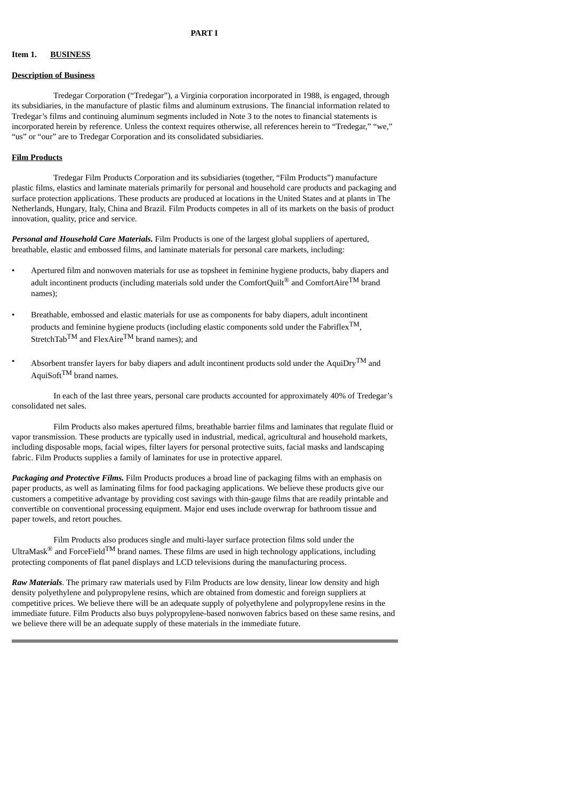#### **PART I**

### <span id="page-3-1"></span><span id="page-3-0"></span>**Item 1. BUSINESS**

#### **Description of Business**

 Tredegar Corporation ("Tredegar"), a Virginia corporation incorporated in 1988, is engaged, through its subsidiaries, in the manufacture of plastic films and aluminum extrusions. The financial information related to Tredegar's films and continuing aluminum segments included in Note 3 to the notes to financial statements is incorporated herein by reference. Unless the context requires otherwise, all references herein to "Tredegar," "we," "us" or "our" are to Tredegar Corporation and its consolidated subsidiaries.

## **Film Products**

 Tredegar Film Products Corporation and its subsidiaries (together, "Film Products") manufacture plastic films, elastics and laminate materials primarily for personal and household care products and packaging and surface protection applications. These products are produced at locations in the United States and at plants in The Netherlands, Hungary, Italy, China and Brazil. Film Products competes in all of its markets on the basis of product innovation, quality, price and service.

*Personal and Household Care Materials.* Film Products is one of the largest global suppliers of apertured, breathable, elastic and embossed films, and laminate materials for personal care markets, including:

- Apertured film and nonwoven materials for use as topsheet in feminine hygiene products, baby diapers and adult incontinent products (including materials sold under the ComfortQuilt<sup>®</sup> and ComfortAire<sup>TM</sup> brand names);
- Breathable, embossed and elastic materials for use as components for baby diapers, adult incontinent products and feminine hygiene products (including elastic components sold under the Fabriflex<sup>TM</sup>, StretchTab<sup>TM</sup> and FlexAire<sup>TM</sup> brand names); and
- Absorbent transfer layers for baby diapers and adult incontinent products sold under the AquiDry<sup>TM</sup> and AquiSoft $^{TM}$  brand names.

 In each of the last three years, personal care products accounted for approximately 40% of Tredegar's consolidated net sales.

 Film Products also makes apertured films, breathable barrier films and laminates that regulate fluid or vapor transmission. These products are typically used in industrial, medical, agricultural and household markets, including disposable mops, facial wipes, filter layers for personal protective suits, facial masks and landscaping fabric. Film Products supplies a family of laminates for use in protective apparel.

*Packaging and Protective Films.* Film Products produces a broad line of packaging films with an emphasis on paper products, as well as laminating films for food packaging applications. We believe these products give our customers a competitive advantage by providing cost savings with thin-gauge films that are readily printable and convertible on conventional processing equipment. Major end uses include overwrap for bathroom tissue and paper towels, and retort pouches.

 Film Products also produces single and multi-layer surface protection films sold under the UltraMask<sup>®</sup> and ForceField<sup>TM</sup> brand names. These films are used in high technology applications, including protecting components of flat panel displays and LCD televisions during the manufacturing process.

*Raw Materials*. The primary raw materials used by Film Products are low density, linear low density and high density polyethylene and polypropylene resins, which are obtained from domestic and foreign suppliers at competitive prices. We believe there will be an adequate supply of polyethylene and polypropylene resins in the immediate future. Film Products also buys polypropylene-based nonwoven fabrics based on these same resins, and we believe there will be an adequate supply of these materials in the immediate future.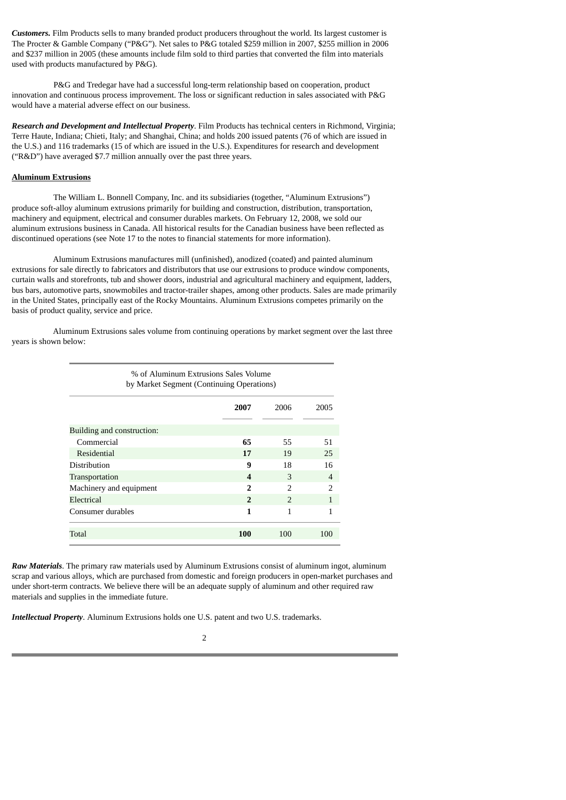*Customers.* Film Products sells to many branded product producers throughout the world. Its largest customer is The Procter & Gamble Company ("P&G"). Net sales to P&G totaled \$259 million in 2007, \$255 million in 2006 and \$237 million in 2005 (these amounts include film sold to third parties that converted the film into materials used with products manufactured by P&G).

 P&G and Tredegar have had a successful long-term relationship based on cooperation, product innovation and continuous process improvement. The loss or significant reduction in sales associated with P&G would have a material adverse effect on our business.

*Research and Development and Intellectual Property*. Film Products has technical centers in Richmond, Virginia; Terre Haute, Indiana; Chieti, Italy; and Shanghai, China; and holds 200 issued patents (76 of which are issued in the U.S.) and 116 trademarks (15 of which are issued in the U.S.). Expenditures for research and development ("R&D") have averaged \$7.7 million annually over the past three years.

### **Aluminum Extrusions**

 The William L. Bonnell Company, Inc. and its subsidiaries (together, "Aluminum Extrusions") produce soft-alloy aluminum extrusions primarily for building and construction, distribution, transportation, machinery and equipment, electrical and consumer durables markets. On February 12, 2008, we sold our aluminum extrusions business in Canada. All historical results for the Canadian business have been reflected as discontinued operations (see Note 17 to the notes to financial statements for more information).

 Aluminum Extrusions manufactures mill (unfinished), anodized (coated) and painted aluminum extrusions for sale directly to fabricators and distributors that use our extrusions to produce window components, curtain walls and storefronts, tub and shower doors, industrial and agricultural machinery and equipment, ladders, bus bars, automotive parts, snowmobiles and tractor-trailer shapes, among other products. Sales are made primarily in the United States, principally east of the Rocky Mountains. Aluminum Extrusions competes primarily on the basis of product quality, service and price.

 Aluminum Extrusions sales volume from continuing operations by market segment over the last three years is shown below:

| % of Aluminum Extrusions Sales Volume<br>by Market Segment (Continuing Operations) |                  |               |                          |  |  |  |  |  |
|------------------------------------------------------------------------------------|------------------|---------------|--------------------------|--|--|--|--|--|
|                                                                                    | 2007             | 2006          | 2005                     |  |  |  |  |  |
| Building and construction:                                                         |                  |               |                          |  |  |  |  |  |
| Commercial                                                                         | 65               | 55.           | 51                       |  |  |  |  |  |
| Residential                                                                        | 17               | 19            | 25                       |  |  |  |  |  |
| Distribution                                                                       | 9                | 18            | 16                       |  |  |  |  |  |
| Transportation                                                                     | $\boldsymbol{A}$ | 3             | $\overline{\mathcal{A}}$ |  |  |  |  |  |
| Machinery and equipment                                                            | 2                | $\mathcal{P}$ | $\mathcal{P}$            |  |  |  |  |  |
| Electrical                                                                         | $\mathcal{P}$    | $\mathcal{D}$ | $\mathbf{1}$             |  |  |  |  |  |
| Consumer durables                                                                  | 1                | 1             | 1                        |  |  |  |  |  |
| Total                                                                              | <b>100</b>       | 100           | 100                      |  |  |  |  |  |

*Raw Materials*. The primary raw materials used by Aluminum Extrusions consist of aluminum ingot, aluminum scrap and various alloys, which are purchased from domestic and foreign producers in open-market purchases and under short-term contracts. We believe there will be an adequate supply of aluminum and other required raw materials and supplies in the immediate future.

*Intellectual Property*. Aluminum Extrusions holds one U.S. patent and two U.S. trademarks.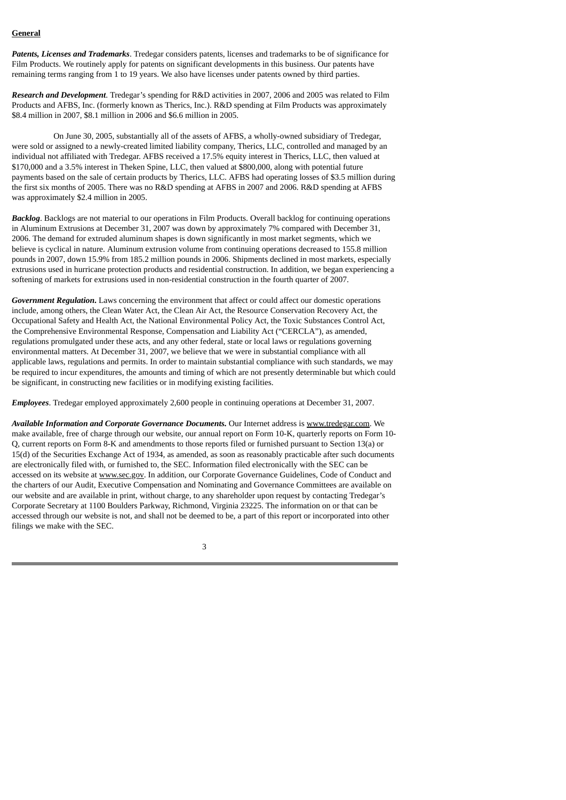## **General**

*Patents, Licenses and Trademarks*. Tredegar considers patents, licenses and trademarks to be of significance for Film Products. We routinely apply for patents on significant developments in this business. Our patents have remaining terms ranging from 1 to 19 years. We also have licenses under patents owned by third parties.

*Research and Development*. Tredegar's spending for R&D activities in 2007, 2006 and 2005 was related to Film Products and AFBS, Inc. (formerly known as Therics, Inc.). R&D spending at Film Products was approximately \$8.4 million in 2007, \$8.1 million in 2006 and \$6.6 million in 2005.

 On June 30, 2005, substantially all of the assets of AFBS, a wholly-owned subsidiary of Tredegar, were sold or assigned to a newly-created limited liability company, Therics, LLC, controlled and managed by an individual not affiliated with Tredegar. AFBS received a 17.5% equity interest in Therics, LLC, then valued at \$170,000 and a 3.5% interest in Theken Spine, LLC, then valued at \$800,000, along with potential future payments based on the sale of certain products by Therics, LLC. AFBS had operating losses of \$3.5 million during the first six months of 2005. There was no R&D spending at AFBS in 2007 and 2006. R&D spending at AFBS was approximately \$2.4 million in 2005.

*Backlog*. Backlogs are not material to our operations in Film Products. Overall backlog for continuing operations in Aluminum Extrusions at December 31, 2007 was down by approximately 7% compared with December 31, 2006. The demand for extruded aluminum shapes is down significantly in most market segments, which we believe is cyclical in nature. Aluminum extrusion volume from continuing operations decreased to 155.8 million pounds in 2007, down 15.9% from 185.2 million pounds in 2006. Shipments declined in most markets, especially extrusions used in hurricane protection products and residential construction. In addition, we began experiencing a softening of markets for extrusions used in non-residential construction in the fourth quarter of 2007.

*Government Regulation***.** Laws concerning the environment that affect or could affect our domestic operations include, among others, the Clean Water Act, the Clean Air Act, the Resource Conservation Recovery Act, the Occupational Safety and Health Act, the National Environmental Policy Act, the Toxic Substances Control Act, the Comprehensive Environmental Response, Compensation and Liability Act ("CERCLA"), as amended, regulations promulgated under these acts, and any other federal, state or local laws or regulations governing environmental matters. At December 31, 2007, we believe that we were in substantial compliance with all applicable laws, regulations and permits. In order to maintain substantial compliance with such standards, we may be required to incur expenditures, the amounts and timing of which are not presently determinable but which could be significant, in constructing new facilities or in modifying existing facilities.

*Employees*. Tredegar employed approximately 2,600 people in continuing operations at December 31, 2007.

*Available Information and Corporate Governance Documents.* Our Internet address is www.tredegar.com. We make available, free of charge through our website, our annual report on Form 10-K, quarterly reports on Form 10- Q, current reports on Form 8-K and amendments to those reports filed or furnished pursuant to Section 13(a) or 15(d) of the Securities Exchange Act of 1934, as amended, as soon as reasonably practicable after such documents are electronically filed with, or furnished to, the SEC. Information filed electronically with the SEC can be accessed on its website at www.sec.gov. In addition, our Corporate Governance Guidelines, Code of Conduct and the charters of our Audit, Executive Compensation and Nominating and Governance Committees are available on our website and are available in print, without charge, to any shareholder upon request by contacting Tredegar's Corporate Secretary at 1100 Boulders Parkway, Richmond, Virginia 23225. The information on or that can be accessed through our website is not, and shall not be deemed to be, a part of this report or incorporated into other filings we make with the SEC.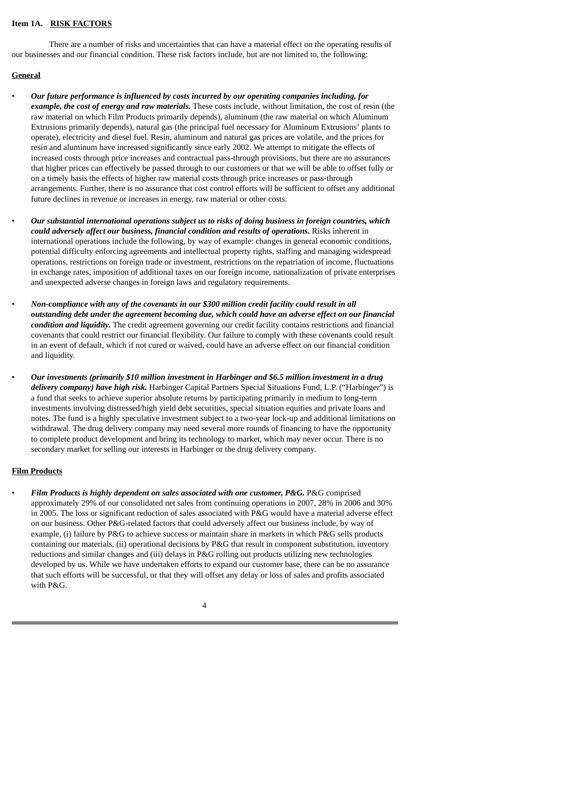### <span id="page-6-0"></span>**Item 1A. RISK FACTORS**

 There are a number of risks and uncertainties that can have a material effect on the operating results of our businesses and our financial condition. These risk factors include, but are not limited to, the following:

## **General**

- *Our future performance is influenced by costs incurred by our operating companies including, for example, the cost of energy and raw materials.* These costs include, without limitation, the cost of resin (the raw material on which Film Products primarily depends), aluminum (the raw material on which Aluminum Extrusions primarily depends), natural gas (the principal fuel necessary for Aluminum Extrusions' plants to operate), electricity and diesel fuel. Resin, aluminum and natural gas prices are volatile, and the prices for resin and aluminum have increased significantly since early 2002. We attempt to mitigate the effects of increased costs through price increases and contractual pass-through provisions, but there are no assurances that higher prices can effectively be passed through to our customers or that we will be able to offset fully or on a timely basis the effects of higher raw material costs through price increases or pass-through arrangements. Further, there is no assurance that cost control efforts will be sufficient to offset any additional future declines in revenue or increases in energy, raw material or other costs.
- *Our substantial international operations subject us to risks of doing business in foreign countries, which could adversely affect our business, financial condition and results of operations.* Risks inherent in international operations include the following, by way of example: changes in general economic conditions, potential difficulty enforcing agreements and intellectual property rights, staffing and managing widespread operations, restrictions on foreign trade or investment, restrictions on the repatriation of income, fluctuations in exchange rates, imposition of additional taxes on our foreign income, nationalization of private enterprises and unexpected adverse changes in foreign laws and regulatory requirements.
- *Non-compliance with any of the covenants in our \$300 million credit facility could result in all outstanding debt under the agreement becoming due, which could have an adverse effect on our financial condition and liquidity.* The credit agreement governing our credit facility contains restrictions and financial covenants that could restrict our financial flexibility. Our failure to comply with these covenants could result in an event of default, which if not cured or waived, could have an adverse effect on our financial condition and liquidity.
- *Our investments (primarily \$10 million investment in Harbinger and \$6.5 million investment in a drug delivery company) have high risk.* Harbinger Capital Partners Special Situations Fund, L.P. ("Harbinger") is a fund that seeks to achieve superior absolute returns by participating primarily in medium to long-term investments involving distressed/high yield debt securities, special situation equities and private loans and notes. The fund is a highly speculative investment subject to a two-year lock-up and additional limitations on withdrawal. The drug delivery company may need several more rounds of financing to have the opportunity to complete product development and bring its technology to market, which may never occur. There is no secondary market for selling our interests in Harbinger or the drug delivery company.

### **Film Products**

• *Film Products is highly dependent on sales associated with one customer, P&G.* P&G comprised approximately 29% of our consolidated net sales from continuing operations in 2007, 28% in 2006 and 30% in 2005. The loss or significant reduction of sales associated with P&G would have a material adverse effect on our business. Other P&G-related factors that could adversely affect our business include, by way of example, (i) failure by P&G to achieve success or maintain share in markets in which P&G sells products containing our materials, (ii) operational decisions by P&G that result in component substitution, inventory reductions and similar changes and (iii) delays in P&G rolling out products utilizing new technologies developed by us. While we have undertaken efforts to expand our customer base, there can be no assurance that such efforts will be successful, or that they will offset any delay or loss of sales and profits associated with P&G.

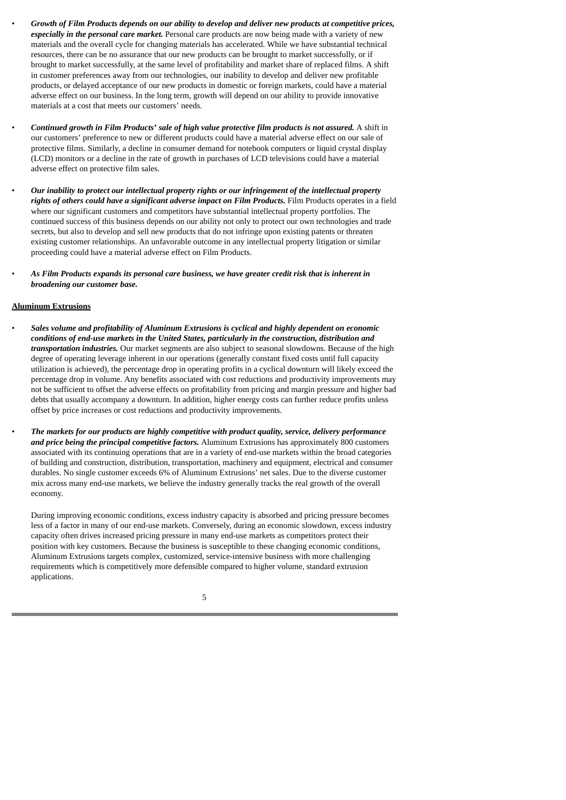- *Growth of Film Products depends on our ability to develop and deliver new products at competitive prices, especially in the personal care market.* Personal care products are now being made with a variety of new materials and the overall cycle for changing materials has accelerated. While we have substantial technical resources, there can be no assurance that our new products can be brought to market successfully, or if brought to market successfully, at the same level of profitability and market share of replaced films. A shift in customer preferences away from our technologies, our inability to develop and deliver new profitable products, or delayed acceptance of our new products in domestic or foreign markets, could have a material adverse effect on our business. In the long term, growth will depend on our ability to provide innovative materials at a cost that meets our customers' needs.
- *Continued growth in Film Products' sale of high value protective film products is not assured.* A shift in our customers' preference to new or different products could have a material adverse effect on our sale of protective films. Similarly, a decline in consumer demand for notebook computers or liquid crystal display (LCD) monitors or a decline in the rate of growth in purchases of LCD televisions could have a material adverse effect on protective film sales.
- *Our inability to protect our intellectual property rights or our infringement of the intellectual property rights of others could have a significant adverse impact on Film Products.* Film Products operates in a field where our significant customers and competitors have substantial intellectual property portfolios. The continued success of this business depends on our ability not only to protect our own technologies and trade secrets, but also to develop and sell new products that do not infringe upon existing patents or threaten existing customer relationships. An unfavorable outcome in any intellectual property litigation or similar proceeding could have a material adverse effect on Film Products.
- *As Film Products expands its personal care business, we have greater credit risk that is inherent in broadening our customer base.*

## **Aluminum Extrusions**

- *Sales volume and profitability of Aluminum Extrusions is cyclical and highly dependent on economic conditions of end-use markets in the United States, particularly in the construction, distribution and transportation industries.* Our market segments are also subject to seasonal slowdowns. Because of the high degree of operating leverage inherent in our operations (generally constant fixed costs until full capacity utilization is achieved), the percentage drop in operating profits in a cyclical downturn will likely exceed the percentage drop in volume. Any benefits associated with cost reductions and productivity improvements may not be sufficient to offset the adverse effects on profitability from pricing and margin pressure and higher bad debts that usually accompany a downturn. In addition, higher energy costs can further reduce profits unless offset by price increases or cost reductions and productivity improvements.
- *The markets for our products are highly competitive with product quality, service, delivery performance and price being the principal competitive factors.* Aluminum Extrusions has approximately 800 customers associated with its continuing operations that are in a variety of end-use markets within the broad categories of building and construction, distribution, transportation, machinery and equipment, electrical and consumer durables. No single customer exceeds 6% of Aluminum Extrusions' net sales. Due to the diverse customer mix across many end-use markets, we believe the industry generally tracks the real growth of the overall economy.

During improving economic conditions, excess industry capacity is absorbed and pricing pressure becomes less of a factor in many of our end-use markets. Conversely, during an economic slowdown, excess industry capacity often drives increased pricing pressure in many end-use markets as competitors protect their position with key customers. Because the business is susceptible to these changing economic conditions, Aluminum Extrusions targets complex, customized, service-intensive business with more challenging requirements which is competitively more defensible compared to higher volume, standard extrusion applications.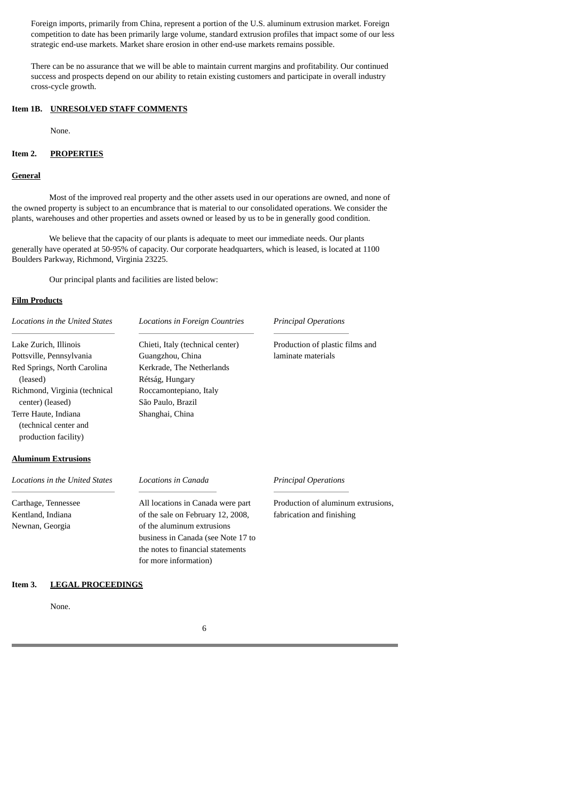Foreign imports, primarily from China, represent a portion of the U.S. aluminum extrusion market. Foreign competition to date has been primarily large volume, standard extrusion profiles that impact some of our less strategic end-use markets. Market share erosion in other end-use markets remains possible.

There can be no assurance that we will be able to maintain current margins and profitability. Our continued success and prospects depend on our ability to retain existing customers and participate in overall industry cross-cycle growth.

## **Item 1B. UNRESOLVED STAFF COMMENTS**

<span id="page-8-0"></span>None.

# <span id="page-8-1"></span>**Item 2. PROPERTIES**

## **General**

 Most of the improved real property and the other assets used in our operations are owned, and none of the owned property is subject to an encumbrance that is material to our consolidated operations. We consider the plants, warehouses and other properties and assets owned or leased by us to be in generally good condition.

 We believe that the capacity of our plants is adequate to meet our immediate needs. Our plants generally have operated at 50-95% of capacity. Our corporate headquarters, which is leased, is located at 1100 Boulders Parkway, Richmond, Virginia 23225.

Our principal plants and facilities are listed below:

## **Film Products**

| Locations in the United States      | Locations in Foreign Countries     | <b>Principal Operations</b>        |  |  |  |  |  |  |
|-------------------------------------|------------------------------------|------------------------------------|--|--|--|--|--|--|
| Lake Zurich, Illinois               | Chieti, Italy (technical center)   | Production of plastic films and    |  |  |  |  |  |  |
| Pottsville, Pennsylvania            | Guangzhou, China                   | laminate materials                 |  |  |  |  |  |  |
| Red Springs, North Carolina         | Kerkrade, The Netherlands          |                                    |  |  |  |  |  |  |
| (leased)                            | Rétság, Hungary                    |                                    |  |  |  |  |  |  |
| Richmond, Virginia (technical       | Roccamontepiano, Italy             |                                    |  |  |  |  |  |  |
| center) (leased)                    | São Paulo, Brazil                  |                                    |  |  |  |  |  |  |
| Terre Haute, Indiana                | Shanghai, China                    |                                    |  |  |  |  |  |  |
| (technical center and               |                                    |                                    |  |  |  |  |  |  |
| production facility)                |                                    |                                    |  |  |  |  |  |  |
| <b>Aluminum Extrusions</b>          |                                    |                                    |  |  |  |  |  |  |
| Locations in the United States      | Locations in Canada                | <b>Principal Operations</b>        |  |  |  |  |  |  |
| Carthage, Tennessee                 | All locations in Canada were part  | Production of aluminum extrusions, |  |  |  |  |  |  |
| Kentland, Indiana                   | of the sale on February 12, 2008,  | fabrication and finishing          |  |  |  |  |  |  |
| Newnan, Georgia                     | of the aluminum extrusions         |                                    |  |  |  |  |  |  |
|                                     | business in Canada (see Note 17 to |                                    |  |  |  |  |  |  |
|                                     | the notes to financial statements  |                                    |  |  |  |  |  |  |
|                                     | for more information)              |                                    |  |  |  |  |  |  |
|                                     |                                    |                                    |  |  |  |  |  |  |
| Item 3.<br><b>LEGAL PROCEEDINGS</b> |                                    |                                    |  |  |  |  |  |  |

<span id="page-8-2"></span>None.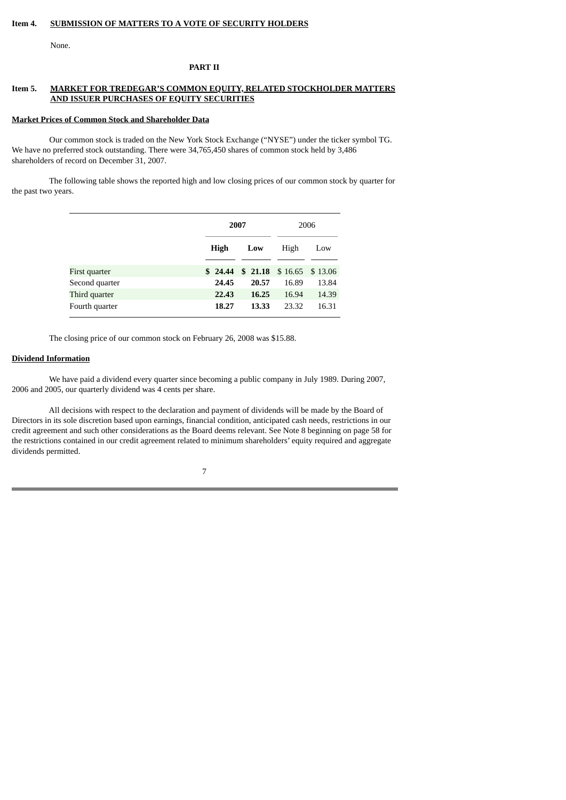#### <span id="page-9-0"></span>**Item 4. SUBMISSION OF MATTERS TO A VOTE OF SECURITY HOLDERS**

None.

## **PART II**

# <span id="page-9-2"></span><span id="page-9-1"></span>**Item 5. MARKET FOR TREDEGAR'S COMMON EQUITY, RELATED STOCKHOLDER MATTERS AND ISSUER PURCHASES OF EQUITY SECURITIES**

## **Market Prices of Common Stock and Shareholder Data**

 Our common stock is traded on the New York Stock Exchange ("NYSE") under the ticker symbol TG. We have no preferred stock outstanding. There were 34,765,450 shares of common stock held by 3,486 shareholders of record on December 31, 2007.

 The following table shows the reported high and low closing prices of our common stock by quarter for the past two years.

|                | 2007    |         | 2006    |         |  |  |
|----------------|---------|---------|---------|---------|--|--|
|                | High    | Low     | High    | Low     |  |  |
| First quarter  | \$24.44 | \$21.18 | \$16.65 | \$13.06 |  |  |
| Second quarter | 24.45   | 20.57   | 16.89   | 13.84   |  |  |
| Third quarter  | 22.43   | 16.25   | 16.94   | 14.39   |  |  |
| Fourth quarter | 18.27   | 13.33   | 23.32   | 16.31   |  |  |

The closing price of our common stock on February 26, 2008 was \$15.88.

# **Dividend Information**

 We have paid a dividend every quarter since becoming a public company in July 1989. During 2007, 2006 and 2005, our quarterly dividend was 4 cents per share.

 All decisions with respect to the declaration and payment of dividends will be made by the Board of Directors in its sole discretion based upon earnings, financial condition, anticipated cash needs, restrictions in our credit agreement and such other considerations as the Board deems relevant. See Note 8 beginning on page 58 for the restrictions contained in our credit agreement related to minimum shareholders' equity required and aggregate dividends permitted.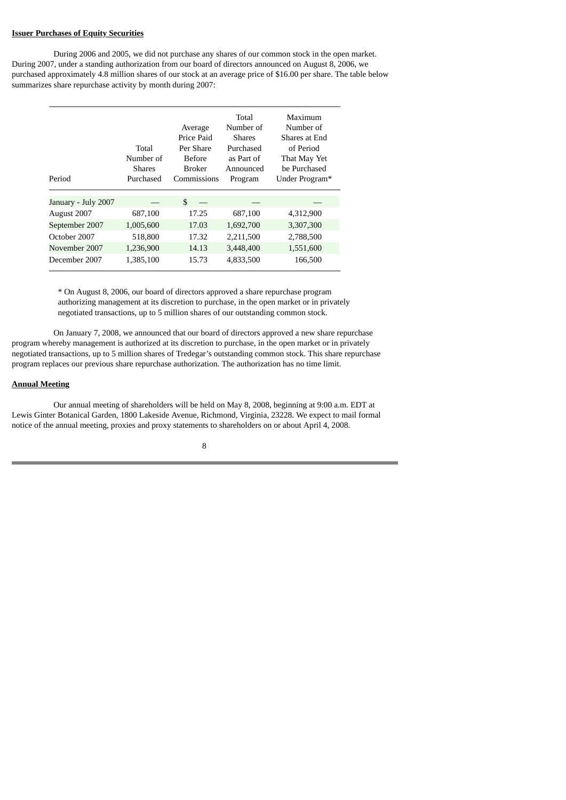## **Issuer Purchases of Equity Securities**

 During 2006 and 2005, we did not purchase any shares of our common stock in the open market. During 2007, under a standing authorization from our board of directors announced on August 8, 2006, we purchased approximately 4.8 million shares of our stock at an average price of \$16.00 per share. The table below summarizes share repurchase activity by month during 2007:

|                     | Total<br>Number of<br><b>Shares</b> | Average<br>Price Paid<br>Per Share<br>Before<br><b>Broker</b> | Total<br>Number of<br><b>Shares</b><br>Purchased<br>as Part of<br>Announced | Maximum<br>Number of<br>Shares at End<br>of Period<br>That May Yet<br>be Purchased |
|---------------------|-------------------------------------|---------------------------------------------------------------|-----------------------------------------------------------------------------|------------------------------------------------------------------------------------|
| Period              | Purchased                           | Commissions                                                   | Program                                                                     | Under Program*                                                                     |
|                     |                                     |                                                               |                                                                             |                                                                                    |
| January - July 2007 |                                     | \$                                                            |                                                                             |                                                                                    |
| August 2007         | 687,100                             | 17.25                                                         | 687,100                                                                     | 4,312,900                                                                          |
| September 2007      | 1,005,600                           | 17.03                                                         | 1,692,700                                                                   | 3,307,300                                                                          |
| October 2007        | 518,800                             | 17.32                                                         | 2,211,500                                                                   | 2,788,500                                                                          |
| November 2007       | 1,236,900                           | 14.13                                                         | 3,448,400                                                                   | 1,551,600                                                                          |
| December 2007       | 1.385.100                           | 15.73                                                         | 4.833.500                                                                   | 166,500                                                                            |

\* On August 8, 2006, our board of directors approved a share repurchase program authorizing management at its discretion to purchase, in the open market or in privately negotiated transactions, up to 5 million shares of our outstanding common stock.

 On January 7, 2008, we announced that our board of directors approved a new share repurchase program whereby management is authorized at its discretion to purchase, in the open market or in privately negotiated transactions, up to 5 million shares of Tredegar's outstanding common stock. This share repurchase program replaces our previous share repurchase authorization. The authorization has no time limit.

## **Annual Meeting**

 Our annual meeting of shareholders will be held on May 8, 2008, beginning at 9:00 a.m. EDT at Lewis Ginter Botanical Garden, 1800 Lakeside Avenue, Richmond, Virginia, 23228. We expect to mail formal notice of the annual meeting, proxies and proxy statements to shareholders on or about April 4, 2008.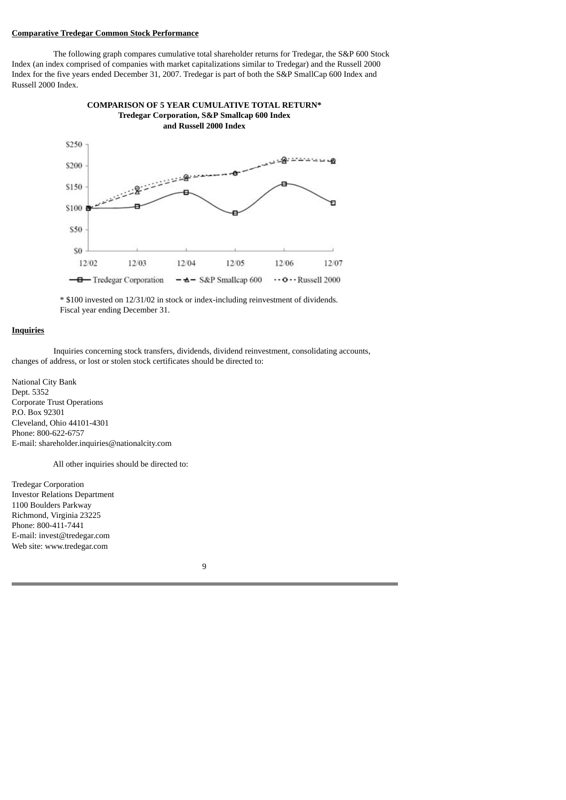### **Comparative Tredegar Common Stock Performance**

 The following graph compares cumulative total shareholder returns for Tredegar, the S&P 600 Stock Index (an index comprised of companies with market capitalizations similar to Tredegar) and the Russell 2000 Index for the five years ended December 31, 2007. Tredegar is part of both the S&P SmallCap 600 Index and Russell 2000 Index.

**COMPARISON OF 5 YEAR CUMULATIVE TOTAL RETURN\***



\* \$100 invested on 12/31/02 in stock or index-including reinvestment of dividends. Fiscal year ending December 31.

## **Inquiries**

Inquiries concerning stock transfers, dividends, dividend reinvestment, consolidating accounts, changes of address, or lost or stolen stock certificates should be directed to:

National City Bank Dept. 5352 Corporate Trust Operations P.O. Box 92301 Cleveland, Ohio 44101-4301 Phone: 800-622-6757 E-mail: shareholder.inquiries@nationalcity.com

All other inquiries should be directed to:

Tredegar Corporation Investor Relations Department 1100 Boulders Parkway Richmond, Virginia 23225 Phone: 800-411-7441 E-mail: invest@tredegar.com Web site: www.tredegar.com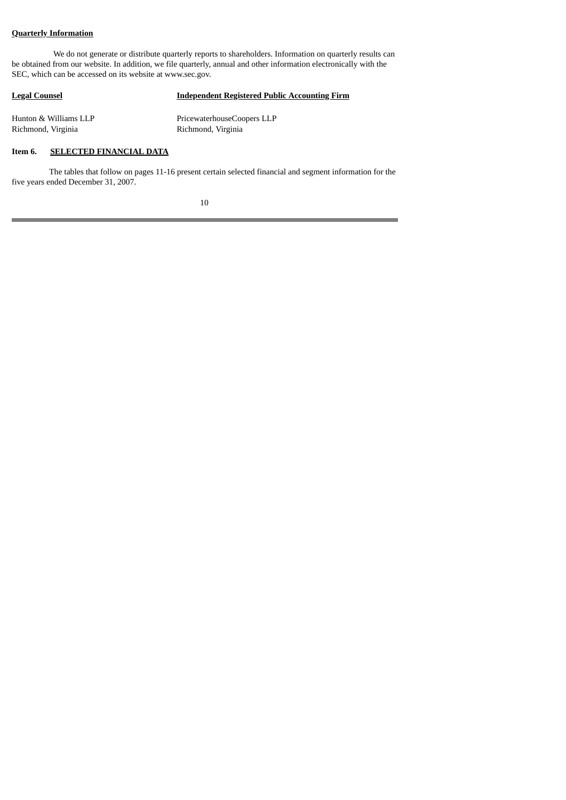# **Quarterly Information**

 We do not generate or distribute quarterly reports to shareholders. Information on quarterly results can be obtained from our website. In addition, we file quarterly, annual and other information electronically with the SEC, which can be accessed on its website at www.sec.gov.

| <b>Legal Counsel</b> | <b>Independent Registered Public Accounting Firm</b> |
|----------------------|------------------------------------------------------|
|                      |                                                      |

Hunton & Williams LLP PricewaterhouseCoopers LLP Richmond, Virginia **Richmond, Virginia** Richmond, Virginia

# <span id="page-12-0"></span>**Item 6. SELECTED FINANCIAL DATA**

 The tables that follow on pages 11-16 present certain selected financial and segment information for the five years ended December 31, 2007.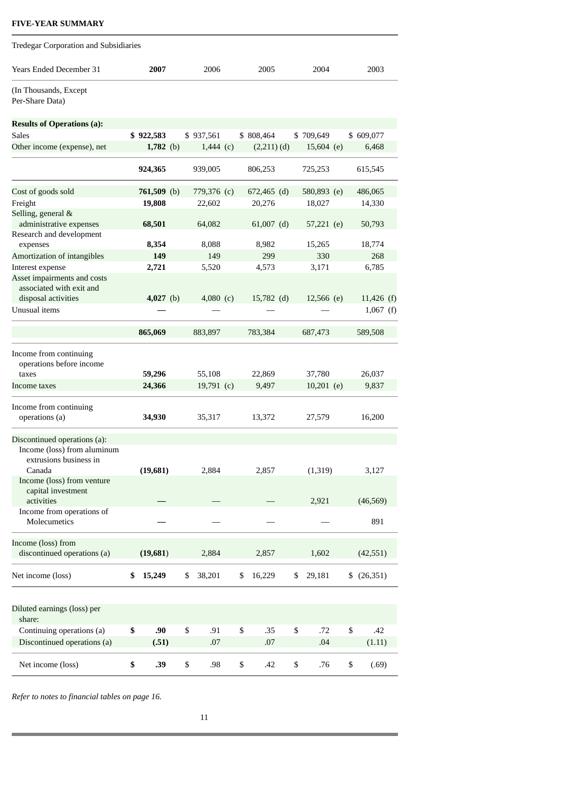# **FIVE-YEAR SUMMARY**

| <b>Tredegar Corporation and Subsidiaries</b>    |              |    |              |    |                 |              |    |              |  |
|-------------------------------------------------|--------------|----|--------------|----|-----------------|--------------|----|--------------|--|
| Years Ended December 31                         | 2007         |    | 2006         |    | 2005            | 2004         |    | 2003         |  |
| (In Thousands, Except<br>Per-Share Data)        |              |    |              |    |                 |              |    |              |  |
| <b>Results of Operations (a):</b>               |              |    |              |    |                 |              |    |              |  |
| <b>Sales</b>                                    | \$922,583    |    | \$937,561    |    | \$808,464       | \$709,649    |    | \$609,077    |  |
| Other income (expense), net                     | $1,782$ (b)  |    | $1,444$ (c)  |    | $(2,211)$ $(d)$ | $15,604$ (e) |    | 6,468        |  |
|                                                 |              |    |              |    |                 |              |    |              |  |
|                                                 | 924,365      |    | 939,005      |    | 806,253         | 725,253      |    | 615,545      |  |
| Cost of goods sold                              | 761,509 (b)  |    | 779,376 (c)  |    | $672,465$ (d)   | 580,893 (e)  |    | 486,065      |  |
| Freight                                         | 19,808       |    | 22,602       |    | 20,276          | 18,027       |    | 14,330       |  |
| Selling, general &                              |              |    |              |    |                 |              |    |              |  |
| administrative expenses                         | 68,501       |    | 64,082       |    | $61,007$ (d)    | 57,221 $(e)$ |    | 50,793       |  |
| Research and development                        |              |    |              |    |                 |              |    |              |  |
| expenses                                        | 8,354        |    | 8,088        |    | 8,982           | 15,265       |    | 18,774       |  |
| Amortization of intangibles                     | 149          |    | 149          |    | 299             | 330          |    | 268          |  |
| Interest expense<br>Asset impairments and costs | 2,721        |    | 5,520        |    | 4,573           | 3,171        |    | 6,785        |  |
| associated with exit and<br>disposal activities | 4,027 (b)    |    | 4,080 $(c)$  |    | $15,782$ (d)    | $12,566$ (e) |    | $11,426$ (f) |  |
| Unusual items                                   |              |    |              |    |                 |              |    | $1,067$ (f)  |  |
|                                                 |              |    |              |    |                 |              |    |              |  |
|                                                 | 865,069      |    | 883,897      |    | 783,384         | 687,473      |    | 589,508      |  |
| Income from continuing                          |              |    |              |    |                 |              |    |              |  |
| operations before income                        |              |    |              |    |                 |              |    |              |  |
| taxes                                           | 59,296       |    | 55,108       |    | 22,869          | 37,780       |    | 26,037       |  |
| Income taxes                                    | 24,366       |    | $19,791$ (c) |    | 9,497           | $10,201$ (e) |    | 9,837        |  |
|                                                 |              |    |              |    |                 |              |    |              |  |
| Income from continuing                          |              |    |              |    |                 |              |    |              |  |
| operations (a)                                  | 34,930       |    | 35,317       |    | 13,372          | 27,579       |    | 16,200       |  |
| Discontinued operations (a):                    |              |    |              |    |                 |              |    |              |  |
| Income (loss) from aluminum                     |              |    |              |    |                 |              |    |              |  |
| extrusions business in                          |              |    |              |    |                 |              |    |              |  |
| Canada                                          | (19,681)     |    | 2,884        |    | 2,857           | (1,319)      |    | 3,127        |  |
| Income (loss) from venture                      |              |    |              |    |                 |              |    |              |  |
| capital investment                              |              |    |              |    |                 |              |    |              |  |
| activities                                      |              |    |              |    |                 | 2,921        |    | (46, 569)    |  |
| Income from operations of<br>Molecumetics       |              |    |              |    |                 |              |    | 891          |  |
|                                                 |              |    |              |    |                 |              |    |              |  |
| Income (loss) from                              |              |    |              |    |                 |              |    |              |  |
| discontinued operations (a)                     | (19, 681)    |    | 2,884        |    | 2,857           | 1,602        |    | (42, 551)    |  |
|                                                 |              |    |              |    |                 |              |    |              |  |
| Net income (loss)                               | \$<br>15,249 | \$ | 38,201       | \$ | 16,229          | \$<br>29,181 |    | \$ (26,351)  |  |
|                                                 |              |    |              |    |                 |              |    |              |  |
| Diluted earnings (loss) per<br>share:           |              |    |              |    |                 |              |    |              |  |
| Continuing operations (a)                       | \$<br>.90    | \$ | .91          | \$ | .35             | \$<br>.72    | \$ | .42          |  |
| Discontinued operations (a)                     | (.51)        |    | .07          |    | .07             | .04          |    | (1.11)       |  |
|                                                 |              |    |              |    |                 |              |    |              |  |
| Net income (loss)                               | \$<br>.39    | \$ | .98          | \$ | .42             | \$<br>.76    | \$ | (.69)        |  |

*Refer to notes to financial tables on page 16.*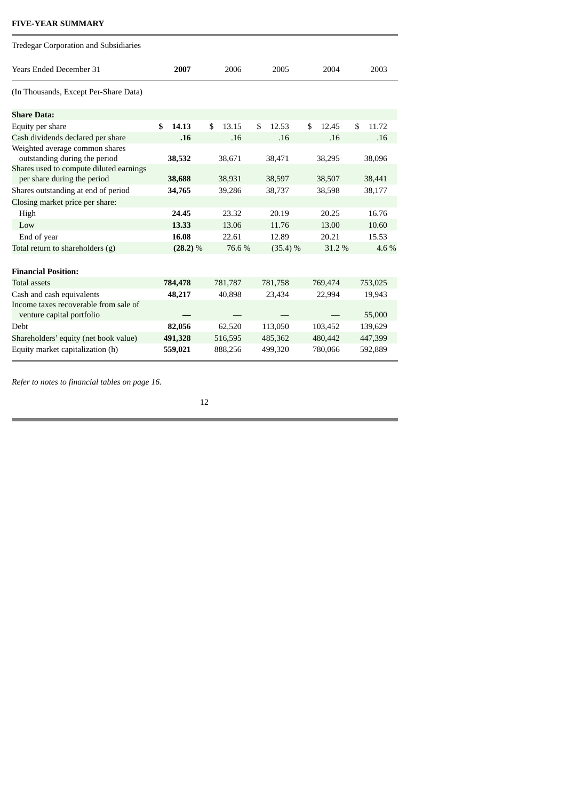# **FIVE-YEAR SUMMARY**

| <b>Tredegar Corporation and Subsidiaries</b>                                                               |             |             |             |             |             |
|------------------------------------------------------------------------------------------------------------|-------------|-------------|-------------|-------------|-------------|
| <b>Years Ended December 31</b>                                                                             | 2007        | 2006        | 2005        | 2004        | 2003        |
| (In Thousands, Except Per-Share Data)                                                                      |             |             |             |             |             |
| <b>Share Data:</b>                                                                                         |             |             |             |             |             |
| Equity per share                                                                                           | \$<br>14.13 | \$<br>13.15 | \$<br>12.53 | \$<br>12.45 | \$<br>11.72 |
| Cash dividends declared per share                                                                          | .16         | .16         | .16         | .16         | .16         |
| Weighted average common shares<br>outstanding during the period<br>Shares used to compute diluted earnings | 38,532      | 38,671      | 38,471      | 38,295      | 38,096      |
| per share during the period                                                                                | 38,688      | 38,931      | 38,597      | 38,507      | 38,441      |
| Shares outstanding at end of period                                                                        | 34,765      | 39,286      | 38,737      | 38,598      | 38,177      |
| Closing market price per share:                                                                            |             |             |             |             |             |
| High                                                                                                       | 24.45       | 23.32       | 20.19       | 20.25       | 16.76       |
| Low                                                                                                        | 13.33       | 13.06       | 11.76       | 13.00       | 10.60       |
| End of year                                                                                                | 16.08       | 22.61       | 12.89       | 20.21       | 15.53       |
| Total return to shareholders (g)                                                                           | (28.2) %    | 76.6%       | (35.4) %    | 31.2 %      | 4.6%        |
| <b>Financial Position:</b>                                                                                 |             |             |             |             |             |
| <b>Total assets</b>                                                                                        | 784,478     | 781,787     | 781,758     | 769,474     | 753,025     |
| Cash and cash equivalents                                                                                  | 48,217      | 40,898      | 23,434      | 22,994      | 19,943      |
| Income taxes recoverable from sale of<br>venture capital portfolio                                         |             |             |             |             | 55,000      |
| Debt                                                                                                       | 82,056      | 62,520      | 113,050     | 103,452     | 139,629     |
| Shareholders' equity (net book value)                                                                      | 491,328     | 516,595     | 485,362     | 480,442     | 447,399     |
| Equity market capitalization (h)                                                                           | 559,021     | 888.256     | 499.320     | 780.066     | 592.889     |

*Refer to notes to financial tables on page 16.*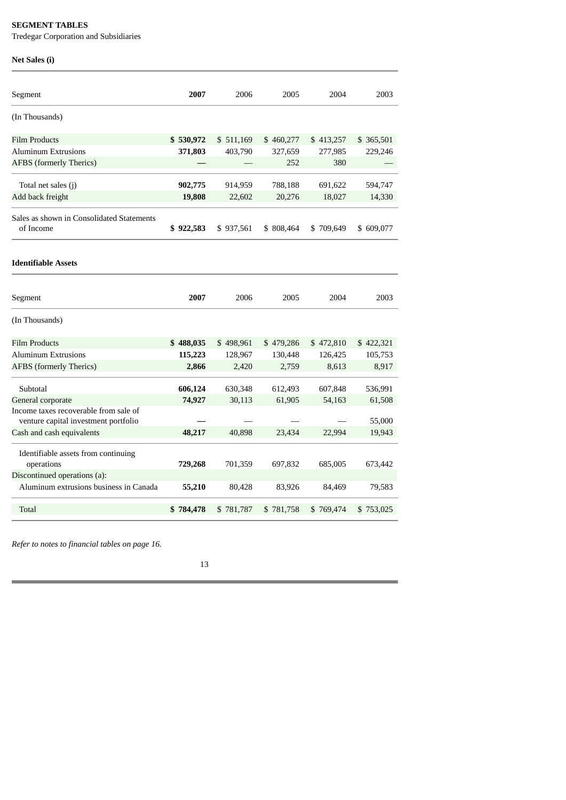**SEGMENT TABLES**

Tredegar Corporation and Subsidiaries

| Net Sales (i)                                                                 |           |           |           |           |            |
|-------------------------------------------------------------------------------|-----------|-----------|-----------|-----------|------------|
| Segment                                                                       | 2007      | 2006      | 2005      | 2004      | 2003       |
| (In Thousands)                                                                |           |           |           |           |            |
| <b>Film Products</b>                                                          | \$530,972 | \$511,169 | \$460,277 | \$413,257 | \$ 365,501 |
| <b>Aluminum Extrusions</b>                                                    | 371,803   | 403,790   | 327,659   | 277,985   | 229,246    |
| <b>AFBS</b> (formerly Therics)                                                |           |           | 252       | 380       |            |
| Total net sales (j)                                                           | 902,775   | 914,959   | 788,188   | 691,622   | 594,747    |
| Add back freight                                                              | 19,808    | 22,602    | 20,276    | 18,027    | 14,330     |
| Sales as shown in Consolidated Statements<br>of Income                        | \$922,583 | \$937,561 | \$808,464 | \$709,649 | \$609,077  |
| Segment                                                                       | 2007      | 2006      | 2005      | 2004      | 2003       |
|                                                                               |           |           |           |           |            |
| (In Thousands)                                                                |           |           |           |           |            |
| <b>Film Products</b>                                                          | \$488,035 | \$498,961 | \$479,286 | \$472,810 | \$422,321  |
| <b>Aluminum Extrusions</b>                                                    | 115,223   | 128,967   | 130,448   | 126,425   | 105,753    |
| AFBS (formerly Therics)                                                       | 2,866     | 2,420     | 2,759     | 8,613     | 8,917      |
| Subtotal                                                                      | 606,124   | 630,348   | 612,493   | 607,848   | 536,991    |
| General corporate                                                             | 74,927    | 30,113    | 61,905    | 54,163    | 61,508     |
| Income taxes recoverable from sale of<br>venture capital investment portfolio |           |           |           |           | 55,000     |
| Cash and cash equivalents                                                     | 48,217    | 40,898    | 23,434    | 22,994    | 19,943     |
| Identifiable assets from continuing<br>operations                             | 729,268   | 701,359   | 697,832   | 685,005   | 673,442    |
| Discontinued operations (a):                                                  |           |           |           |           |            |
| Aluminum extrusions business in Canada                                        | 55,210    | 80,428    | 83,926    | 84,469    | 79,583     |
| <b>Total</b>                                                                  | \$784,478 | \$781,787 | \$781,758 | \$769,474 | \$753,025  |

*Refer to notes to financial tables on page 16.*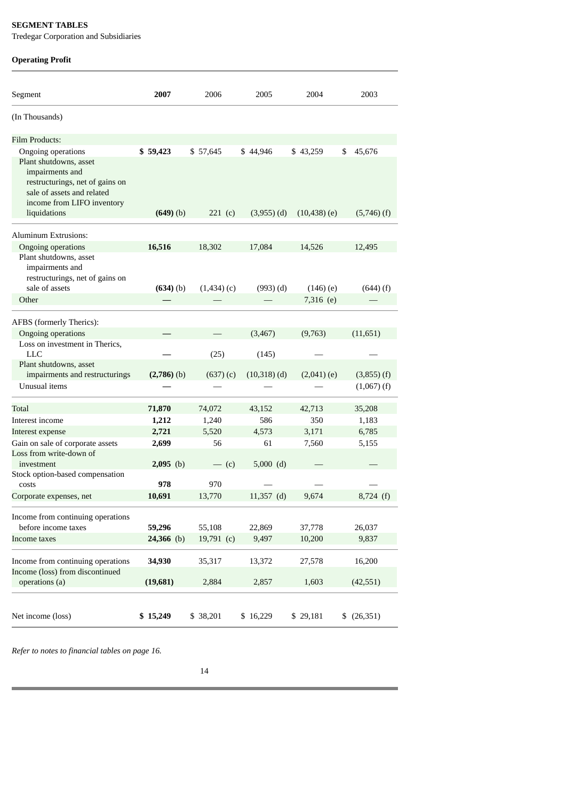**SEGMENT TABLES**

Tredegar Corporation and Subsidiaries

# **Operating Profit**

| Segment                                                                                                                                                  | 2007          | 2006            | 2005             | 2004              | 2003            |
|----------------------------------------------------------------------------------------------------------------------------------------------------------|---------------|-----------------|------------------|-------------------|-----------------|
| (In Thousands)                                                                                                                                           |               |                 |                  |                   |                 |
| Film Products:<br>Ongoing operations                                                                                                                     | \$59,423      | \$57,645        | \$44,946         | \$43,259          | 45,676<br>\$    |
| Plant shutdowns, asset<br>impairments and<br>restructurings, net of gains on<br>sale of assets and related<br>income from LIFO inventory<br>liquidations | $(649)$ $(b)$ | 221(c)          | $(3,955)$ $(d)$  | $(10, 438)$ $(e)$ | $(5,746)$ $(f)$ |
| Aluminum Extrusions:                                                                                                                                     |               |                 |                  |                   |                 |
| Ongoing operations                                                                                                                                       | 16,516        | 18,302          | 17,084           | 14,526            | 12,495          |
| Plant shutdowns, asset<br>impairments and<br>restructurings, net of gains on<br>sale of assets                                                           | $(634)$ $(b)$ | $(1,434)$ $(c)$ | $(993)$ $(d)$    | $(146)$ $(e)$     | $(644)$ $(f)$   |
| Other                                                                                                                                                    |               |                 |                  | $7,316$ (e)       |                 |
| AFBS (formerly Therics):                                                                                                                                 |               |                 |                  |                   |                 |
| Ongoing operations                                                                                                                                       |               |                 | (3, 467)         | (9,763)           | (11, 651)       |
| Loss on investment in Therics,<br>LLC                                                                                                                    |               | (25)            | (145)            |                   |                 |
| Plant shutdowns, asset                                                                                                                                   |               |                 |                  |                   |                 |
| impairments and restructurings<br>Unusual items                                                                                                          | $(2,786)$ (b) | $(637)$ $(c)$   | $(10,318)$ $(d)$ | $(2,041)$ $(e)$   | $(3,855)$ $(f)$ |
|                                                                                                                                                          |               |                 |                  |                   | $(1,067)$ $(f)$ |
| Total                                                                                                                                                    | 71,870        | 74,072          | 43,152           | 42,713            | 35,208          |
| Interest income                                                                                                                                          | 1,212         | 1,240           | 586              | 350               | 1,183           |
| Interest expense                                                                                                                                         | 2,721         | 5,520           | 4,573            | 3,171             | 6,785           |
| Gain on sale of corporate assets                                                                                                                         | 2,699         | 56              | 61               | 7,560             | 5,155           |
| Loss from write-down of<br>investment                                                                                                                    | $2,095$ (b)   | $-$ (c)         | $5,000$ (d)      |                   |                 |
| Stock option-based compensation                                                                                                                          |               |                 |                  |                   |                 |
| costs                                                                                                                                                    | 978           | 970             |                  |                   |                 |
| Corporate expenses, net                                                                                                                                  | 10,691        | 13,770          | $11,357$ (d)     | 9,674             | 8,724 (f)       |
| Income from continuing operations                                                                                                                        |               |                 |                  |                   |                 |
| before income taxes                                                                                                                                      | 59,296        | 55,108          | 22,869           | 37,778            | 26,037          |
| Income taxes                                                                                                                                             | 24,366 (b)    | 19,791 $(c)$    | 9,497            | 10,200            | 9,837           |
| Income from continuing operations                                                                                                                        | 34,930        | 35,317          | 13,372           | 27,578            | 16,200          |
| Income (loss) from discontinued<br>operations (a)                                                                                                        | (19,681)      | 2,884           | 2,857            | 1,603             | (42, 551)       |
| Net income (loss)                                                                                                                                        | \$15,249      | \$ 38,201       | \$16,229         | \$29,181          | \$ (26,351)     |

*Refer to notes to financial tables on page 16.*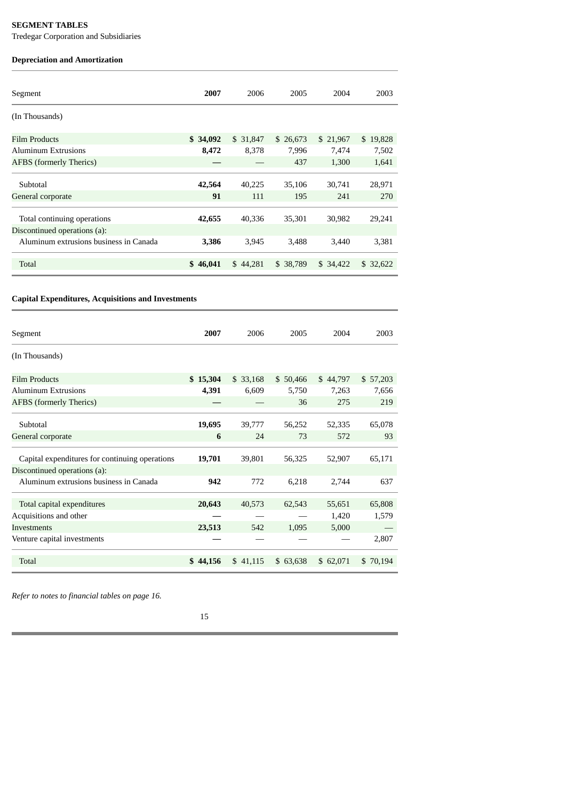# **SEGMENT TABLES**

Tredegar Corporation and Subsidiaries

# **Depreciation and Amortization**

| Segment                                            | 2007              | 2006               | 2005              | 2004              | 2003              |
|----------------------------------------------------|-------------------|--------------------|-------------------|-------------------|-------------------|
| (In Thousands)                                     |                   |                    |                   |                   |                   |
| <b>Film Products</b>                               | \$34,092          | \$ 31,847          | \$26,673          | \$21,967          | \$19,828          |
| <b>Aluminum Extrusions</b>                         | 8,472             | 8,378              | 7,996             | 7,474             | 7,502             |
| <b>AFBS</b> (formerly Therics)                     |                   |                    | 437               | 1,300             | 1,641             |
| Subtotal                                           | 42,564            | 40,225             | 35,106            | 30,741            | 28,971            |
| General corporate                                  | 91                | 111                | 195               | 241               | 270               |
| Total continuing operations                        | 42,655            | 40,336             | 35,301            | 30,982            | 29,241            |
| Discontinued operations (a):                       |                   |                    |                   |                   |                   |
| Aluminum extrusions business in Canada             | 3,386             | 3,945              | 3,488             | 3,440             | 3,381             |
| Total                                              | \$46,041          | \$44,281           | \$38,789          | \$34,422          | \$32,622          |
| Segment                                            | 2007              | 2006               | 2005              | 2004              | 2003              |
| (In Thousands)                                     |                   |                    |                   |                   |                   |
|                                                    |                   |                    |                   |                   |                   |
| <b>Film Products</b><br><b>Aluminum Extrusions</b> | \$15,304<br>4,391 | \$ 33,168<br>6,609 | \$50,466<br>5,750 | \$44,797<br>7,263 | \$57,203<br>7,656 |
| AFBS (formerly Therics)                            |                   |                    | 36                | 275               | 219               |
|                                                    |                   |                    |                   |                   |                   |
| Subtotal                                           | 19,695            | 39,777             | 56,252            | 52,335            | 65,078            |
| General corporate                                  | 6                 | 24                 | 73                | 572               | 93                |
| Capital expenditures for continuing operations     | 19,701            | 39,801             | 56,325            | 52,907            | 65,171            |
| Discontinued operations (a):                       |                   |                    |                   |                   |                   |
| Aluminum extrusions business in Canada             | 942               | 772                | 6,218             | 2,744             | 637               |
| Total capital expenditures                         | 20,643            | 40,573             | 62,543            | 55,651            | 65,808            |
| Acquisitions and other                             |                   |                    |                   | 1,420             | 1,579             |
| Investments                                        | 23,513            | 542                | 1,095             | 5,000             |                   |
| Venture capital investments                        |                   |                    |                   |                   | 2,807             |
| Total                                              | \$44,156          | \$41,115           | \$ 63,638         | \$62,071          | \$70,194          |

*Refer to notes to financial tables on page 16.*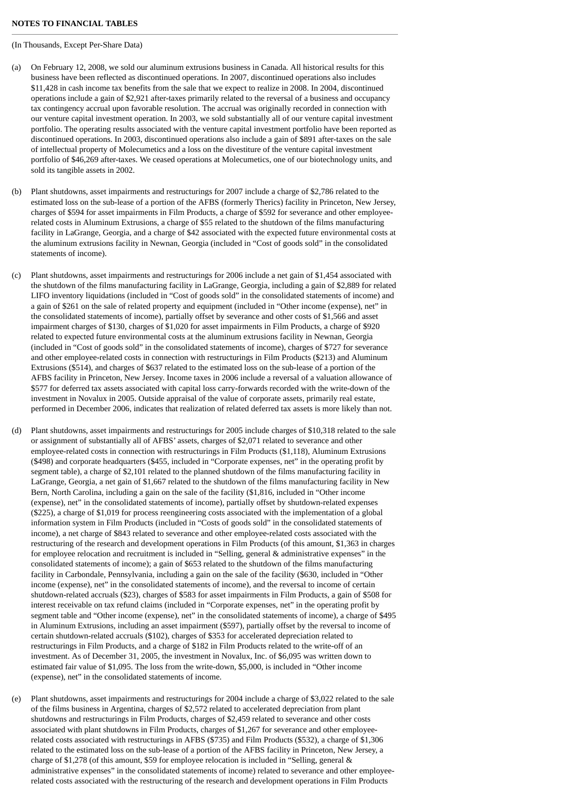#### (In Thousands, Except Per-Share Data)

- (a) On February 12, 2008, we sold our aluminum extrusions business in Canada. All historical results for this business have been reflected as discontinued operations. In 2007, discontinued operations also includes \$11,428 in cash income tax benefits from the sale that we expect to realize in 2008. In 2004, discontinued operations include a gain of \$2,921 after-taxes primarily related to the reversal of a business and occupancy tax contingency accrual upon favorable resolution. The accrual was originally recorded in connection with our venture capital investment operation. In 2003, we sold substantially all of our venture capital investment portfolio. The operating results associated with the venture capital investment portfolio have been reported as discontinued operations. In 2003, discontinued operations also include a gain of \$891 after-taxes on the sale of intellectual property of Molecumetics and a loss on the divestiture of the venture capital investment portfolio of \$46,269 after-taxes. We ceased operations at Molecumetics, one of our biotechnology units, and sold its tangible assets in 2002.
- (b) Plant shutdowns, asset impairments and restructurings for 2007 include a charge of \$2,786 related to the estimated loss on the sub-lease of a portion of the AFBS (formerly Therics) facility in Princeton, New Jersey, charges of \$594 for asset impairments in Film Products, a charge of \$592 for severance and other employeerelated costs in Aluminum Extrusions, a charge of \$55 related to the shutdown of the films manufacturing facility in LaGrange, Georgia, and a charge of \$42 associated with the expected future environmental costs at the aluminum extrusions facility in Newnan, Georgia (included in "Cost of goods sold" in the consolidated statements of income).
- (c) Plant shutdowns, asset impairments and restructurings for 2006 include a net gain of \$1,454 associated with the shutdown of the films manufacturing facility in LaGrange, Georgia, including a gain of \$2,889 for related LIFO inventory liquidations (included in "Cost of goods sold" in the consolidated statements of income) and a gain of \$261 on the sale of related property and equipment (included in "Other income (expense), net" in the consolidated statements of income), partially offset by severance and other costs of \$1,566 and asset impairment charges of \$130, charges of \$1,020 for asset impairments in Film Products, a charge of \$920 related to expected future environmental costs at the aluminum extrusions facility in Newnan, Georgia (included in "Cost of goods sold" in the consolidated statements of income), charges of \$727 for severance and other employee-related costs in connection with restructurings in Film Products (\$213) and Aluminum Extrusions (\$514), and charges of \$637 related to the estimated loss on the sub-lease of a portion of the AFBS facility in Princeton, New Jersey. Income taxes in 2006 include a reversal of a valuation allowance of \$577 for deferred tax assets associated with capital loss carry-forwards recorded with the write-down of the investment in Novalux in 2005. Outside appraisal of the value of corporate assets, primarily real estate, performed in December 2006, indicates that realization of related deferred tax assets is more likely than not.
- (d) Plant shutdowns, asset impairments and restructurings for 2005 include charges of \$10,318 related to the sale or assignment of substantially all of AFBS' assets, charges of \$2,071 related to severance and other employee-related costs in connection with restructurings in Film Products (\$1,118), Aluminum Extrusions (\$498) and corporate headquarters (\$455, included in "Corporate expenses, net" in the operating profit by segment table), a charge of \$2,101 related to the planned shutdown of the films manufacturing facility in LaGrange, Georgia, a net gain of \$1,667 related to the shutdown of the films manufacturing facility in New Bern, North Carolina, including a gain on the sale of the facility (\$1,816, included in "Other income (expense), net" in the consolidated statements of income), partially offset by shutdown-related expenses (\$225), a charge of \$1,019 for process reengineering costs associated with the implementation of a global information system in Film Products (included in "Costs of goods sold" in the consolidated statements of income), a net charge of \$843 related to severance and other employee-related costs associated with the restructuring of the research and development operations in Film Products (of this amount, \$1,363 in charges for employee relocation and recruitment is included in "Selling, general & administrative expenses" in the consolidated statements of income); a gain of \$653 related to the shutdown of the films manufacturing facility in Carbondale, Pennsylvania, including a gain on the sale of the facility (\$630, included in "Other income (expense), net" in the consolidated statements of income), and the reversal to income of certain shutdown-related accruals (\$23), charges of \$583 for asset impairments in Film Products, a gain of \$508 for interest receivable on tax refund claims (included in "Corporate expenses, net" in the operating profit by segment table and "Other income (expense), net" in the consolidated statements of income), a charge of \$495 in Aluminum Extrusions, including an asset impairment (\$597), partially offset by the reversal to income of certain shutdown-related accruals (\$102), charges of \$353 for accelerated depreciation related to restructurings in Film Products, and a charge of \$182 in Film Products related to the write-off of an investment. As of December 31, 2005, the investment in Novalux, Inc. of \$6,095 was written down to estimated fair value of \$1,095. The loss from the write-down, \$5,000, is included in "Other income (expense), net" in the consolidated statements of income.
- (e) Plant shutdowns, asset impairments and restructurings for 2004 include a charge of \$3,022 related to the sale of the films business in Argentina, charges of \$2,572 related to accelerated depreciation from plant shutdowns and restructurings in Film Products, charges of \$2,459 related to severance and other costs associated with plant shutdowns in Film Products, charges of \$1,267 for severance and other employeerelated costs associated with restructurings in AFBS (\$735) and Film Products (\$532), a charge of \$1,306 related to the estimated loss on the sub-lease of a portion of the AFBS facility in Princeton, New Jersey, a charge of \$1,278 (of this amount, \$59 for employee relocation is included in "Selling, general & administrative expenses" in the consolidated statements of income) related to severance and other employeerelated costs associated with the restructuring of the research and development operations in Film Products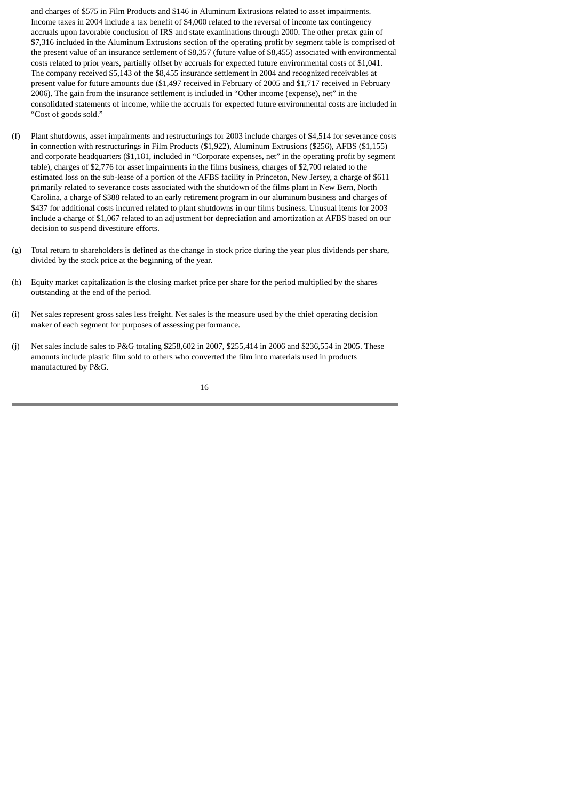and charges of \$575 in Film Products and \$146 in Aluminum Extrusions related to asset impairments. Income taxes in 2004 include a tax benefit of \$4,000 related to the reversal of income tax contingency accruals upon favorable conclusion of IRS and state examinations through 2000. The other pretax gain of \$7,316 included in the Aluminum Extrusions section of the operating profit by segment table is comprised of the present value of an insurance settlement of \$8,357 (future value of \$8,455) associated with environmental costs related to prior years, partially offset by accruals for expected future environmental costs of \$1,041. The company received \$5,143 of the \$8,455 insurance settlement in 2004 and recognized receivables at present value for future amounts due (\$1,497 received in February of 2005 and \$1,717 received in February 2006). The gain from the insurance settlement is included in "Other income (expense), net" in the consolidated statements of income, while the accruals for expected future environmental costs are included in "Cost of goods sold."

- (f) Plant shutdowns, asset impairments and restructurings for 2003 include charges of \$4,514 for severance costs in connection with restructurings in Film Products (\$1,922), Aluminum Extrusions (\$256), AFBS (\$1,155) and corporate headquarters (\$1,181, included in "Corporate expenses, net" in the operating profit by segment table), charges of \$2,776 for asset impairments in the films business, charges of \$2,700 related to the estimated loss on the sub-lease of a portion of the AFBS facility in Princeton, New Jersey, a charge of \$611 primarily related to severance costs associated with the shutdown of the films plant in New Bern, North Carolina, a charge of \$388 related to an early retirement program in our aluminum business and charges of \$437 for additional costs incurred related to plant shutdowns in our films business. Unusual items for 2003 include a charge of \$1,067 related to an adjustment for depreciation and amortization at AFBS based on our decision to suspend divestiture efforts.
- (g) Total return to shareholders is defined as the change in stock price during the year plus dividends per share, divided by the stock price at the beginning of the year.
- (h) Equity market capitalization is the closing market price per share for the period multiplied by the shares outstanding at the end of the period.
- (i) Net sales represent gross sales less freight. Net sales is the measure used by the chief operating decision maker of each segment for purposes of assessing performance.
- (j) Net sales include sales to P&G totaling \$258,602 in 2007, \$255,414 in 2006 and \$236,554 in 2005. These amounts include plastic film sold to others who converted the film into materials used in products manufactured by P&G.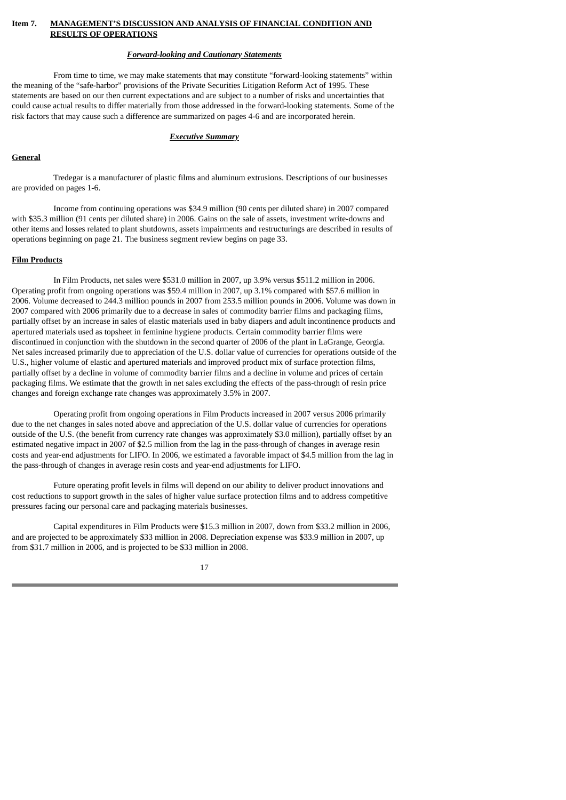## <span id="page-20-0"></span>**Item 7. MANAGEMENT'S DISCUSSION AND ANALYSIS OF FINANCIAL CONDITION AND RESULTS OF OPERATIONS**

## *Forward-looking and Cautionary Statements*

 From time to time, we may make statements that may constitute "forward-looking statements" within the meaning of the "safe-harbor" provisions of the Private Securities Litigation Reform Act of 1995. These statements are based on our then current expectations and are subject to a number of risks and uncertainties that could cause actual results to differ materially from those addressed in the forward-looking statements. Some of the risk factors that may cause such a difference are summarized on pages 4-6 and are incorporated herein.

### *Executive Summary*

### **General**

 Tredegar is a manufacturer of plastic films and aluminum extrusions. Descriptions of our businesses are provided on pages 1-6.

 Income from continuing operations was \$34.9 million (90 cents per diluted share) in 2007 compared with \$35.3 million (91 cents per diluted share) in 2006. Gains on the sale of assets, investment write-downs and other items and losses related to plant shutdowns, assets impairments and restructurings are described in results of operations beginning on page 21. The business segment review begins on page 33.

### **Film Products**

 In Film Products, net sales were \$531.0 million in 2007, up 3.9% versus \$511.2 million in 2006. Operating profit from ongoing operations was \$59.4 million in 2007, up 3.1% compared with \$57.6 million in 2006. Volume decreased to 244.3 million pounds in 2007 from 253.5 million pounds in 2006. Volume was down in 2007 compared with 2006 primarily due to a decrease in sales of commodity barrier films and packaging films, partially offset by an increase in sales of elastic materials used in baby diapers and adult incontinence products and apertured materials used as topsheet in feminine hygiene products. Certain commodity barrier films were discontinued in conjunction with the shutdown in the second quarter of 2006 of the plant in LaGrange, Georgia. Net sales increased primarily due to appreciation of the U.S. dollar value of currencies for operations outside of the U.S., higher volume of elastic and apertured materials and improved product mix of surface protection films, partially offset by a decline in volume of commodity barrier films and a decline in volume and prices of certain packaging films. We estimate that the growth in net sales excluding the effects of the pass-through of resin price changes and foreign exchange rate changes was approximately 3.5% in 2007.

 Operating profit from ongoing operations in Film Products increased in 2007 versus 2006 primarily due to the net changes in sales noted above and appreciation of the U.S. dollar value of currencies for operations outside of the U.S. (the benefit from currency rate changes was approximately \$3.0 million), partially offset by an estimated negative impact in 2007 of \$2.5 million from the lag in the pass-through of changes in average resin costs and year-end adjustments for LIFO. In 2006, we estimated a favorable impact of \$4.5 million from the lag in the pass-through of changes in average resin costs and year-end adjustments for LIFO.

 Future operating profit levels in films will depend on our ability to deliver product innovations and cost reductions to support growth in the sales of higher value surface protection films and to address competitive pressures facing our personal care and packaging materials businesses.

 Capital expenditures in Film Products were \$15.3 million in 2007, down from \$33.2 million in 2006, and are projected to be approximately \$33 million in 2008. Depreciation expense was \$33.9 million in 2007, up from \$31.7 million in 2006, and is projected to be \$33 million in 2008.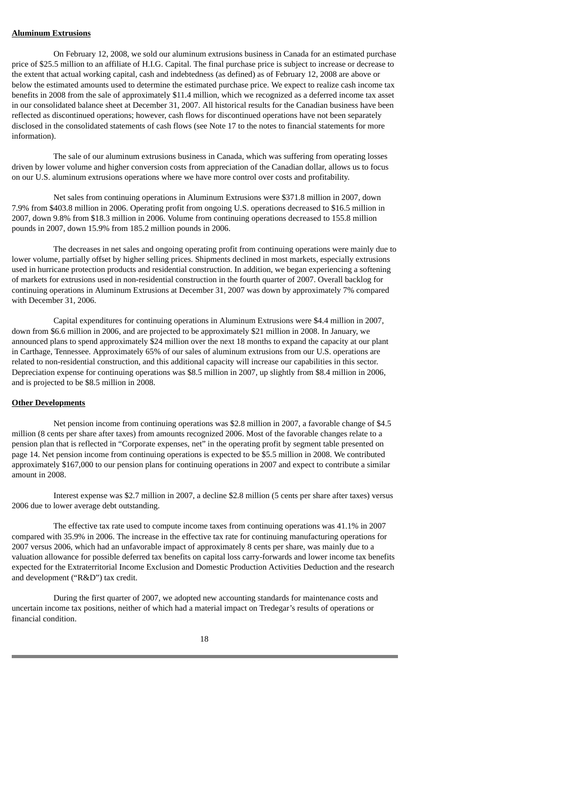## **Aluminum Extrusions**

 On February 12, 2008, we sold our aluminum extrusions business in Canada for an estimated purchase price of \$25.5 million to an affiliate of H.I.G. Capital. The final purchase price is subject to increase or decrease to the extent that actual working capital, cash and indebtedness (as defined) as of February 12, 2008 are above or below the estimated amounts used to determine the estimated purchase price. We expect to realize cash income tax benefits in 2008 from the sale of approximately \$11.4 million, which we recognized as a deferred income tax asset in our consolidated balance sheet at December 31, 2007. All historical results for the Canadian business have been reflected as discontinued operations; however, cash flows for discontinued operations have not been separately disclosed in the consolidated statements of cash flows (see Note 17 to the notes to financial statements for more information).

 The sale of our aluminum extrusions business in Canada, which was suffering from operating losses driven by lower volume and higher conversion costs from appreciation of the Canadian dollar, allows us to focus on our U.S. aluminum extrusions operations where we have more control over costs and profitability.

 Net sales from continuing operations in Aluminum Extrusions were \$371.8 million in 2007, down 7.9% from \$403.8 million in 2006. Operating profit from ongoing U.S. operations decreased to \$16.5 million in 2007, down 9.8% from \$18.3 million in 2006. Volume from continuing operations decreased to 155.8 million pounds in 2007, down 15.9% from 185.2 million pounds in 2006.

 The decreases in net sales and ongoing operating profit from continuing operations were mainly due to lower volume, partially offset by higher selling prices. Shipments declined in most markets, especially extrusions used in hurricane protection products and residential construction. In addition, we began experiencing a softening of markets for extrusions used in non-residential construction in the fourth quarter of 2007. Overall backlog for continuing operations in Aluminum Extrusions at December 31, 2007 was down by approximately 7% compared with December 31, 2006.

 Capital expenditures for continuing operations in Aluminum Extrusions were \$4.4 million in 2007, down from \$6.6 million in 2006, and are projected to be approximately \$21 million in 2008. In January, we announced plans to spend approximately \$24 million over the next 18 months to expand the capacity at our plant in Carthage, Tennessee. Approximately 65% of our sales of aluminum extrusions from our U.S. operations are related to non-residential construction, and this additional capacity will increase our capabilities in this sector. Depreciation expense for continuing operations was \$8.5 million in 2007, up slightly from \$8.4 million in 2006, and is projected to be \$8.5 million in 2008.

## **Other Developments**

 Net pension income from continuing operations was \$2.8 million in 2007, a favorable change of \$4.5 million (8 cents per share after taxes) from amounts recognized 2006. Most of the favorable changes relate to a pension plan that is reflected in "Corporate expenses, net" in the operating profit by segment table presented on page 14. Net pension income from continuing operations is expected to be \$5.5 million in 2008. We contributed approximately \$167,000 to our pension plans for continuing operations in 2007 and expect to contribute a similar amount in 2008.

 Interest expense was \$2.7 million in 2007, a decline \$2.8 million (5 cents per share after taxes) versus 2006 due to lower average debt outstanding.

 The effective tax rate used to compute income taxes from continuing operations was 41.1% in 2007 compared with 35.9% in 2006. The increase in the effective tax rate for continuing manufacturing operations for 2007 versus 2006, which had an unfavorable impact of approximately 8 cents per share, was mainly due to a valuation allowance for possible deferred tax benefits on capital loss carry-forwards and lower income tax benefits expected for the Extraterritorial Income Exclusion and Domestic Production Activities Deduction and the research and development ("R&D") tax credit.

 During the first quarter of 2007, we adopted new accounting standards for maintenance costs and uncertain income tax positions, neither of which had a material impact on Tredegar's results of operations or financial condition.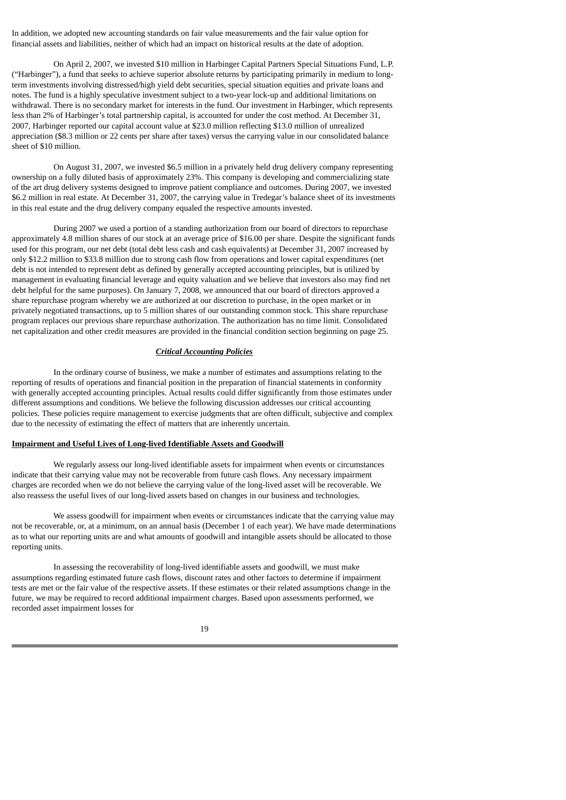In addition, we adopted new accounting standards on fair value measurements and the fair value option for financial assets and liabilities, neither of which had an impact on historical results at the date of adoption.

 On April 2, 2007, we invested \$10 million in Harbinger Capital Partners Special Situations Fund, L.P. ("Harbinger"), a fund that seeks to achieve superior absolute returns by participating primarily in medium to longterm investments involving distressed/high yield debt securities, special situation equities and private loans and notes. The fund is a highly speculative investment subject to a two-year lock-up and additional limitations on withdrawal. There is no secondary market for interests in the fund. Our investment in Harbinger, which represents less than 2% of Harbinger's total partnership capital, is accounted for under the cost method. At December 31, 2007, Harbinger reported our capital account value at \$23.0 million reflecting \$13.0 million of unrealized appreciation (\$8.3 million or 22 cents per share after taxes) versus the carrying value in our consolidated balance sheet of \$10 million.

 On August 31, 2007, we invested \$6.5 million in a privately held drug delivery company representing ownership on a fully diluted basis of approximately 23%. This company is developing and commercializing state of the art drug delivery systems designed to improve patient compliance and outcomes. During 2007, we invested \$6.2 million in real estate. At December 31, 2007, the carrying value in Tredegar's balance sheet of its investments in this real estate and the drug delivery company equaled the respective amounts invested.

 During 2007 we used a portion of a standing authorization from our board of directors to repurchase approximately 4.8 million shares of our stock at an average price of \$16.00 per share. Despite the significant funds used for this program, our net debt (total debt less cash and cash equivalents) at December 31, 2007 increased by only \$12.2 million to \$33.8 million due to strong cash flow from operations and lower capital expenditures (net debt is not intended to represent debt as defined by generally accepted accounting principles, but is utilized by management in evaluating financial leverage and equity valuation and we believe that investors also may find net debt helpful for the same purposes). On January 7, 2008, we announced that our board of directors approved a share repurchase program whereby we are authorized at our discretion to purchase, in the open market or in privately negotiated transactions, up to 5 million shares of our outstanding common stock. This share repurchase program replaces our previous share repurchase authorization. The authorization has no time limit. Consolidated net capitalization and other credit measures are provided in the financial condition section beginning on page 25.

## *Critical Accounting Policies*

 In the ordinary course of business, we make a number of estimates and assumptions relating to the reporting of results of operations and financial position in the preparation of financial statements in conformity with generally accepted accounting principles. Actual results could differ significantly from those estimates under different assumptions and conditions. We believe the following discussion addresses our critical accounting policies. These policies require management to exercise judgments that are often difficult, subjective and complex due to the necessity of estimating the effect of matters that are inherently uncertain.

## **Impairment and Useful Lives of Long-lived Identifiable Assets and Goodwill**

 We regularly assess our long-lived identifiable assets for impairment when events or circumstances indicate that their carrying value may not be recoverable from future cash flows. Any necessary impairment charges are recorded when we do not believe the carrying value of the long-lived asset will be recoverable. We also reassess the useful lives of our long-lived assets based on changes in our business and technologies.

 We assess goodwill for impairment when events or circumstances indicate that the carrying value may not be recoverable, or, at a minimum, on an annual basis (December 1 of each year). We have made determinations as to what our reporting units are and what amounts of goodwill and intangible assets should be allocated to those reporting units.

 In assessing the recoverability of long-lived identifiable assets and goodwill, we must make assumptions regarding estimated future cash flows, discount rates and other factors to determine if impairment tests are met or the fair value of the respective assets. If these estimates or their related assumptions change in the future, we may be required to record additional impairment charges. Based upon assessments performed, we recorded asset impairment losses for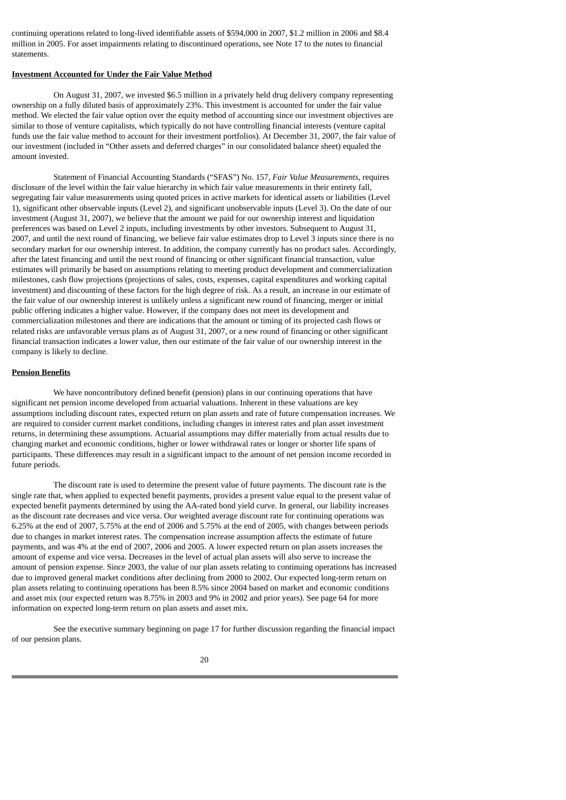continuing operations related to long-lived identifiable assets of \$594,000 in 2007, \$1.2 million in 2006 and \$8.4 million in 2005. For asset impairments relating to discontinued operations, see Note 17 to the notes to financial statements.

## **Investment Accounted for Under the Fair Value Method**

 On August 31, 2007, we invested \$6.5 million in a privately held drug delivery company representing ownership on a fully diluted basis of approximately 23%. This investment is accounted for under the fair value method. We elected the fair value option over the equity method of accounting since our investment objectives are similar to those of venture capitalists, which typically do not have controlling financial interests (venture capital funds use the fair value method to account for their investment portfolios). At December 31, 2007, the fair value of our investment (included in "Other assets and deferred charges" in our consolidated balance sheet) equaled the amount invested.

 Statement of Financial Accounting Standards ("SFAS") No. 157, *Fair Value Measurements*, requires disclosure of the level within the fair value hierarchy in which fair value measurements in their entirety fall, segregating fair value measurements using quoted prices in active markets for identical assets or liabilities (Level 1), significant other observable inputs (Level 2), and significant unobservable inputs (Level 3). On the date of our investment (August 31, 2007), we believe that the amount we paid for our ownership interest and liquidation preferences was based on Level 2 inputs, including investments by other investors. Subsequent to August 31, 2007, and until the next round of financing, we believe fair value estimates drop to Level 3 inputs since there is no secondary market for our ownership interest. In addition, the company currently has no product sales. Accordingly, after the latest financing and until the next round of financing or other significant financial transaction, value estimates will primarily be based on assumptions relating to meeting product development and commercialization milestones, cash flow projections (projections of sales, costs, expenses, capital expenditures and working capital investment) and discounting of these factors for the high degree of risk. As a result, an increase in our estimate of the fair value of our ownership interest is unlikely unless a significant new round of financing, merger or initial public offering indicates a higher value. However, if the company does not meet its development and commercialization milestones and there are indications that the amount or timing of its projected cash flows or related risks are unfavorable versus plans as of August 31, 2007, or a new round of financing or other significant financial transaction indicates a lower value, then our estimate of the fair value of our ownership interest in the company is likely to decline.

### **Pension Benefits**

 We have noncontributory defined benefit (pension) plans in our continuing operations that have significant net pension income developed from actuarial valuations. Inherent in these valuations are key assumptions including discount rates, expected return on plan assets and rate of future compensation increases. We are required to consider current market conditions, including changes in interest rates and plan asset investment returns, in determining these assumptions. Actuarial assumptions may differ materially from actual results due to changing market and economic conditions, higher or lower withdrawal rates or longer or shorter life spans of participants. These differences may result in a significant impact to the amount of net pension income recorded in future periods.

 The discount rate is used to determine the present value of future payments. The discount rate is the single rate that, when applied to expected benefit payments, provides a present value equal to the present value of expected benefit payments determined by using the AA-rated bond yield curve. In general, our liability increases as the discount rate decreases and vice versa. Our weighted average discount rate for continuing operations was 6.25% at the end of 2007, 5.75% at the end of 2006 and 5.75% at the end of 2005, with changes between periods due to changes in market interest rates. The compensation increase assumption affects the estimate of future payments, and was 4% at the end of 2007, 2006 and 2005. A lower expected return on plan assets increases the amount of expense and vice versa. Decreases in the level of actual plan assets will also serve to increase the amount of pension expense. Since 2003, the value of our plan assets relating to continuing operations has increased due to improved general market conditions after declining from 2000 to 2002. Our expected long-term return on plan assets relating to continuing operations has been 8.5% since 2004 based on market and economic conditions and asset mix (our expected return was 8.75% in 2003 and 9% in 2002 and prior years). See page 64 for more information on expected long-term return on plan assets and asset mix.

 See the executive summary beginning on page 17 for further discussion regarding the financial impact of our pension plans.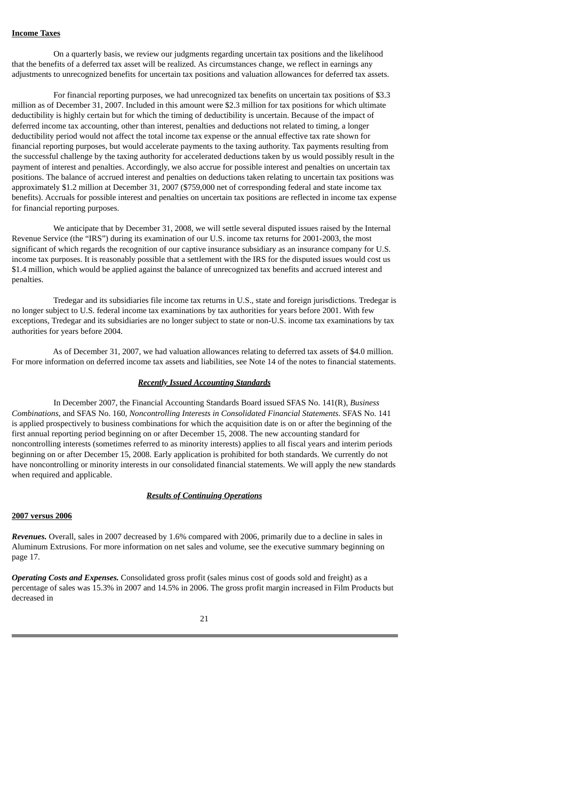#### **Income Taxes**

 On a quarterly basis, we review our judgments regarding uncertain tax positions and the likelihood that the benefits of a deferred tax asset will be realized. As circumstances change, we reflect in earnings any adjustments to unrecognized benefits for uncertain tax positions and valuation allowances for deferred tax assets.

 For financial reporting purposes, we had unrecognized tax benefits on uncertain tax positions of \$3.3 million as of December 31, 2007. Included in this amount were \$2.3 million for tax positions for which ultimate deductibility is highly certain but for which the timing of deductibility is uncertain. Because of the impact of deferred income tax accounting, other than interest, penalties and deductions not related to timing, a longer deductibility period would not affect the total income tax expense or the annual effective tax rate shown for financial reporting purposes, but would accelerate payments to the taxing authority. Tax payments resulting from the successful challenge by the taxing authority for accelerated deductions taken by us would possibly result in the payment of interest and penalties. Accordingly, we also accrue for possible interest and penalties on uncertain tax positions. The balance of accrued interest and penalties on deductions taken relating to uncertain tax positions was approximately \$1.2 million at December 31, 2007 (\$759,000 net of corresponding federal and state income tax benefits). Accruals for possible interest and penalties on uncertain tax positions are reflected in income tax expense for financial reporting purposes.

 We anticipate that by December 31, 2008, we will settle several disputed issues raised by the Internal Revenue Service (the "IRS") during its examination of our U.S. income tax returns for 2001-2003, the most significant of which regards the recognition of our captive insurance subsidiary as an insurance company for U.S. income tax purposes. It is reasonably possible that a settlement with the IRS for the disputed issues would cost us \$1.4 million, which would be applied against the balance of unrecognized tax benefits and accrued interest and penalties.

 Tredegar and its subsidiaries file income tax returns in U.S., state and foreign jurisdictions. Tredegar is no longer subject to U.S. federal income tax examinations by tax authorities for years before 2001. With few exceptions, Tredegar and its subsidiaries are no longer subject to state or non-U.S. income tax examinations by tax authorities for years before 2004.

 As of December 31, 2007, we had valuation allowances relating to deferred tax assets of \$4.0 million. For more information on deferred income tax assets and liabilities, see Note 14 of the notes to financial statements.

### *Recently Issued Accounting Standards*

 In December 2007, the Financial Accounting Standards Board issued SFAS No. 141(R), *Business Combinations*, and SFAS No. 160, *Noncontrolling Interests in Consolidated Financial Statements*. SFAS No. 141 is applied prospectively to business combinations for which the acquisition date is on or after the beginning of the first annual reporting period beginning on or after December 15, 2008. The new accounting standard for noncontrolling interests (sometimes referred to as minority interests) applies to all fiscal years and interim periods beginning on or after December 15, 2008. Early application is prohibited for both standards. We currently do not have noncontrolling or minority interests in our consolidated financial statements. We will apply the new standards when required and applicable.

### *Results of Continuing Operations*

# **2007 versus 2006**

*Revenues.* Overall, sales in 2007 decreased by 1.6% compared with 2006, primarily due to a decline in sales in Aluminum Extrusions. For more information on net sales and volume, see the executive summary beginning on page 17.

*Operating Costs and Expenses.* Consolidated gross profit (sales minus cost of goods sold and freight) as a percentage of sales was 15.3% in 2007 and 14.5% in 2006. The gross profit margin increased in Film Products but decreased in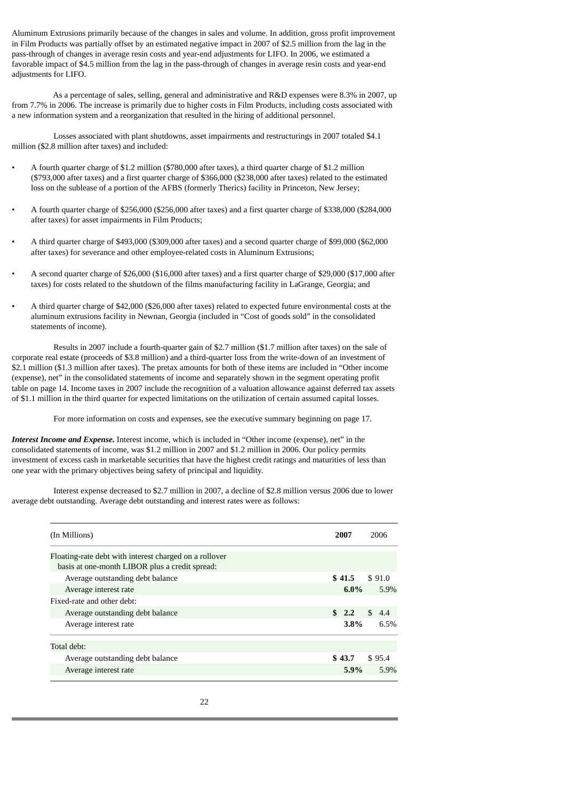Aluminum Extrusions primarily because of the changes in sales and volume. In addition, gross profit improvement in Film Products was partially offset by an estimated negative impact in 2007 of \$2.5 million from the lag in the pass-through of changes in average resin costs and year-end adjustments for LIFO. In 2006, we estimated a favorable impact of \$4.5 million from the lag in the pass-through of changes in average resin costs and year-end adjustments for LIFO.

 As a percentage of sales, selling, general and administrative and R&D expenses were 8.3% in 2007, up from 7.7% in 2006. The increase is primarily due to higher costs in Film Products, including costs associated with a new information system and a reorganization that resulted in the hiring of additional personnel.

 Losses associated with plant shutdowns, asset impairments and restructurings in 2007 totaled \$4.1 million (\$2.8 million after taxes) and included:

- A fourth quarter charge of \$1.2 million (\$780,000 after taxes), a third quarter charge of \$1.2 million (\$793,000 after taxes) and a first quarter charge of \$366,000 (\$238,000 after taxes) related to the estimated loss on the sublease of a portion of the AFBS (formerly Therics) facility in Princeton, New Jersey;
- A fourth quarter charge of \$256,000 (\$256,000 after taxes) and a first quarter charge of \$338,000 (\$284,000 after taxes) for asset impairments in Film Products;
- A third quarter charge of \$493,000 (\$309,000 after taxes) and a second quarter charge of \$99,000 (\$62,000 after taxes) for severance and other employee-related costs in Aluminum Extrusions;
- A second quarter charge of \$26,000 (\$16,000 after taxes) and a first quarter charge of \$29,000 (\$17,000 after taxes) for costs related to the shutdown of the films manufacturing facility in LaGrange, Georgia; and
- A third quarter charge of \$42,000 (\$26,000 after taxes) related to expected future environmental costs at the aluminum extrusions facility in Newnan, Georgia (included in "Cost of goods sold" in the consolidated statements of income).

 Results in 2007 include a fourth-quarter gain of \$2.7 million (\$1.7 million after taxes) on the sale of corporate real estate (proceeds of \$3.8 million) and a third-quarter loss from the write-down of an investment of \$2.1 million (\$1.3 million after taxes). The pretax amounts for both of these items are included in "Other income (expense), net" in the consolidated statements of income and separately shown in the segment operating profit table on page 14. Income taxes in 2007 include the recognition of a valuation allowance against deferred tax assets of \$1.1 million in the third quarter for expected limitations on the utilization of certain assumed capital losses.

For more information on costs and expenses, see the executive summary beginning on page 17.

*Interest Income and Expense.* Interest income, which is included in "Other income (expense), net" in the consolidated statements of income, was \$1.2 million in 2007 and \$1.2 million in 2006. Our policy permits investment of excess cash in marketable securities that have the highest credit ratings and maturities of less than one year with the primary objectives being safety of principal and liquidity.

 Interest expense decreased to \$2.7 million in 2007, a decline of \$2.8 million versus 2006 due to lower average debt outstanding. Average debt outstanding and interest rates were as follows:

| (In Millions)                                                                                            | 2007    | 2006       |
|----------------------------------------------------------------------------------------------------------|---------|------------|
| Floating-rate debt with interest charged on a rollover<br>basis at one-month LIBOR plus a credit spread: |         |            |
| Average outstanding debt balance                                                                         | \$41.5  | \$91.0     |
| Average interest rate                                                                                    | $6.0\%$ | 5.9%       |
| Fixed-rate and other debt:                                                                               |         |            |
| Average outstanding debt balance                                                                         | \$2.2   | \$<br>-4.4 |
| Average interest rate                                                                                    | 3.8%    | 6.5%       |
| Total debt:                                                                                              |         |            |
| Average outstanding debt balance                                                                         | \$43.7  | \$95.4     |
| Average interest rate                                                                                    | 5.9%    | 5.9%       |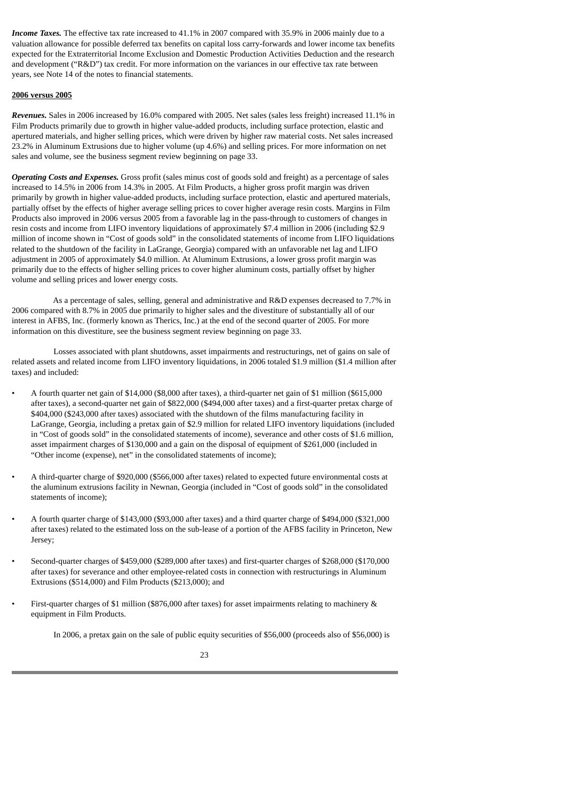*Income Taxes.* The effective tax rate increased to 41.1% in 2007 compared with 35.9% in 2006 mainly due to a valuation allowance for possible deferred tax benefits on capital loss carry-forwards and lower income tax benefits expected for the Extraterritorial Income Exclusion and Domestic Production Activities Deduction and the research and development ("R&D") tax credit. For more information on the variances in our effective tax rate between years, see Note 14 of the notes to financial statements.

## **2006 versus 2005**

*Revenues.* Sales in 2006 increased by 16.0% compared with 2005. Net sales (sales less freight) increased 11.1% in Film Products primarily due to growth in higher value-added products, including surface protection, elastic and apertured materials, and higher selling prices, which were driven by higher raw material costs. Net sales increased 23.2% in Aluminum Extrusions due to higher volume (up 4.6%) and selling prices. For more information on net sales and volume, see the business segment review beginning on page 33.

*Operating Costs and Expenses.* Gross profit (sales minus cost of goods sold and freight) as a percentage of sales increased to 14.5% in 2006 from 14.3% in 2005. At Film Products, a higher gross profit margin was driven primarily by growth in higher value-added products, including surface protection, elastic and apertured materials, partially offset by the effects of higher average selling prices to cover higher average resin costs. Margins in Film Products also improved in 2006 versus 2005 from a favorable lag in the pass-through to customers of changes in resin costs and income from LIFO inventory liquidations of approximately \$7.4 million in 2006 (including \$2.9 million of income shown in "Cost of goods sold" in the consolidated statements of income from LIFO liquidations related to the shutdown of the facility in LaGrange, Georgia) compared with an unfavorable net lag and LIFO adjustment in 2005 of approximately \$4.0 million. At Aluminum Extrusions, a lower gross profit margin was primarily due to the effects of higher selling prices to cover higher aluminum costs, partially offset by higher volume and selling prices and lower energy costs.

 As a percentage of sales, selling, general and administrative and R&D expenses decreased to 7.7% in 2006 compared with 8.7% in 2005 due primarily to higher sales and the divestiture of substantially all of our interest in AFBS, Inc. (formerly known as Therics, Inc.) at the end of the second quarter of 2005. For more information on this divestiture, see the business segment review beginning on page 33.

 Losses associated with plant shutdowns, asset impairments and restructurings, net of gains on sale of related assets and related income from LIFO inventory liquidations, in 2006 totaled \$1.9 million (\$1.4 million after taxes) and included:

- A fourth quarter net gain of \$14,000 (\$8,000 after taxes), a third-quarter net gain of \$1 million (\$615,000 after taxes), a second-quarter net gain of \$822,000 (\$494,000 after taxes) and a first-quarter pretax charge of \$404,000 (\$243,000 after taxes) associated with the shutdown of the films manufacturing facility in LaGrange, Georgia, including a pretax gain of \$2.9 million for related LIFO inventory liquidations (included in "Cost of goods sold" in the consolidated statements of income), severance and other costs of \$1.6 million, asset impairment charges of \$130,000 and a gain on the disposal of equipment of \$261,000 (included in "Other income (expense), net" in the consolidated statements of income);
- A third-quarter charge of \$920,000 (\$566,000 after taxes) related to expected future environmental costs at the aluminum extrusions facility in Newnan, Georgia (included in "Cost of goods sold" in the consolidated statements of income);
- A fourth quarter charge of \$143,000 (\$93,000 after taxes) and a third quarter charge of \$494,000 (\$321,000 after taxes) related to the estimated loss on the sub-lease of a portion of the AFBS facility in Princeton, New Jersey;
- Second-quarter charges of \$459,000 (\$289,000 after taxes) and first-quarter charges of \$268,000 (\$170,000 after taxes) for severance and other employee-related costs in connection with restructurings in Aluminum Extrusions (\$514,000) and Film Products (\$213,000); and
- First-quarter charges of \$1 million (\$876,000 after taxes) for asset impairments relating to machinery & equipment in Film Products.

In 2006, a pretax gain on the sale of public equity securities of \$56,000 (proceeds also of \$56,000) is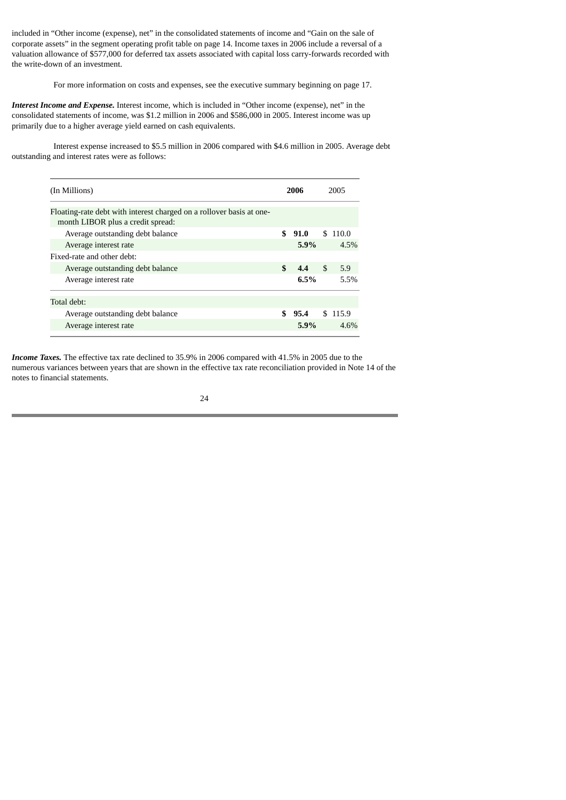included in "Other income (expense), net" in the consolidated statements of income and "Gain on the sale of corporate assets" in the segment operating profit table on page 14. Income taxes in 2006 include a reversal of a valuation allowance of \$577,000 for deferred tax assets associated with capital loss carry-forwards recorded with the write-down of an investment.

For more information on costs and expenses, see the executive summary beginning on page 17.

*Interest Income and Expense.* Interest income, which is included in "Other income (expense), net" in the consolidated statements of income, was \$1.2 million in 2006 and \$586,000 in 2005. Interest income was up primarily due to a higher average yield earned on cash equivalents.

 Interest expense increased to \$5.5 million in 2006 compared with \$4.6 million in 2005. Average debt outstanding and interest rates were as follows:

| (In Millions)                                                                                             | 2006 |      | 2005 |         |
|-----------------------------------------------------------------------------------------------------------|------|------|------|---------|
| Floating-rate debt with interest charged on a rollover basis at one-<br>month LIBOR plus a credit spread: |      |      |      |         |
| Average outstanding debt balance                                                                          | \$   | 91.0 |      | \$110.0 |
| Average interest rate                                                                                     |      | 5.9% |      | 4.5%    |
| Fixed-rate and other debt:                                                                                |      |      |      |         |
| Average outstanding debt balance                                                                          | \$   | 4.4  | \$.  | 5.9     |
| Average interest rate                                                                                     |      | 6.5% |      | 5.5%    |
| Total debt:                                                                                               |      |      |      |         |
| Average outstanding debt balance                                                                          |      | 95.4 |      | \$115.9 |
| Average interest rate                                                                                     |      | 5.9% |      | 4.6%    |

*Income Taxes.* The effective tax rate declined to 35.9% in 2006 compared with 41.5% in 2005 due to the numerous variances between years that are shown in the effective tax rate reconciliation provided in Note 14 of the notes to financial statements.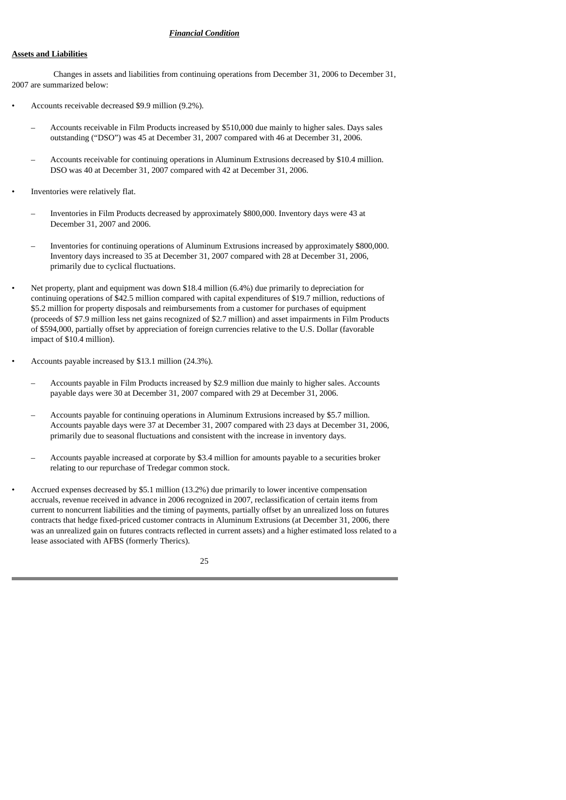#### *Financial Condition*

## **Assets and Liabilities**

 Changes in assets and liabilities from continuing operations from December 31, 2006 to December 31, 2007 are summarized below:

- Accounts receivable decreased \$9.9 million (9.2%).
	- Accounts receivable in Film Products increased by \$510,000 due mainly to higher sales. Days sales outstanding ("DSO") was 45 at December 31, 2007 compared with 46 at December 31, 2006.
	- Accounts receivable for continuing operations in Aluminum Extrusions decreased by \$10.4 million. DSO was 40 at December 31, 2007 compared with 42 at December 31, 2006.
- Inventories were relatively flat.
	- Inventories in Film Products decreased by approximately \$800,000. Inventory days were 43 at December 31, 2007 and 2006.
	- Inventories for continuing operations of Aluminum Extrusions increased by approximately \$800,000. Inventory days increased to 35 at December 31, 2007 compared with 28 at December 31, 2006, primarily due to cyclical fluctuations.
- Net property, plant and equipment was down \$18.4 million (6.4%) due primarily to depreciation for continuing operations of \$42.5 million compared with capital expenditures of \$19.7 million, reductions of \$5.2 million for property disposals and reimbursements from a customer for purchases of equipment (proceeds of \$7.9 million less net gains recognized of \$2.7 million) and asset impairments in Film Products of \$594,000, partially offset by appreciation of foreign currencies relative to the U.S. Dollar (favorable impact of \$10.4 million).

• Accounts payable increased by \$13.1 million (24.3%).

- Accounts payable in Film Products increased by \$2.9 million due mainly to higher sales. Accounts payable days were 30 at December 31, 2007 compared with 29 at December 31, 2006.
- Accounts payable for continuing operations in Aluminum Extrusions increased by \$5.7 million. Accounts payable days were 37 at December 31, 2007 compared with 23 days at December 31, 2006, primarily due to seasonal fluctuations and consistent with the increase in inventory days.
- Accounts payable increased at corporate by \$3.4 million for amounts payable to a securities broker relating to our repurchase of Tredegar common stock.
- Accrued expenses decreased by \$5.1 million (13.2%) due primarily to lower incentive compensation accruals, revenue received in advance in 2006 recognized in 2007, reclassification of certain items from current to noncurrent liabilities and the timing of payments, partially offset by an unrealized loss on futures contracts that hedge fixed-priced customer contracts in Aluminum Extrusions (at December 31, 2006, there was an unrealized gain on futures contracts reflected in current assets) and a higher estimated loss related to a lease associated with AFBS (formerly Therics).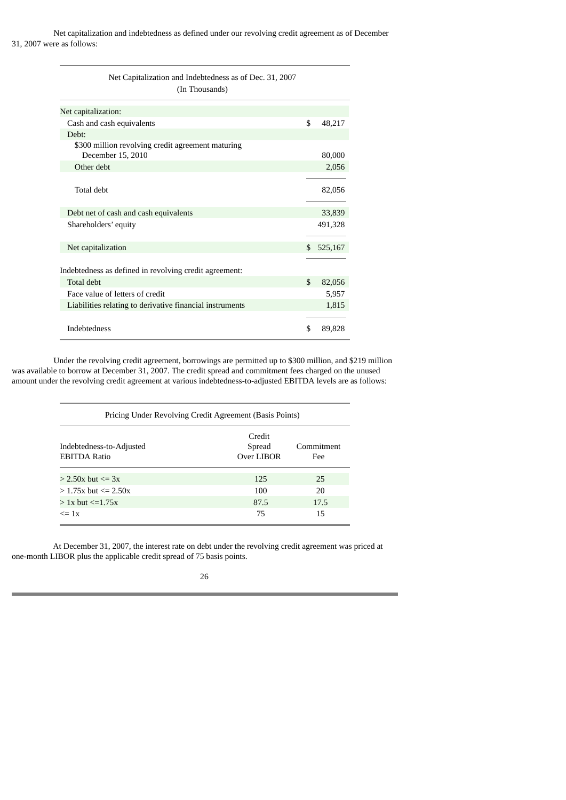Net capitalization and indebtedness as defined under our revolving credit agreement as of December 31, 2007 were as follows:

| Net Capitalization and Indebtedness as of Dec. 31, 2007<br>(In Thousands) |     |         |  |  |  |  |
|---------------------------------------------------------------------------|-----|---------|--|--|--|--|
| Net capitalization:                                                       |     |         |  |  |  |  |
| Cash and cash equivalents                                                 | \$  | 48,217  |  |  |  |  |
| Debt:                                                                     |     |         |  |  |  |  |
| \$300 million revolving credit agreement maturing<br>December 15, 2010    |     | 80,000  |  |  |  |  |
| Other debt                                                                |     | 2,056   |  |  |  |  |
|                                                                           |     |         |  |  |  |  |
| Total debt                                                                |     | 82,056  |  |  |  |  |
| Debt net of cash and cash equivalents                                     |     | 33,839  |  |  |  |  |
| Shareholders' equity                                                      |     | 491,328 |  |  |  |  |
|                                                                           |     |         |  |  |  |  |
| Net capitalization                                                        | \$. | 525,167 |  |  |  |  |
|                                                                           |     |         |  |  |  |  |
| Indebtedness as defined in revolving credit agreement:                    |     |         |  |  |  |  |
| <b>Total debt</b>                                                         | \$  | 82,056  |  |  |  |  |
| Face value of letters of credit                                           |     | 5,957   |  |  |  |  |
| Liabilities relating to derivative financial instruments                  |     | 1,815   |  |  |  |  |
|                                                                           |     |         |  |  |  |  |
| <b>Indebtedness</b>                                                       | S   | 89,828  |  |  |  |  |

 Under the revolving credit agreement, borrowings are permitted up to \$300 million, and \$219 million was available to borrow at December 31, 2007. The credit spread and commitment fees charged on the unused amount under the revolving credit agreement at various indebtedness-to-adjusted EBITDA levels are as follows:

| Pricing Under Revolving Credit Agreement (Basis Points) |                                |                   |  |  |  |  |
|---------------------------------------------------------|--------------------------------|-------------------|--|--|--|--|
| Indebtedness-to-Adjusted<br><b>EBITDA Ratio</b>         | Credit<br>Spread<br>Over LIBOR | Commitment<br>Fee |  |  |  |  |
| $> 2.50x$ but $\leq 3x$                                 | 125                            | 25                |  |  |  |  |
| $> 1.75x$ but $\leq 2.50x$                              | 100                            | 20                |  |  |  |  |
| $> 1x$ but $\leq 1.75x$                                 | 87.5                           | 17.5              |  |  |  |  |
| $\leq$ 1x                                               | 75                             | 15                |  |  |  |  |

 At December 31, 2007, the interest rate on debt under the revolving credit agreement was priced at one-month LIBOR plus the applicable credit spread of 75 basis points.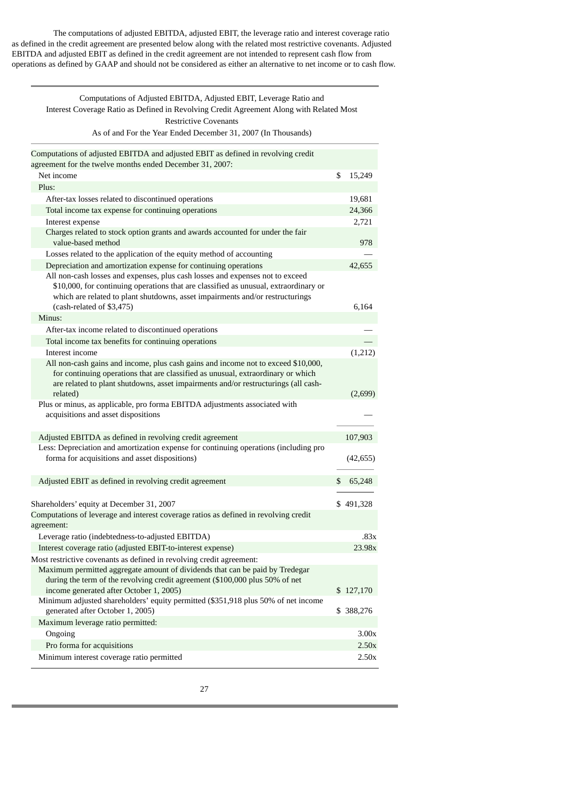The computations of adjusted EBITDA, adjusted EBIT, the leverage ratio and interest coverage ratio as defined in the credit agreement are presented below along with the related most restrictive covenants. Adjusted EBITDA and adjusted EBIT as defined in the credit agreement are not intended to represent cash flow from operations as defined by GAAP and should not be considered as either an alternative to net income or to cash flow.

Computations of Adjusted EBITDA, Adjusted EBIT, Leverage Ratio and Interest Coverage Ratio as Defined in Revolving Credit Agreement Along with Related Most Restrictive Covenants

As of and For the Year Ended December 31, 2007 (In Thousands)

| Computations of adjusted EBITDA and adjusted EBIT as defined in revolving credit<br>agreement for the twelve months ended December 31, 2007:                                                                                                                                        |              |
|-------------------------------------------------------------------------------------------------------------------------------------------------------------------------------------------------------------------------------------------------------------------------------------|--------------|
| Net income                                                                                                                                                                                                                                                                          | \$<br>15,249 |
| Plus:                                                                                                                                                                                                                                                                               |              |
| After-tax losses related to discontinued operations                                                                                                                                                                                                                                 | 19,681       |
| Total income tax expense for continuing operations                                                                                                                                                                                                                                  | 24,366       |
| Interest expense                                                                                                                                                                                                                                                                    | 2,721        |
| Charges related to stock option grants and awards accounted for under the fair<br>value-based method                                                                                                                                                                                | 978          |
| Losses related to the application of the equity method of accounting                                                                                                                                                                                                                |              |
| Depreciation and amortization expense for continuing operations                                                                                                                                                                                                                     | 42,655       |
| All non-cash losses and expenses, plus cash losses and expenses not to exceed<br>\$10,000, for continuing operations that are classified as unusual, extraordinary or<br>which are related to plant shutdowns, asset impairments and/or restructurings<br>(cash-related of \$3,475) | 6,164        |
| Minus:                                                                                                                                                                                                                                                                              |              |
| After-tax income related to discontinued operations                                                                                                                                                                                                                                 |              |
| Total income tax benefits for continuing operations                                                                                                                                                                                                                                 |              |
| Interest income                                                                                                                                                                                                                                                                     | (1,212)      |
| All non-cash gains and income, plus cash gains and income not to exceed \$10,000,<br>for continuing operations that are classified as unusual, extraordinary or which<br>are related to plant shutdowns, asset impairments and/or restructurings (all cash-<br>related)             | (2,699)      |
| Plus or minus, as applicable, pro forma EBITDA adjustments associated with<br>acquisitions and asset dispositions                                                                                                                                                                   |              |
| Adjusted EBITDA as defined in revolving credit agreement                                                                                                                                                                                                                            | 107,903      |
| Less: Depreciation and amortization expense for continuing operations (including pro<br>forma for acquisitions and asset dispositions)                                                                                                                                              | (42, 655)    |
| Adjusted EBIT as defined in revolving credit agreement                                                                                                                                                                                                                              | \$<br>65,248 |
|                                                                                                                                                                                                                                                                                     |              |
| Shareholders' equity at December 31, 2007                                                                                                                                                                                                                                           | \$491,328    |
| Computations of leverage and interest coverage ratios as defined in revolving credit<br>agreement:                                                                                                                                                                                  |              |
| Leverage ratio (indebtedness-to-adjusted EBITDA)                                                                                                                                                                                                                                    | .83x         |
| Interest coverage ratio (adjusted EBIT-to-interest expense)                                                                                                                                                                                                                         | 23.98x       |
| Most restrictive covenants as defined in revolving credit agreement:<br>Maximum permitted aggregate amount of dividends that can be paid by Tredegar<br>during the term of the revolving credit agreement (\$100,000 plus 50% of net                                                |              |
| income generated after October 1, 2005)                                                                                                                                                                                                                                             | \$127,170    |
| Minimum adjusted shareholders' equity permitted (\$351,918 plus 50% of net income                                                                                                                                                                                                   |              |
| generated after October 1, 2005)                                                                                                                                                                                                                                                    | \$ 388,276   |
| Maximum leverage ratio permitted:                                                                                                                                                                                                                                                   |              |
| Ongoing                                                                                                                                                                                                                                                                             | 3.00x        |
| Pro forma for acquisitions                                                                                                                                                                                                                                                          | 2.50x        |
| Minimum interest coverage ratio permitted                                                                                                                                                                                                                                           | 2.50x        |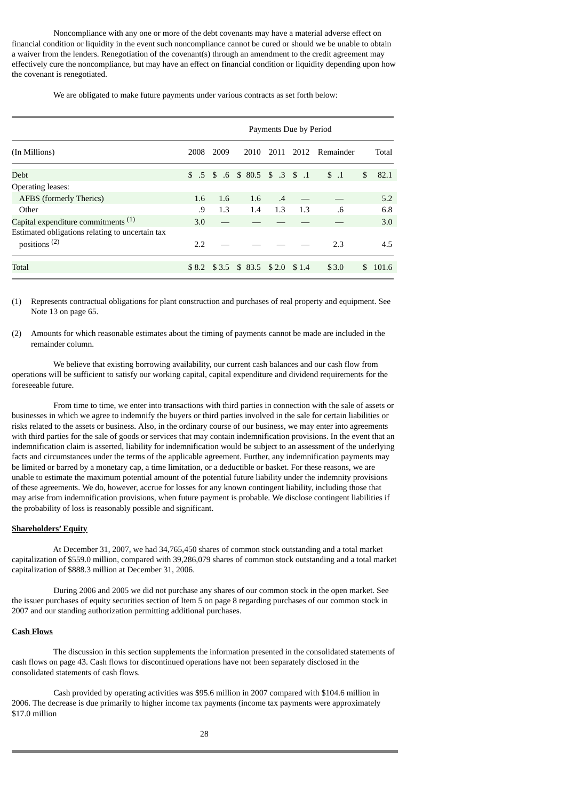Noncompliance with any one or more of the debt covenants may have a material adverse effect on financial condition or liquidity in the event such noncompliance cannot be cured or should we be unable to obtain a waiver from the lenders. Renegotiation of the covenant(s) through an amendment to the credit agreement may effectively cure the noncompliance, but may have an effect on financial condition or liquidity depending upon how the covenant is renegotiated.

We are obligated to make future payments under various contracts as set forth below:

| Payments Due by Period                                                                   |         |      |                          |           |           |                                       |     |       |
|------------------------------------------------------------------------------------------|---------|------|--------------------------|-----------|-----------|---------------------------------------|-----|-------|
| (In Millions)                                                                            | 2008    | 2009 | 2010                     |           | 2011 2012 | Remainder                             |     | Total |
| <b>Debt</b>                                                                              |         |      |                          |           |           | \$ .5 \$ .6 \$ 80.5 \$ .3 \$ .1 \$ .1 | \$  | 82.1  |
| Operating leases:                                                                        |         |      |                          |           |           |                                       |     |       |
| AFBS (formerly Therics)                                                                  | 1.6     | 1.6  | 1.6                      | $\cdot$ 4 |           |                                       |     | 5.2   |
| Other                                                                                    | $\cdot$ | 1.3  | 1.4                      | 1.3       | 1.3       | .6                                    |     | 6.8   |
| Capital expenditure commitments (1)                                                      | 3.0     |      |                          |           |           |                                       |     | 3.0   |
| Estimated obligations relating to uncertain tax<br>positions <sup><math>(2)</math></sup> | 2.2     |      |                          |           |           | 2.3                                   |     | 4.5   |
|                                                                                          |         |      |                          |           |           |                                       |     |       |
| <b>Total</b>                                                                             | \$8.2   |      | \$3.5 \$83.5 \$2.0 \$1.4 |           |           | \$3.0                                 | SS. | 101.6 |

(1) Represents contractual obligations for plant construction and purchases of real property and equipment. See Note 13 on page 65.

(2) Amounts for which reasonable estimates about the timing of payments cannot be made are included in the remainder column.

 We believe that existing borrowing availability, our current cash balances and our cash flow from operations will be sufficient to satisfy our working capital, capital expenditure and dividend requirements for the foreseeable future.

 From time to time, we enter into transactions with third parties in connection with the sale of assets or businesses in which we agree to indemnify the buyers or third parties involved in the sale for certain liabilities or risks related to the assets or business. Also, in the ordinary course of our business, we may enter into agreements with third parties for the sale of goods or services that may contain indemnification provisions. In the event that an indemnification claim is asserted, liability for indemnification would be subject to an assessment of the underlying facts and circumstances under the terms of the applicable agreement. Further, any indemnification payments may be limited or barred by a monetary cap, a time limitation, or a deductible or basket. For these reasons, we are unable to estimate the maximum potential amount of the potential future liability under the indemnity provisions of these agreements. We do, however, accrue for losses for any known contingent liability, including those that may arise from indemnification provisions, when future payment is probable. We disclose contingent liabilities if the probability of loss is reasonably possible and significant.

## **Shareholders' Equity**

 At December 31, 2007, we had 34,765,450 shares of common stock outstanding and a total market capitalization of \$559.0 million, compared with 39,286,079 shares of common stock outstanding and a total market capitalization of \$888.3 million at December 31, 2006.

 During 2006 and 2005 we did not purchase any shares of our common stock in the open market. See the issuer purchases of equity securities section of Item 5 on page 8 regarding purchases of our common stock in 2007 and our standing authorization permitting additional purchases.

## **Cash Flows**

 The discussion in this section supplements the information presented in the consolidated statements of cash flows on page 43. Cash flows for discontinued operations have not been separately disclosed in the consolidated statements of cash flows.

 Cash provided by operating activities was \$95.6 million in 2007 compared with \$104.6 million in 2006. The decrease is due primarily to higher income tax payments (income tax payments were approximately \$17.0 million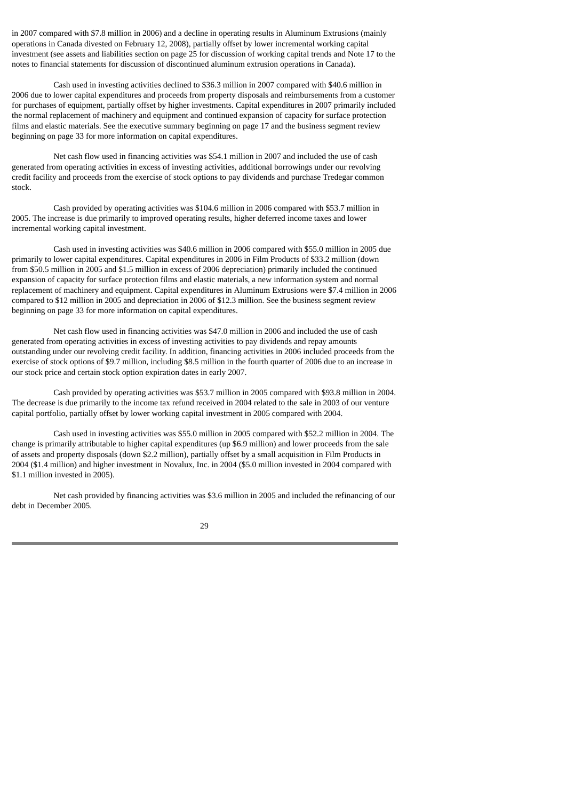in 2007 compared with \$7.8 million in 2006) and a decline in operating results in Aluminum Extrusions (mainly operations in Canada divested on February 12, 2008), partially offset by lower incremental working capital investment (see assets and liabilities section on page 25 for discussion of working capital trends and Note 17 to the notes to financial statements for discussion of discontinued aluminum extrusion operations in Canada).

 Cash used in investing activities declined to \$36.3 million in 2007 compared with \$40.6 million in 2006 due to lower capital expenditures and proceeds from property disposals and reimbursements from a customer for purchases of equipment, partially offset by higher investments. Capital expenditures in 2007 primarily included the normal replacement of machinery and equipment and continued expansion of capacity for surface protection films and elastic materials. See the executive summary beginning on page 17 and the business segment review beginning on page 33 for more information on capital expenditures.

 Net cash flow used in financing activities was \$54.1 million in 2007 and included the use of cash generated from operating activities in excess of investing activities, additional borrowings under our revolving credit facility and proceeds from the exercise of stock options to pay dividends and purchase Tredegar common stock.

 Cash provided by operating activities was \$104.6 million in 2006 compared with \$53.7 million in 2005. The increase is due primarily to improved operating results, higher deferred income taxes and lower incremental working capital investment.

 Cash used in investing activities was \$40.6 million in 2006 compared with \$55.0 million in 2005 due primarily to lower capital expenditures. Capital expenditures in 2006 in Film Products of \$33.2 million (down from \$50.5 million in 2005 and \$1.5 million in excess of 2006 depreciation) primarily included the continued expansion of capacity for surface protection films and elastic materials, a new information system and normal replacement of machinery and equipment. Capital expenditures in Aluminum Extrusions were \$7.4 million in 2006 compared to \$12 million in 2005 and depreciation in 2006 of \$12.3 million. See the business segment review beginning on page 33 for more information on capital expenditures.

 Net cash flow used in financing activities was \$47.0 million in 2006 and included the use of cash generated from operating activities in excess of investing activities to pay dividends and repay amounts outstanding under our revolving credit facility. In addition, financing activities in 2006 included proceeds from the exercise of stock options of \$9.7 million, including \$8.5 million in the fourth quarter of 2006 due to an increase in our stock price and certain stock option expiration dates in early 2007.

 Cash provided by operating activities was \$53.7 million in 2005 compared with \$93.8 million in 2004. The decrease is due primarily to the income tax refund received in 2004 related to the sale in 2003 of our venture capital portfolio, partially offset by lower working capital investment in 2005 compared with 2004.

 Cash used in investing activities was \$55.0 million in 2005 compared with \$52.2 million in 2004. The change is primarily attributable to higher capital expenditures (up \$6.9 million) and lower proceeds from the sale of assets and property disposals (down \$2.2 million), partially offset by a small acquisition in Film Products in 2004 (\$1.4 million) and higher investment in Novalux, Inc. in 2004 (\$5.0 million invested in 2004 compared with \$1.1 million invested in 2005).

 Net cash provided by financing activities was \$3.6 million in 2005 and included the refinancing of our debt in December 2005.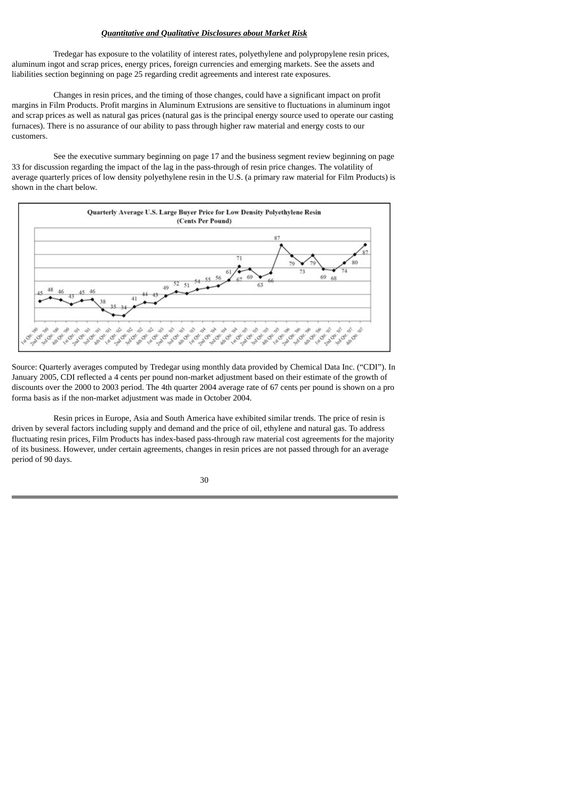## *Quantitative and Qualitative Disclosures about Market Risk*

 Tredegar has exposure to the volatility of interest rates, polyethylene and polypropylene resin prices, aluminum ingot and scrap prices, energy prices, foreign currencies and emerging markets. See the assets and liabilities section beginning on page 25 regarding credit agreements and interest rate exposures.

 Changes in resin prices, and the timing of those changes, could have a significant impact on profit margins in Film Products. Profit margins in Aluminum Extrusions are sensitive to fluctuations in aluminum ingot and scrap prices as well as natural gas prices (natural gas is the principal energy source used to operate our casting furnaces). There is no assurance of our ability to pass through higher raw material and energy costs to our customers.

 See the executive summary beginning on page 17 and the business segment review beginning on page 33 for discussion regarding the impact of the lag in the pass-through of resin price changes. The volatility of average quarterly prices of low density polyethylene resin in the U.S. (a primary raw material for Film Products) is shown in the chart below.



Source: Quarterly averages computed by Tredegar using monthly data provided by Chemical Data Inc. ("CDI"). In January 2005, CDI reflected a 4 cents per pound non-market adjustment based on their estimate of the growth of discounts over the 2000 to 2003 period. The 4th quarter 2004 average rate of 67 cents per pound is shown on a pro forma basis as if the non-market adjustment was made in October 2004.

 Resin prices in Europe, Asia and South America have exhibited similar trends. The price of resin is driven by several factors including supply and demand and the price of oil, ethylene and natural gas. To address fluctuating resin prices, Film Products has index-based pass-through raw material cost agreements for the majority of its business. However, under certain agreements, changes in resin prices are not passed through for an average period of 90 days.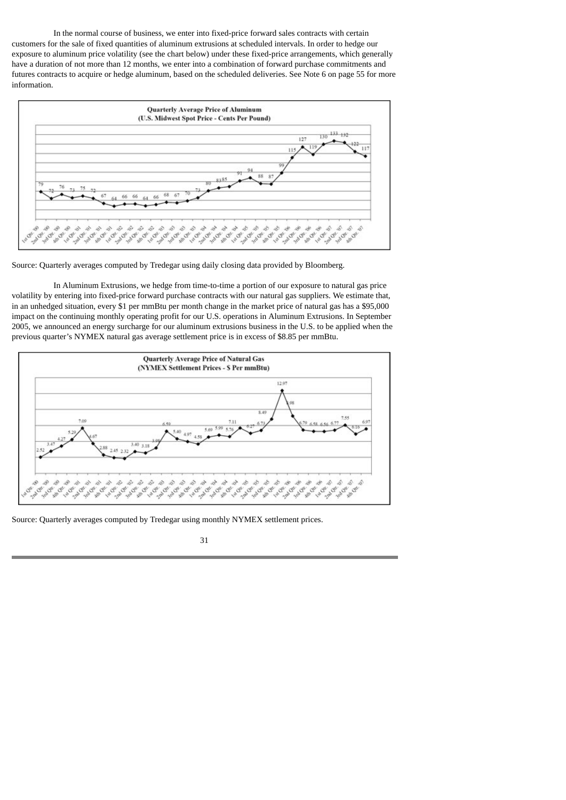In the normal course of business, we enter into fixed-price forward sales contracts with certain customers for the sale of fixed quantities of aluminum extrusions at scheduled intervals. In order to hedge our exposure to aluminum price volatility (see the chart below) under these fixed-price arrangements, which generally have a duration of not more than 12 months, we enter into a combination of forward purchase commitments and futures contracts to acquire or hedge aluminum, based on the scheduled deliveries. See Note 6 on page 55 for more information.



Source: Quarterly averages computed by Tredegar using daily closing data provided by Bloomberg.

 In Aluminum Extrusions, we hedge from time-to-time a portion of our exposure to natural gas price volatility by entering into fixed-price forward purchase contracts with our natural gas suppliers. We estimate that, in an unhedged situation, every \$1 per mmBtu per month change in the market price of natural gas has a \$95,000 impact on the continuing monthly operating profit for our U.S. operations in Aluminum Extrusions. In September 2005, we announced an energy surcharge for our aluminum extrusions business in the U.S. to be applied when the previous quarter's NYMEX natural gas average settlement price is in excess of \$8.85 per mmBtu.



Source: Quarterly averages computed by Tredegar using monthly NYMEX settlement prices.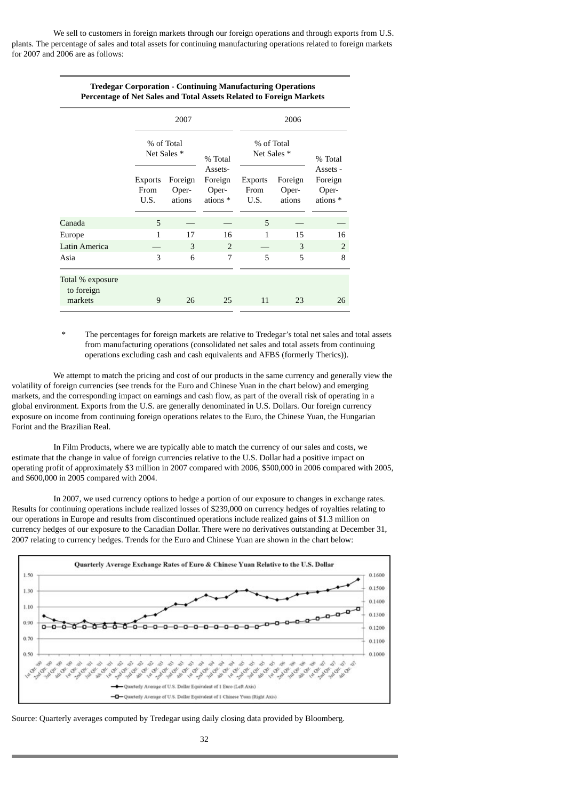We sell to customers in foreign markets through our foreign operations and through exports from U.S. plants. The percentage of sales and total assets for continuing manufacturing operations related to foreign markets for 2007 and 2006 are as follows:

|                                           |                         | 2007                       |                                         | 2006                           |                            |                                          |  |  |
|-------------------------------------------|-------------------------|----------------------------|-----------------------------------------|--------------------------------|----------------------------|------------------------------------------|--|--|
|                                           |                         | % of Total<br>Net Sales *  | % Total                                 | % of Total<br>Net Sales *      | % Total                    |                                          |  |  |
|                                           | Exports<br>From<br>U.S. | Foreign<br>Oper-<br>ations | Assets-<br>Foreign<br>Oper-<br>ations * | <b>Exports</b><br>From<br>U.S. | Foreign<br>Oper-<br>ations | Assets -<br>Foreign<br>Oper-<br>ations * |  |  |
| Canada                                    | 5                       |                            |                                         | 5                              |                            |                                          |  |  |
| Europe                                    | $\mathbf{1}$            | 17                         | 16                                      | $\mathbf{1}$                   | 15                         | 16                                       |  |  |
| Latin America                             |                         | 3                          | 2                                       |                                | 3                          | 2                                        |  |  |
| Asia                                      | 3                       | 6                          | 7                                       | 5                              | 5                          | 8                                        |  |  |
| Total % exposure<br>to foreign<br>markets | 9                       | 26                         | 25                                      | 11                             | 23                         | 26                                       |  |  |
|                                           |                         |                            |                                         |                                |                            |                                          |  |  |

**Tredegar Corporation - Continuing Manufacturing Operations Percentage of Net Sales and Total Assets Related to Foreign Markets**

The percentages for foreign markets are relative to Tredegar's total net sales and total assets from manufacturing operations (consolidated net sales and total assets from continuing operations excluding cash and cash equivalents and AFBS (formerly Therics)).

 We attempt to match the pricing and cost of our products in the same currency and generally view the volatility of foreign currencies (see trends for the Euro and Chinese Yuan in the chart below) and emerging markets, and the corresponding impact on earnings and cash flow, as part of the overall risk of operating in a global environment. Exports from the U.S. are generally denominated in U.S. Dollars. Our foreign currency exposure on income from continuing foreign operations relates to the Euro, the Chinese Yuan, the Hungarian Forint and the Brazilian Real.

 In Film Products, where we are typically able to match the currency of our sales and costs, we estimate that the change in value of foreign currencies relative to the U.S. Dollar had a positive impact on operating profit of approximately \$3 million in 2007 compared with 2006, \$500,000 in 2006 compared with 2005, and \$600,000 in 2005 compared with 2004.

 In 2007, we used currency options to hedge a portion of our exposure to changes in exchange rates. Results for continuing operations include realized losses of \$239,000 on currency hedges of royalties relating to our operations in Europe and results from discontinued operations include realized gains of \$1.3 million on currency hedges of our exposure to the Canadian Dollar. There were no derivatives outstanding at December 31, 2007 relating to currency hedges. Trends for the Euro and Chinese Yuan are shown in the chart below:



Source: Quarterly averages computed by Tredegar using daily closing data provided by Bloomberg.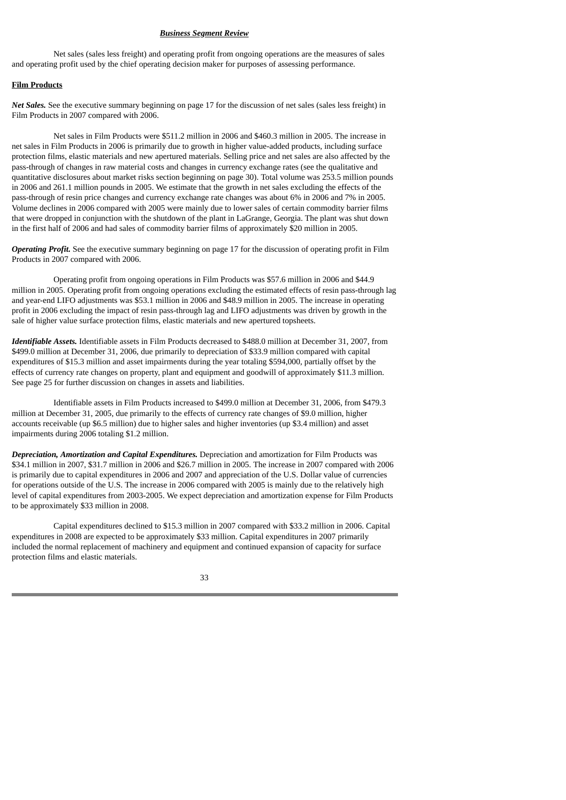#### *Business Segment Review*

 Net sales (sales less freight) and operating profit from ongoing operations are the measures of sales and operating profit used by the chief operating decision maker for purposes of assessing performance.

### **Film Products**

*Net Sales.* See the executive summary beginning on page 17 for the discussion of net sales (sales less freight) in Film Products in 2007 compared with 2006.

 Net sales in Film Products were \$511.2 million in 2006 and \$460.3 million in 2005. The increase in net sales in Film Products in 2006 is primarily due to growth in higher value-added products, including surface protection films, elastic materials and new apertured materials. Selling price and net sales are also affected by the pass-through of changes in raw material costs and changes in currency exchange rates (see the qualitative and quantitative disclosures about market risks section beginning on page 30). Total volume was 253.5 million pounds in 2006 and 261.1 million pounds in 2005. We estimate that the growth in net sales excluding the effects of the pass-through of resin price changes and currency exchange rate changes was about 6% in 2006 and 7% in 2005. Volume declines in 2006 compared with 2005 were mainly due to lower sales of certain commodity barrier films that were dropped in conjunction with the shutdown of the plant in LaGrange, Georgia. The plant was shut down in the first half of 2006 and had sales of commodity barrier films of approximately \$20 million in 2005.

*Operating Profit.* See the executive summary beginning on page 17 for the discussion of operating profit in Film Products in 2007 compared with 2006.

 Operating profit from ongoing operations in Film Products was \$57.6 million in 2006 and \$44.9 million in 2005. Operating profit from ongoing operations excluding the estimated effects of resin pass-through lag and year-end LIFO adjustments was \$53.1 million in 2006 and \$48.9 million in 2005. The increase in operating profit in 2006 excluding the impact of resin pass-through lag and LIFO adjustments was driven by growth in the sale of higher value surface protection films, elastic materials and new apertured topsheets.

*Identifiable Assets.* Identifiable assets in Film Products decreased to \$488.0 million at December 31, 2007, from \$499.0 million at December 31, 2006, due primarily to depreciation of \$33.9 million compared with capital expenditures of \$15.3 million and asset impairments during the year totaling \$594,000, partially offset by the effects of currency rate changes on property, plant and equipment and goodwill of approximately \$11.3 million. See page 25 for further discussion on changes in assets and liabilities.

 Identifiable assets in Film Products increased to \$499.0 million at December 31, 2006, from \$479.3 million at December 31, 2005, due primarily to the effects of currency rate changes of \$9.0 million, higher accounts receivable (up \$6.5 million) due to higher sales and higher inventories (up \$3.4 million) and asset impairments during 2006 totaling \$1.2 million.

*Depreciation, Amortization and Capital Expenditures.* Depreciation and amortization for Film Products was \$34.1 million in 2007, \$31.7 million in 2006 and \$26.7 million in 2005. The increase in 2007 compared with 2006 is primarily due to capital expenditures in 2006 and 2007 and appreciation of the U.S. Dollar value of currencies for operations outside of the U.S. The increase in 2006 compared with 2005 is mainly due to the relatively high level of capital expenditures from 2003-2005. We expect depreciation and amortization expense for Film Products to be approximately \$33 million in 2008.

 Capital expenditures declined to \$15.3 million in 2007 compared with \$33.2 million in 2006. Capital expenditures in 2008 are expected to be approximately \$33 million. Capital expenditures in 2007 primarily included the normal replacement of machinery and equipment and continued expansion of capacity for surface protection films and elastic materials.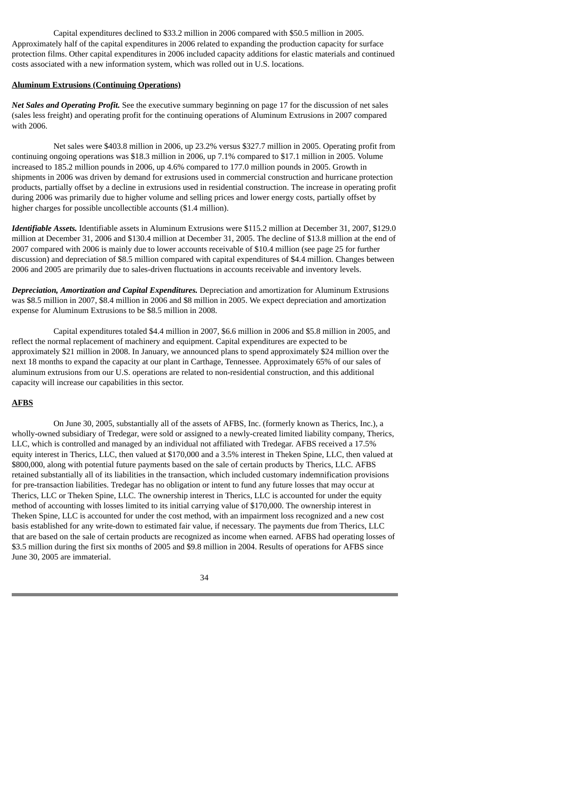Capital expenditures declined to \$33.2 million in 2006 compared with \$50.5 million in 2005. Approximately half of the capital expenditures in 2006 related to expanding the production capacity for surface protection films. Other capital expenditures in 2006 included capacity additions for elastic materials and continued costs associated with a new information system, which was rolled out in U.S. locations.

### **Aluminum Extrusions (Continuing Operations)**

*Net Sales and Operating Profit.* See the executive summary beginning on page 17 for the discussion of net sales (sales less freight) and operating profit for the continuing operations of Aluminum Extrusions in 2007 compared with 2006.

 Net sales were \$403.8 million in 2006, up 23.2% versus \$327.7 million in 2005. Operating profit from continuing ongoing operations was \$18.3 million in 2006, up 7.1% compared to \$17.1 million in 2005. Volume increased to 185.2 million pounds in 2006, up 4.6% compared to 177.0 million pounds in 2005. Growth in shipments in 2006 was driven by demand for extrusions used in commercial construction and hurricane protection products, partially offset by a decline in extrusions used in residential construction. The increase in operating profit during 2006 was primarily due to higher volume and selling prices and lower energy costs, partially offset by higher charges for possible uncollectible accounts (\$1.4 million).

*Identifiable Assets.* Identifiable assets in Aluminum Extrusions were \$115.2 million at December 31, 2007, \$129.0 million at December 31, 2006 and \$130.4 million at December 31, 2005. The decline of \$13.8 million at the end of 2007 compared with 2006 is mainly due to lower accounts receivable of \$10.4 million (see page 25 for further discussion) and depreciation of \$8.5 million compared with capital expenditures of \$4.4 million. Changes between 2006 and 2005 are primarily due to sales-driven fluctuations in accounts receivable and inventory levels.

*Depreciation, Amortization and Capital Expenditures.* Depreciation and amortization for Aluminum Extrusions was \$8.5 million in 2007, \$8.4 million in 2006 and \$8 million in 2005. We expect depreciation and amortization expense for Aluminum Extrusions to be \$8.5 million in 2008.

 Capital expenditures totaled \$4.4 million in 2007, \$6.6 million in 2006 and \$5.8 million in 2005, and reflect the normal replacement of machinery and equipment. Capital expenditures are expected to be approximately \$21 million in 2008. In January, we announced plans to spend approximately \$24 million over the next 18 months to expand the capacity at our plant in Carthage, Tennessee. Approximately 65% of our sales of aluminum extrusions from our U.S. operations are related to non-residential construction, and this additional capacity will increase our capabilities in this sector.

### **AFBS**

 On June 30, 2005, substantially all of the assets of AFBS, Inc. (formerly known as Therics, Inc.), a wholly-owned subsidiary of Tredegar, were sold or assigned to a newly-created limited liability company, Therics, LLC, which is controlled and managed by an individual not affiliated with Tredegar. AFBS received a 17.5% equity interest in Therics, LLC, then valued at \$170,000 and a 3.5% interest in Theken Spine, LLC, then valued at \$800,000, along with potential future payments based on the sale of certain products by Therics, LLC. AFBS retained substantially all of its liabilities in the transaction, which included customary indemnification provisions for pre-transaction liabilities. Tredegar has no obligation or intent to fund any future losses that may occur at Therics, LLC or Theken Spine, LLC. The ownership interest in Therics, LLC is accounted for under the equity method of accounting with losses limited to its initial carrying value of \$170,000. The ownership interest in Theken Spine, LLC is accounted for under the cost method, with an impairment loss recognized and a new cost basis established for any write-down to estimated fair value, if necessary. The payments due from Therics, LLC that are based on the sale of certain products are recognized as income when earned. AFBS had operating losses of \$3.5 million during the first six months of 2005 and \$9.8 million in 2004. Results of operations for AFBS since June 30, 2005 are immaterial.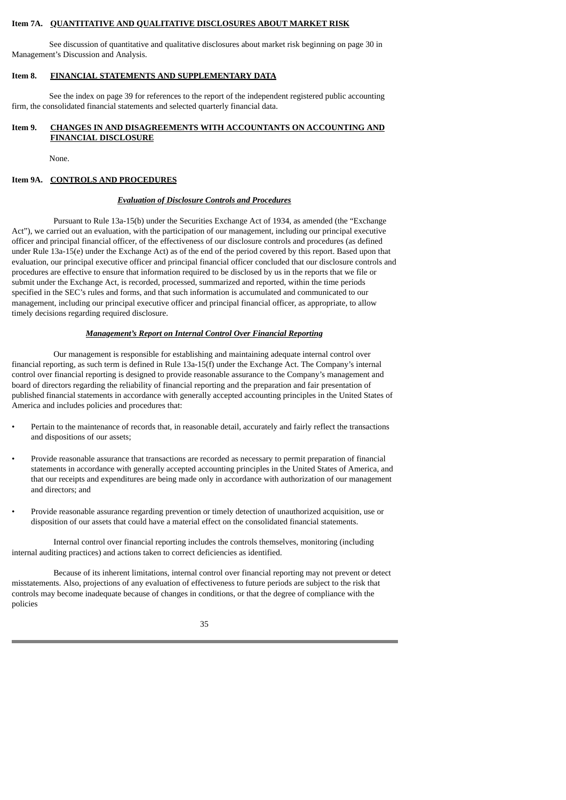### **Item 7A. QUANTITATIVE AND QUALITATIVE DISCLOSURES ABOUT MARKET RISK**

 See discussion of quantitative and qualitative disclosures about market risk beginning on page 30 in Management's Discussion and Analysis.

### **Item 8. FINANCIAL STATEMENTS AND SUPPLEMENTARY DATA**

 See the index on page 39 for references to the report of the independent registered public accounting firm, the consolidated financial statements and selected quarterly financial data.

# **Item 9. CHANGES IN AND DISAGREEMENTS WITH ACCOUNTANTS ON ACCOUNTING AND FINANCIAL DISCLOSURE**

None.

### **Item 9A. CONTROLS AND PROCEDURES**

### *Evaluation of Disclosure Controls and Procedures*

 Pursuant to Rule 13a-15(b) under the Securities Exchange Act of 1934, as amended (the "Exchange Act"), we carried out an evaluation, with the participation of our management, including our principal executive officer and principal financial officer, of the effectiveness of our disclosure controls and procedures (as defined under Rule 13a-15(e) under the Exchange Act) as of the end of the period covered by this report. Based upon that evaluation, our principal executive officer and principal financial officer concluded that our disclosure controls and procedures are effective to ensure that information required to be disclosed by us in the reports that we file or submit under the Exchange Act, is recorded, processed, summarized and reported, within the time periods specified in the SEC's rules and forms, and that such information is accumulated and communicated to our management, including our principal executive officer and principal financial officer, as appropriate, to allow timely decisions regarding required disclosure.

# *Management's Report on Internal Control Over Financial Reporting*

 Our management is responsible for establishing and maintaining adequate internal control over financial reporting, as such term is defined in Rule 13a-15(f) under the Exchange Act. The Company's internal control over financial reporting is designed to provide reasonable assurance to the Company's management and board of directors regarding the reliability of financial reporting and the preparation and fair presentation of published financial statements in accordance with generally accepted accounting principles in the United States of America and includes policies and procedures that:

- Pertain to the maintenance of records that, in reasonable detail, accurately and fairly reflect the transactions and dispositions of our assets;
- Provide reasonable assurance that transactions are recorded as necessary to permit preparation of financial statements in accordance with generally accepted accounting principles in the United States of America, and that our receipts and expenditures are being made only in accordance with authorization of our management and directors; and
- Provide reasonable assurance regarding prevention or timely detection of unauthorized acquisition, use or disposition of our assets that could have a material effect on the consolidated financial statements.

 Internal control over financial reporting includes the controls themselves, monitoring (including internal auditing practices) and actions taken to correct deficiencies as identified.

 Because of its inherent limitations, internal control over financial reporting may not prevent or detect misstatements. Also, projections of any evaluation of effectiveness to future periods are subject to the risk that controls may become inadequate because of changes in conditions, or that the degree of compliance with the policies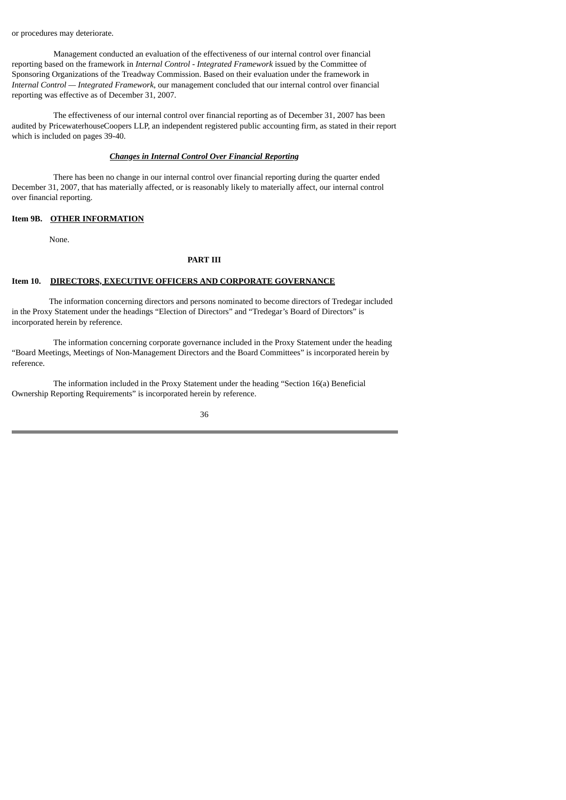or procedures may deteriorate.

 Management conducted an evaluation of the effectiveness of our internal control over financial reporting based on the framework in *Internal Control - Integrated Framework* issued by the Committee of Sponsoring Organizations of the Treadway Commission. Based on their evaluation under the framework in *Internal Control — Integrated Framework*, our management concluded that our internal control over financial reporting was effective as of December 31, 2007.

 The effectiveness of our internal control over financial reporting as of December 31, 2007 has been audited by PricewaterhouseCoopers LLP, an independent registered public accounting firm, as stated in their report which is included on pages 39-40.

# *Changes in Internal Control Over Financial Reporting*

 There has been no change in our internal control over financial reporting during the quarter ended December 31, 2007, that has materially affected, or is reasonably likely to materially affect, our internal control over financial reporting.

## **Item 9B. OTHER INFORMATION**

None.

# **PART III**

# **Item 10. DIRECTORS, EXECUTIVE OFFICERS AND CORPORATE GOVERNANCE**

 The information concerning directors and persons nominated to become directors of Tredegar included in the Proxy Statement under the headings "Election of Directors" and "Tredegar's Board of Directors" is incorporated herein by reference.

 The information concerning corporate governance included in the Proxy Statement under the heading "Board Meetings, Meetings of Non-Management Directors and the Board Committees" is incorporated herein by reference.

 The information included in the Proxy Statement under the heading "Section 16(a) Beneficial Ownership Reporting Requirements" is incorporated herein by reference.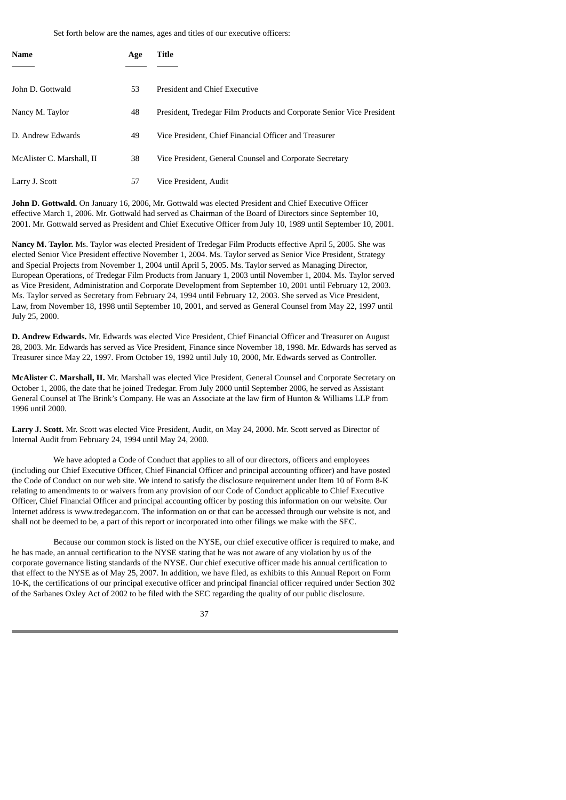Set forth below are the names, ages and titles of our executive officers:

| <b>Name</b>               | Age | Title                                                                 |
|---------------------------|-----|-----------------------------------------------------------------------|
|                           |     |                                                                       |
| John D. Gottwald          | 53  | President and Chief Executive                                         |
| Nancy M. Taylor           | 48  | President, Tredegar Film Products and Corporate Senior Vice President |
| D. Andrew Edwards         | 49  | Vice President, Chief Financial Officer and Treasurer                 |
| McAlister C. Marshall, II | 38  | Vice President, General Counsel and Corporate Secretary               |
| Larry J. Scott            | 57  | Vice President, Audit                                                 |

**John D. Gottwald.** On January 16, 2006, Mr. Gottwald was elected President and Chief Executive Officer effective March 1, 2006. Mr. Gottwald had served as Chairman of the Board of Directors since September 10, 2001. Mr. Gottwald served as President and Chief Executive Officer from July 10, 1989 until September 10, 2001.

**Nancy M. Taylor.** Ms. Taylor was elected President of Tredegar Film Products effective April 5, 2005. She was elected Senior Vice President effective November 1, 2004. Ms. Taylor served as Senior Vice President, Strategy and Special Projects from November 1, 2004 until April 5, 2005. Ms. Taylor served as Managing Director, European Operations, of Tredegar Film Products from January 1, 2003 until November 1, 2004. Ms. Taylor served as Vice President, Administration and Corporate Development from September 10, 2001 until February 12, 2003. Ms. Taylor served as Secretary from February 24, 1994 until February 12, 2003. She served as Vice President, Law, from November 18, 1998 until September 10, 2001, and served as General Counsel from May 22, 1997 until July 25, 2000.

**D. Andrew Edwards.** Mr. Edwards was elected Vice President, Chief Financial Officer and Treasurer on August 28, 2003. Mr. Edwards has served as Vice President, Finance since November 18, 1998. Mr. Edwards has served as Treasurer since May 22, 1997. From October 19, 1992 until July 10, 2000, Mr. Edwards served as Controller.

**McAlister C. Marshall, II.** Mr. Marshall was elected Vice President, General Counsel and Corporate Secretary on October 1, 2006, the date that he joined Tredegar. From July 2000 until September 2006, he served as Assistant General Counsel at The Brink's Company. He was an Associate at the law firm of Hunton & Williams LLP from 1996 until 2000.

**Larry J. Scott.** Mr. Scott was elected Vice President, Audit, on May 24, 2000. Mr. Scott served as Director of Internal Audit from February 24, 1994 until May 24, 2000.

 We have adopted a Code of Conduct that applies to all of our directors, officers and employees (including our Chief Executive Officer, Chief Financial Officer and principal accounting officer) and have posted the Code of Conduct on our web site. We intend to satisfy the disclosure requirement under Item 10 of Form 8-K relating to amendments to or waivers from any provision of our Code of Conduct applicable to Chief Executive Officer, Chief Financial Officer and principal accounting officer by posting this information on our website. Our Internet address is www.tredegar.com. The information on or that can be accessed through our website is not, and shall not be deemed to be, a part of this report or incorporated into other filings we make with the SEC.

 Because our common stock is listed on the NYSE, our chief executive officer is required to make, and he has made, an annual certification to the NYSE stating that he was not aware of any violation by us of the corporate governance listing standards of the NYSE. Our chief executive officer made his annual certification to that effect to the NYSE as of May 25, 2007. In addition, we have filed, as exhibits to this Annual Report on Form 10-K, the certifications of our principal executive officer and principal financial officer required under Section 302 of the Sarbanes Oxley Act of 2002 to be filed with the SEC regarding the quality of our public disclosure.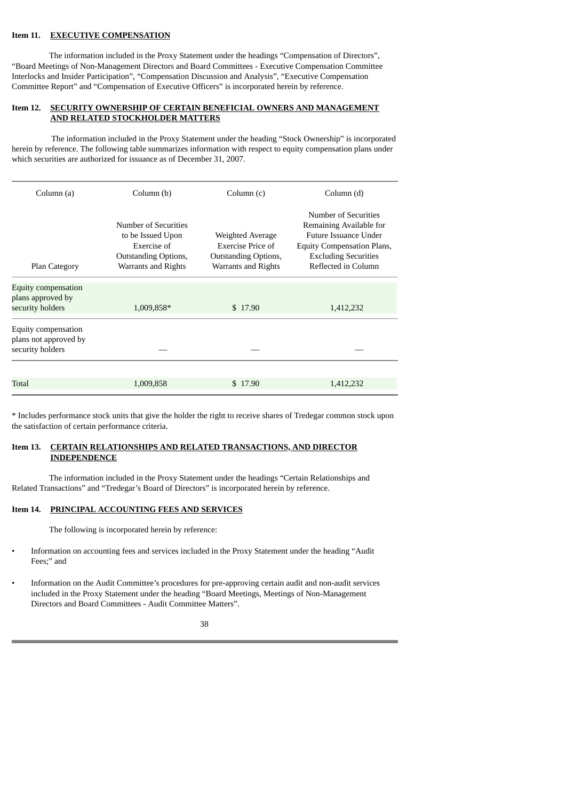# **Item 11. EXECUTIVE COMPENSATION**

 The information included in the Proxy Statement under the headings "Compensation of Directors", "Board Meetings of Non-Management Directors and Board Committees - Executive Compensation Committee Interlocks and Insider Participation", "Compensation Discussion and Analysis", "Executive Compensation Committee Report" and "Compensation of Executive Officers" is incorporated herein by reference.

# **Item 12. SECURITY OWNERSHIP OF CERTAIN BENEFICIAL OWNERS AND MANAGEMENT AND RELATED STOCKHOLDER MATTERS**

 The information included in the Proxy Statement under the heading "Stock Ownership" is incorporated herein by reference. The following table summarizes information with respect to equity compensation plans under which securities are authorized for issuance as of December 31, 2007.

| Column (a)                                                       | Column (b)                                                                                                     |                                                                                             | Column (d)                                                                                                                                                          |
|------------------------------------------------------------------|----------------------------------------------------------------------------------------------------------------|---------------------------------------------------------------------------------------------|---------------------------------------------------------------------------------------------------------------------------------------------------------------------|
| Plan Category                                                    | Number of Securities<br>to be Issued Upon<br>Exercise of<br><b>Outstanding Options,</b><br>Warrants and Rights | Weighted Average<br>Exercise Price of<br><b>Outstanding Options,</b><br>Warrants and Rights | Number of Securities<br>Remaining Available for<br>Future Issuance Under<br><b>Equity Compensation Plans,</b><br><b>Excluding Securities</b><br>Reflected in Column |
| <b>Equity compensation</b>                                       |                                                                                                                |                                                                                             |                                                                                                                                                                     |
| plans approved by                                                |                                                                                                                |                                                                                             |                                                                                                                                                                     |
| security holders                                                 | 1,009,858*                                                                                                     | \$17.90                                                                                     | 1,412,232                                                                                                                                                           |
| Equity compensation<br>plans not approved by<br>security holders |                                                                                                                |                                                                                             |                                                                                                                                                                     |
|                                                                  |                                                                                                                |                                                                                             |                                                                                                                                                                     |
| Total                                                            | 1,009,858                                                                                                      | \$17.90                                                                                     | 1,412,232                                                                                                                                                           |

\* Includes performance stock units that give the holder the right to receive shares of Tredegar common stock upon the satisfaction of certain performance criteria.

# **Item 13. CERTAIN RELATIONSHIPS AND RELATED TRANSACTIONS, AND DIRECTOR INDEPENDENCE**

 The information included in the Proxy Statement under the headings "Certain Relationships and Related Transactions" and "Tredegar's Board of Directors" is incorporated herein by reference.

### **Item 14. PRINCIPAL ACCOUNTING FEES AND SERVICES**

The following is incorporated herein by reference:

- Information on accounting fees and services included in the Proxy Statement under the heading "Audit Fees;" and
- Information on the Audit Committee's procedures for pre-approving certain audit and non-audit services included in the Proxy Statement under the heading "Board Meetings, Meetings of Non-Management Directors and Board Committees - Audit Committee Matters".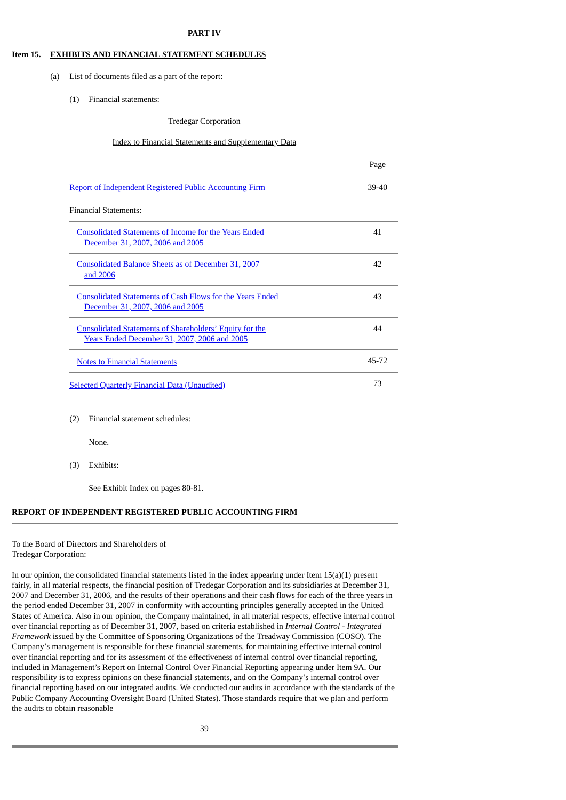#### **PART IV**

# **Item 15. EXHIBITS AND FINANCIAL STATEMENT SCHEDULES**

- (a) List of documents filed as a part of the report:
	- (1) Financial statements:

### Tredegar Corporation

# Index to Financial Statements and Supplementary Data

|                                                                                                                | Page  |
|----------------------------------------------------------------------------------------------------------------|-------|
| Report of Independent Registered Public Accounting Firm                                                        | 39-40 |
| <b>Financial Statements:</b>                                                                                   |       |
| <b>Consolidated Statements of Income for the Years Ended</b><br>December 31, 2007, 2006 and 2005               | 41    |
| Consolidated Balance Sheets as of December 31, 2007<br>and 2006                                                | 42    |
| <b>Consolidated Statements of Cash Flows for the Years Ended</b><br>December 31, 2007, 2006 and 2005           | 43    |
| <b>Consolidated Statements of Shareholders' Equity for the</b><br>Years Ended December 31, 2007, 2006 and 2005 | 44    |
| <b>Notes to Financial Statements</b>                                                                           | 45-72 |
| <b>Selected Quarterly Financial Data (Unaudited)</b>                                                           | 73    |

(2) Financial statement schedules:

None.

(3) Exhibits:

<span id="page-42-0"></span>See Exhibit Index on pages 80-81.

# **REPORT OF INDEPENDENT REGISTERED PUBLIC ACCOUNTING FIRM**

To the Board of Directors and Shareholders of Tredegar Corporation:

In our opinion, the consolidated financial statements listed in the index appearing under Item 15(a)(1) present fairly, in all material respects, the financial position of Tredegar Corporation and its subsidiaries at December 31, 2007 and December 31, 2006, and the results of their operations and their cash flows for each of the three years in the period ended December 31, 2007 in conformity with accounting principles generally accepted in the United States of America. Also in our opinion, the Company maintained, in all material respects, effective internal control over financial reporting as of December 31, 2007, based on criteria established in *Internal Control - Integrated Framework* issued by the Committee of Sponsoring Organizations of the Treadway Commission (COSO). The Company's management is responsible for these financial statements, for maintaining effective internal control over financial reporting and for its assessment of the effectiveness of internal control over financial reporting, included in Management's Report on Internal Control Over Financial Reporting appearing under Item 9A. Our responsibility is to express opinions on these financial statements, and on the Company's internal control over financial reporting based on our integrated audits. We conducted our audits in accordance with the standards of the Public Company Accounting Oversight Board (United States). Those standards require that we plan and perform the audits to obtain reasonable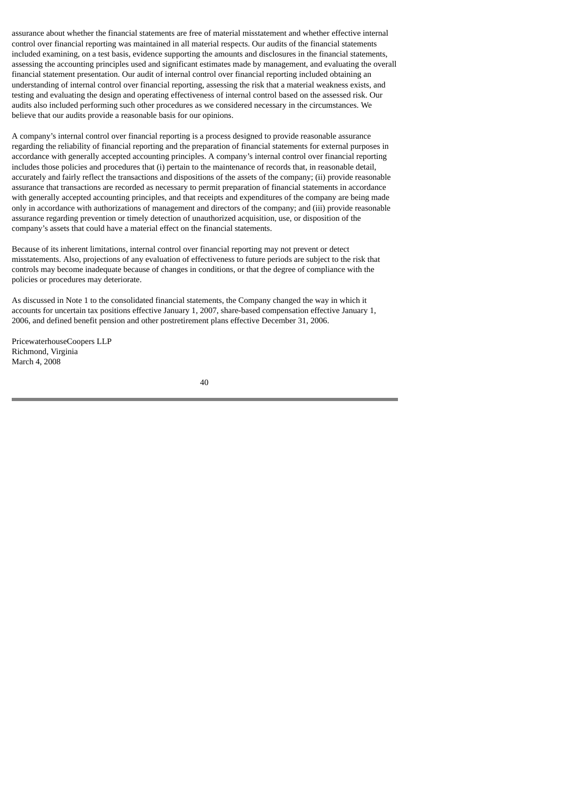assurance about whether the financial statements are free of material misstatement and whether effective internal control over financial reporting was maintained in all material respects. Our audits of the financial statements included examining, on a test basis, evidence supporting the amounts and disclosures in the financial statements, assessing the accounting principles used and significant estimates made by management, and evaluating the overall financial statement presentation. Our audit of internal control over financial reporting included obtaining an understanding of internal control over financial reporting, assessing the risk that a material weakness exists, and testing and evaluating the design and operating effectiveness of internal control based on the assessed risk. Our audits also included performing such other procedures as we considered necessary in the circumstances. We believe that our audits provide a reasonable basis for our opinions.

A company's internal control over financial reporting is a process designed to provide reasonable assurance regarding the reliability of financial reporting and the preparation of financial statements for external purposes in accordance with generally accepted accounting principles. A company's internal control over financial reporting includes those policies and procedures that (i) pertain to the maintenance of records that, in reasonable detail, accurately and fairly reflect the transactions and dispositions of the assets of the company; (ii) provide reasonable assurance that transactions are recorded as necessary to permit preparation of financial statements in accordance with generally accepted accounting principles, and that receipts and expenditures of the company are being made only in accordance with authorizations of management and directors of the company; and (iii) provide reasonable assurance regarding prevention or timely detection of unauthorized acquisition, use, or disposition of the company's assets that could have a material effect on the financial statements.

Because of its inherent limitations, internal control over financial reporting may not prevent or detect misstatements. Also, projections of any evaluation of effectiveness to future periods are subject to the risk that controls may become inadequate because of changes in conditions, or that the degree of compliance with the policies or procedures may deteriorate.

As discussed in Note 1 to the consolidated financial statements, the Company changed the way in which it accounts for uncertain tax positions effective January 1, 2007, share-based compensation effective January 1, 2006, and defined benefit pension and other postretirement plans effective December 31, 2006.

PricewaterhouseCoopers LLP Richmond, Virginia March 4, 2008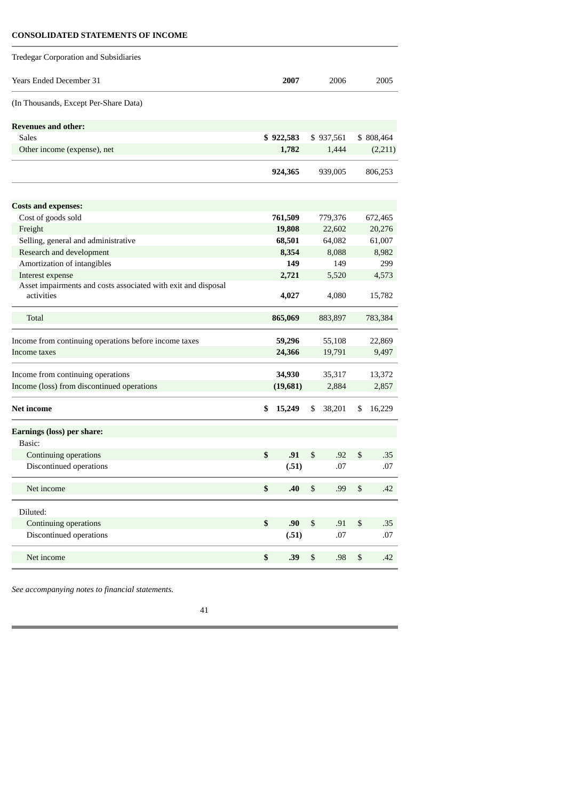# <span id="page-44-0"></span>**CONSOLIDATED STATEMENTS OF INCOME**

| <b>Tredegar Corporation and Subsidiaries</b>                                    |      |                    |               |                 |               |                 |
|---------------------------------------------------------------------------------|------|--------------------|---------------|-----------------|---------------|-----------------|
| Years Ended December 31                                                         |      | 2007               |               | 2006            |               | 2005            |
| (In Thousands, Except Per-Share Data)                                           |      |                    |               |                 |               |                 |
| <b>Revenues and other:</b>                                                      |      |                    |               |                 |               |                 |
| <b>Sales</b>                                                                    |      | \$922,583          |               | \$937,561       |               | \$808,464       |
| Other income (expense), net                                                     |      | 1,782              |               | 1,444           |               | (2,211)         |
|                                                                                 |      | 924,365            |               | 939,005         |               | 806,253         |
| <b>Costs and expenses:</b>                                                      |      |                    |               |                 |               |                 |
| Cost of goods sold                                                              |      | 761,509            |               | 779,376         |               | 672,465         |
| Freight                                                                         |      | 19,808             |               | 22,602          |               | 20,276          |
| Selling, general and administrative                                             |      | 68,501             |               | 64,082          |               | 61,007          |
| Research and development                                                        |      | 8,354              |               | 8,088           |               | 8,982           |
| Amortization of intangibles                                                     |      | 149                |               | 149             |               | 299             |
| Interest expense                                                                |      | 2,721              |               | 5,520           |               | 4,573           |
| Asset impairments and costs associated with exit and disposal<br>activities     |      | 4,027              |               | 4,080           |               | 15,782          |
| Total                                                                           |      | 865,069            |               | 883,897         |               | 783,384         |
| Income from continuing operations before income taxes                           |      | 59,296             |               | 55,108          |               | 22,869          |
| Income taxes                                                                    |      | 24,366             |               | 19,791          |               | 9,497           |
|                                                                                 |      |                    |               |                 |               |                 |
| Income from continuing operations<br>Income (loss) from discontinued operations |      | 34,930<br>(19,681) |               | 35,317<br>2,884 |               | 13,372<br>2,857 |
|                                                                                 |      |                    |               |                 |               |                 |
| <b>Net income</b>                                                               | \$   | 15,249             | S.            | 38,201          | \$            | 16,229          |
| <b>Earnings (loss) per share:</b>                                               |      |                    |               |                 |               |                 |
| Basic:                                                                          |      |                    |               |                 |               |                 |
| Continuing operations                                                           | \$   | .91                | \$            | .92             | \$            | .35             |
| Discontinued operations                                                         |      | (.51)              |               | .07             |               | .07             |
| Net income                                                                      | $\$$ | .40                | ${\mathbb S}$ | .99             | ${\mathbb S}$ | .42             |
| Diluted:                                                                        |      |                    |               |                 |               |                 |
| Continuing operations                                                           | \$   | .90                | \$            | .91             | ${\mathbb S}$ | .35             |
| Discontinued operations                                                         |      | (.51)              |               | .07             |               | .07             |
| Net income                                                                      | $\$$ | .39                | \$            | .98             | ${\mathbb S}$ | .42             |

*See accompanying notes to financial statements.*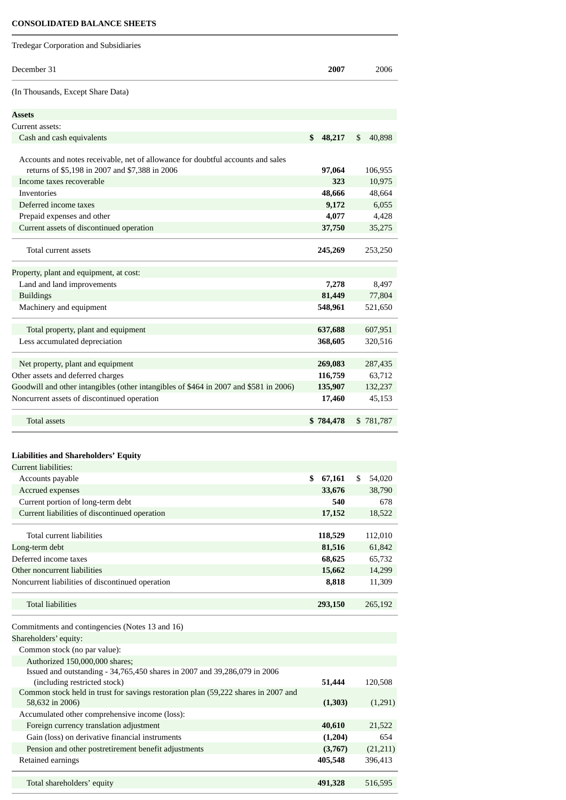# <span id="page-45-0"></span>**CONSOLIDATED BALANCE SHEETS**

| <b>Tredegar Corporation and Subsidiaries</b>                                                                                      |              |              |
|-----------------------------------------------------------------------------------------------------------------------------------|--------------|--------------|
| December 31                                                                                                                       | 2007         | 2006         |
| (In Thousands, Except Share Data)                                                                                                 |              |              |
| <b>Assets</b>                                                                                                                     |              |              |
| Current assets:                                                                                                                   |              |              |
| Cash and cash equivalents                                                                                                         | 48,217<br>\$ | 40,898<br>\$ |
| Accounts and notes receivable, net of allowance for doubtful accounts and sales<br>returns of \$5,198 in 2007 and \$7,388 in 2006 | 97,064       | 106,955      |
| Income taxes recoverable                                                                                                          | 323          | 10,975       |
| <b>Inventories</b>                                                                                                                | 48,666       | 48,664       |
| Deferred income taxes                                                                                                             | 9,172        | 6,055        |
| Prepaid expenses and other                                                                                                        | 4,077        | 4,428        |
| Current assets of discontinued operation                                                                                          | 37,750       | 35,275       |
| Total current assets                                                                                                              | 245,269      | 253,250      |
| Property, plant and equipment, at cost:                                                                                           |              |              |
| Land and land improvements                                                                                                        | 7,278        | 8,497        |
| <b>Buildings</b>                                                                                                                  | 81,449       | 77,804       |
| Machinery and equipment                                                                                                           | 548,961      | 521,650      |
| Total property, plant and equipment                                                                                               | 637,688      | 607,951      |
| Less accumulated depreciation                                                                                                     | 368,605      | 320,516      |
| Net property, plant and equipment                                                                                                 | 269,083      | 287,435      |
| Other assets and deferred charges                                                                                                 | 116,759      | 63,712       |
| Goodwill and other intangibles (other intangibles of \$464 in 2007 and \$581 in 2006)                                             | 135,907      | 132,237      |
| Noncurrent assets of discontinued operation                                                                                       | 17,460       | 45,153       |
| <b>Total assets</b>                                                                                                               | \$784,478    | \$781,787    |

# **Liabilities and Shareholders' Equity**

| Current liabilities:                             |              |   |         |
|--------------------------------------------------|--------------|---|---------|
| Accounts payable                                 | \$<br>67,161 | S | 54,020  |
| Accrued expenses                                 | 33,676       |   | 38,790  |
| Current portion of long-term debt                | 540          |   | 678     |
| Current liabilities of discontinued operation    | 17,152       |   | 18,522  |
|                                                  |              |   |         |
| Total current liabilities                        | 118,529      |   | 112,010 |
| Long-term debt                                   | 81,516       |   | 61,842  |
| Deferred income taxes                            | 68,625       |   | 65,732  |
| Other noncurrent liabilities                     | 15,662       |   | 14,299  |
| Noncurrent liabilities of discontinued operation | 8,818        |   | 11,309  |
| <b>Total liabilities</b>                         | 293,150      |   | 265.192 |

Commitments and contingencies (Notes 13 and 16)

| Shareholders' equity:                                                              |         |          |
|------------------------------------------------------------------------------------|---------|----------|
| Common stock (no par value):                                                       |         |          |
| Authorized 150,000,000 shares;                                                     |         |          |
| Issued and outstanding - 34,765,450 shares in 2007 and 39,286,079 in 2006          |         |          |
| (including restricted stock)                                                       | 51,444  | 120,508  |
| Common stock held in trust for savings restoration plan (59,222 shares in 2007 and |         |          |
| 58,632 in 2006)                                                                    | (1,303) | (1,291)  |
| Accumulated other comprehensive income (loss):                                     |         |          |
| Foreign currency translation adjustment                                            | 40,610  | 21,522   |
| Gain (loss) on derivative financial instruments                                    | (1,204) | 654      |
| Pension and other postretirement benefit adjustments                               | (3,767) | (21,211) |
| Retained earnings                                                                  | 405,548 | 396.413  |
| Total shareholders' equity                                                         | 491,328 | 516,595  |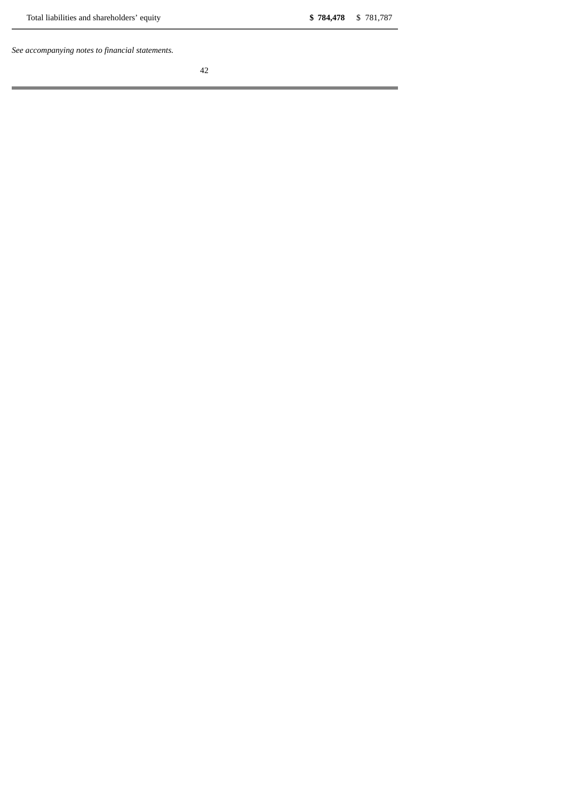*See accompanying notes to financial statements.*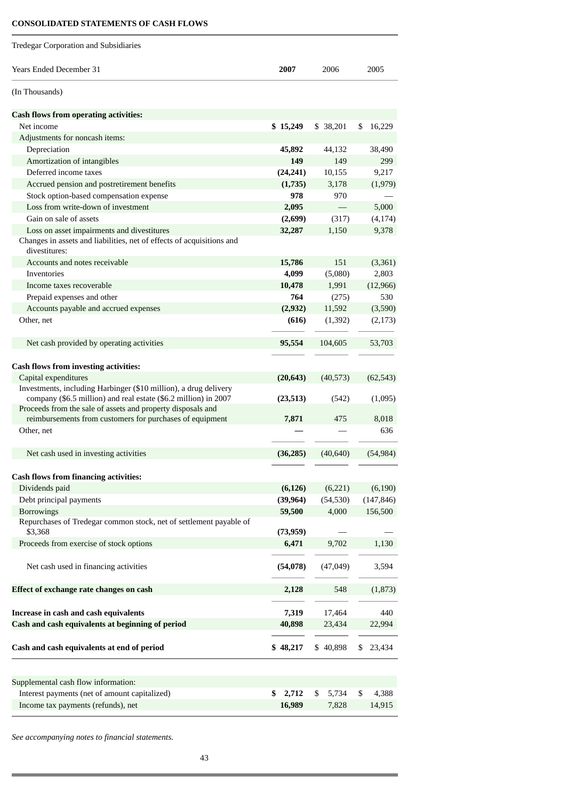# <span id="page-47-0"></span>**CONSOLIDATED STATEMENTS OF CASH FLOWS**

| <b>Tredegar Corporation and Subsidiaries</b>                                                                                         |             |             |              |
|--------------------------------------------------------------------------------------------------------------------------------------|-------------|-------------|--------------|
| <b>Years Ended December 31</b>                                                                                                       | 2007        | 2006        | 2005         |
| (In Thousands)                                                                                                                       |             |             |              |
| <b>Cash flows from operating activities:</b>                                                                                         |             |             |              |
| Net income                                                                                                                           | \$15,249    | \$ 38,201   | 16,229<br>\$ |
| Adjustments for noncash items:                                                                                                       |             |             |              |
| Depreciation                                                                                                                         | 45,892      | 44,132      | 38,490       |
| Amortization of intangibles                                                                                                          | 149         | 149         | 299          |
| Deferred income taxes                                                                                                                | (24, 241)   | 10,155      | 9,217        |
| Accrued pension and postretirement benefits                                                                                          | (1,735)     | 3,178       | (1,979)      |
| Stock option-based compensation expense                                                                                              | 978         | 970         |              |
| Loss from write-down of investment                                                                                                   | 2,095       |             | 5,000        |
| Gain on sale of assets                                                                                                               | (2,699)     | (317)       | (4, 174)     |
| Loss on asset impairments and divestitures<br>Changes in assets and liabilities, net of effects of acquisitions and<br>divestitures: | 32,287      | 1,150       | 9,378        |
| Accounts and notes receivable                                                                                                        | 15,786      | 151         | (3,361)      |
| Inventories                                                                                                                          | 4,099       | (5,080)     | 2,803        |
| Income taxes recoverable                                                                                                             | 10,478      | 1,991       | (12,966)     |
| Prepaid expenses and other                                                                                                           | 764         | (275)       | 530          |
| Accounts payable and accrued expenses                                                                                                | (2, 932)    | 11,592      | (3,590)      |
| Other, net                                                                                                                           | (616)       | (1,392)     | (2,173)      |
| Net cash provided by operating activities                                                                                            | 95,554      | 104,605     | 53,703       |
| <b>Cash flows from investing activities:</b>                                                                                         |             |             |              |
| Capital expenditures                                                                                                                 | (20, 643)   | (40, 573)   | (62, 543)    |
| Investments, including Harbinger (\$10 million), a drug delivery<br>company (\$6.5 million) and real estate (\$6.2 million) in 2007  | (23, 513)   | (542)       | (1,095)      |
| Proceeds from the sale of assets and property disposals and<br>reimbursements from customers for purchases of equipment              | 7,871       | 475         | 8,018        |
| Other, net                                                                                                                           |             |             | 636          |
| Net cash used in investing activities                                                                                                | (36, 285)   | (40, 640)   | (54, 984)    |
| <b>Cash flows from financing activities:</b>                                                                                         |             |             |              |
| Dividends paid                                                                                                                       | (6, 126)    | (6,221)     | (6, 190)     |
| Debt principal payments                                                                                                              | (39, 964)   | (54, 530)   | (147, 846)   |
| <b>Borrowings</b>                                                                                                                    | 59,500      | 4,000       | 156,500      |
| Repurchases of Tredegar common stock, net of settlement payable of<br>\$3,368                                                        | (73, 959)   |             |              |
| Proceeds from exercise of stock options                                                                                              | 6,471       | 9,702       | 1,130        |
| Net cash used in financing activities                                                                                                | (54, 078)   | (47, 049)   | 3,594        |
| Effect of exchange rate changes on cash                                                                                              | 2,128       | 548         | (1,873)      |
| Increase in cash and cash equivalents                                                                                                | 7,319       | 17,464      | 440          |
| Cash and cash equivalents at beginning of period                                                                                     | 40,898      | 23,434      | 22,994       |
|                                                                                                                                      |             |             |              |
| Cash and cash equivalents at end of period                                                                                           | \$48,217    | \$40,898    | 23,434<br>S. |
|                                                                                                                                      |             |             |              |
| Supplemental cash flow information:                                                                                                  |             |             |              |
| Interest payments (net of amount capitalized)                                                                                        | \$<br>2,712 | \$<br>5,734 | \$<br>4,388  |
| Income tax payments (refunds), net                                                                                                   | 16,989      | 7,828       | 14,915       |

*See accompanying notes to financial statements.*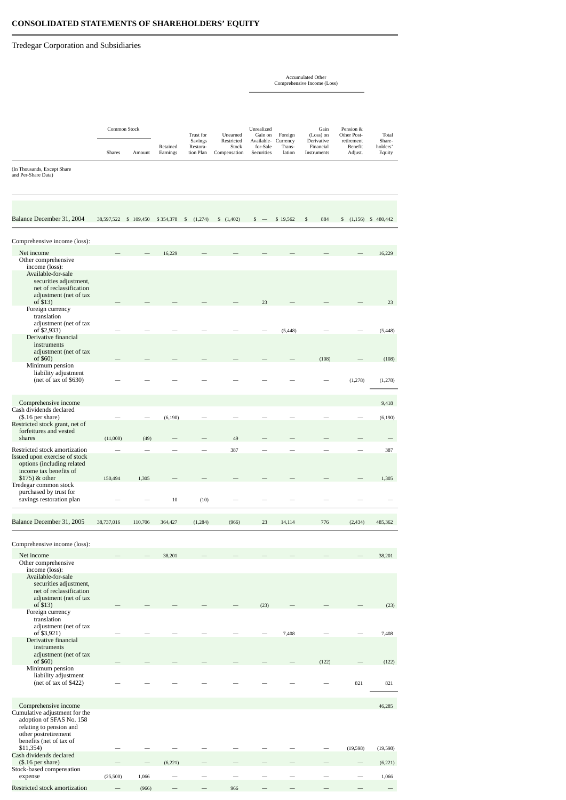<span id="page-48-0"></span>Tredegar Corporation and Subsidiaries

# Accumulated Other Comprehensive Income (Loss)

| Common Stock  |        |          | Trust for | Unearned     | Unrealized<br>Gain on | Foreign  | Gain<br>(Loss) on | Pension &<br>Other Post- | Total    |
|---------------|--------|----------|-----------|--------------|-----------------------|----------|-------------------|--------------------------|----------|
|               |        |          | Savings   | Restricted   | Available-            | Currency | Derivative        | retirement               | Share-   |
|               |        | Retained | Restora-  | Stock        | for-Sale              | Trans-   | Financial         | Benefit                  | holders' |
| <b>Shares</b> | Amount | Earnings | tion Plan | Compensation | Securities            | lation   | Instruments       | Adiust.                  | Equity   |

(In Thousands, Except Share and Per-Share Data)

| Balance December 31, 2004                                | 38,597,522 \$ 109,450 \$ 354,378 \$ (1,274) |         |          |         | \$(1,402) | $s -$ | \$19,562 | \$<br>884 |           | \$(1,156) \$480,442  |
|----------------------------------------------------------|---------------------------------------------|---------|----------|---------|-----------|-------|----------|-----------|-----------|----------------------|
| Comprehensive income (loss):                             |                                             |         |          |         |           |       |          |           |           |                      |
| Net income                                               |                                             |         | 16,229   |         |           |       |          |           |           | 16,229               |
| Other comprehensive                                      |                                             |         |          |         |           |       |          |           |           |                      |
| income (loss):                                           |                                             |         |          |         |           |       |          |           |           |                      |
| Available-for-sale<br>securities adjustment,             |                                             |         |          |         |           |       |          |           |           |                      |
| net of reclassification                                  |                                             |         |          |         |           |       |          |           |           |                      |
| adjustment (net of tax                                   |                                             |         |          |         |           |       |          |           |           |                      |
| of \$13)<br>Foreign currency                             |                                             |         |          |         |           | 23    |          |           |           | 23                   |
| translation                                              |                                             |         |          |         |           |       |          |           |           |                      |
| adjustment (net of tax                                   |                                             |         |          |         |           |       |          |           |           |                      |
| of \$2,933)<br>Derivative financial                      |                                             |         |          |         |           |       | (5, 448) |           |           | (5, 448)             |
| instruments                                              |                                             |         |          |         |           |       |          |           |           |                      |
| adjustment (net of tax                                   |                                             |         |          |         |           |       |          |           |           |                      |
| of \$60)<br>Minimum pension                              |                                             |         |          |         |           |       |          | (108)     |           | (108)                |
| liability adjustment                                     |                                             |         |          |         |           |       |          |           |           |                      |
| (net of tax of $$630$ )                                  |                                             |         |          |         |           |       |          |           | (1,278)   | (1,278)              |
|                                                          |                                             |         |          |         |           |       |          |           |           |                      |
| Comprehensive income                                     |                                             |         |          |         |           |       |          |           |           | 9,418                |
| Cash dividends declared                                  |                                             |         |          |         |           |       |          |           |           |                      |
| $($.16$ per share)                                       |                                             |         | (6, 190) |         |           |       |          |           |           | (6, 190)             |
| Restricted stock grant, net of<br>forfeitures and vested |                                             |         |          |         |           |       |          |           |           |                      |
| shares                                                   | (11,000)                                    | (49)    |          |         | 49        |       |          |           |           |                      |
| Restricted stock amortization                            |                                             |         |          |         | 387       |       |          |           |           | 387                  |
| Issued upon exercise of stock                            |                                             |         |          |         |           |       |          |           |           |                      |
| options (including related                               |                                             |         |          |         |           |       |          |           |           |                      |
| income tax benefits of<br>\$175) & other                 | 150,494                                     | 1,305   |          |         |           |       |          |           |           | 1,305                |
| Tredegar common stock                                    |                                             |         |          |         |           |       |          |           |           |                      |
| purchased by trust for                                   |                                             |         |          |         |           |       |          |           |           |                      |
| savings restoration plan                                 |                                             |         | $10\,$   | (10)    |           |       |          |           |           |                      |
|                                                          |                                             |         |          |         |           |       |          |           |           |                      |
| Balance December 31, 2005                                | 38,737,016                                  | 110,706 | 364,427  | (1,284) | (966)     | 23    | 14,114   | 776       | (2, 434)  | 485,362              |
|                                                          |                                             |         |          |         |           |       |          |           |           |                      |
| Comprehensive income (loss):                             |                                             |         |          |         |           |       |          |           |           |                      |
| Net income                                               |                                             |         | 38,201   |         |           |       |          |           |           | 38,201               |
| Other comprehensive                                      |                                             |         |          |         |           |       |          |           |           |                      |
| income (loss):<br>Available-for-sale                     |                                             |         |          |         |           |       |          |           |           |                      |
| securities adjustment,                                   |                                             |         |          |         |           |       |          |           |           |                      |
| net of reclassification                                  |                                             |         |          |         |           |       |          |           |           |                      |
| adjustment (net of tax<br>of \$13)                       |                                             |         |          |         |           | (23)  |          |           |           | (23)                 |
| Foreign currency                                         |                                             |         |          |         |           |       |          |           |           |                      |
| translation                                              |                                             |         |          |         |           |       |          |           |           |                      |
| adjustment (net of tax<br>of \$3,921)                    |                                             |         |          |         |           |       | 7,408    |           |           | 7,408                |
| Derivative financial                                     |                                             |         |          |         |           |       |          |           |           |                      |
| instruments                                              |                                             |         |          |         |           |       |          |           |           |                      |
| adjustment (net of tax<br>of \$60)                       |                                             |         |          |         |           |       |          | (122)     |           | (122)                |
| Minimum pension                                          |                                             |         |          |         |           |       |          |           |           |                      |
| liability adjustment                                     |                                             |         |          |         |           |       |          |           |           |                      |
| (net of tax of \$422)                                    |                                             |         |          |         |           |       |          |           | 821       | 821                  |
|                                                          |                                             |         |          |         |           |       |          |           |           |                      |
| Comprehensive income                                     |                                             |         |          |         |           |       |          |           |           | 46,285               |
| Cumulative adjustment for the                            |                                             |         |          |         |           |       |          |           |           |                      |
|                                                          |                                             |         |          |         |           |       |          |           |           |                      |
| adoption of SFAS No. 158                                 |                                             |         |          |         |           |       |          |           |           |                      |
| relating to pension and<br>other postretirement          |                                             |         |          |         |           |       |          |           |           |                      |
| benefits (net of tax of                                  |                                             |         |          |         |           |       |          |           |           |                      |
| \$11,354)                                                |                                             |         |          |         |           |       |          | -         | (19, 598) |                      |
| Cash dividends declared<br>$($.16$ per share)            |                                             |         | (6, 221) |         |           |       |          |           |           | (19, 598)<br>(6,221) |
| Stock-based compensation                                 |                                             |         |          |         |           |       |          |           |           |                      |
| expense<br>Restricted stock amortization                 | (25,500)                                    | 1,066   |          |         |           |       |          |           |           | 1,066                |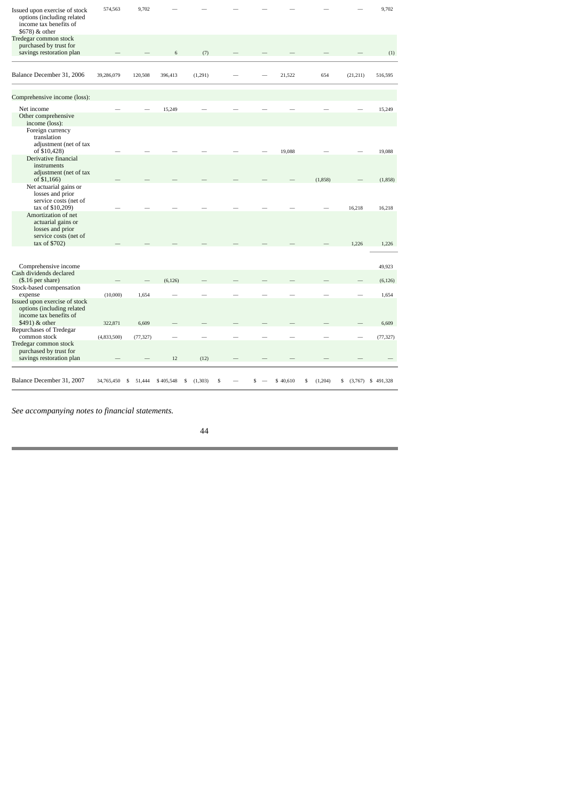| Issued upon exercise of stock<br>options (including related<br>income tax benefits of<br>\$678) & other | 574,563     | 9,702        |           |                |    |          |               |           | 9,702                |
|---------------------------------------------------------------------------------------------------------|-------------|--------------|-----------|----------------|----|----------|---------------|-----------|----------------------|
| Tredegar common stock<br>purchased by trust for<br>savings restoration plan                             |             |              | 6         | (7)            |    |          |               |           | (1)                  |
| Balance December 31, 2006                                                                               | 39,286,079  | 120,508      | 396,413   | (1,291)        |    | 21,522   | 654           | (21, 211) | 516,595              |
| Comprehensive income (loss):                                                                            |             |              |           |                |    |          |               |           |                      |
| Net income                                                                                              |             |              | 15,249    |                |    |          |               |           | 15,249               |
| Other comprehensive<br>income (loss):                                                                   |             |              |           |                |    |          |               |           |                      |
| Foreign currency<br>translation<br>adjustment (net of tax                                               |             |              |           |                |    |          |               |           |                      |
| of \$10,428)<br>Derivative financial<br>instruments<br>adjustment (net of tax                           |             |              |           |                |    | 19,088   |               |           | 19,088               |
| of \$1,166)<br>Net actuarial gains or<br>losses and prior<br>service costs (net of                      |             |              |           |                |    |          | (1,858)       |           | (1,858)              |
| tax of \$10,209)                                                                                        |             |              |           |                |    |          |               | 16,218    | 16,218               |
| Amortization of net<br>actuarial gains or<br>losses and prior<br>service costs (net of<br>tax of \$702) |             |              |           |                |    |          |               | 1,226     | 1,226                |
|                                                                                                         |             |              |           |                |    |          |               |           |                      |
| Comprehensive income                                                                                    |             |              |           |                |    |          |               |           | 49,923               |
| Cash dividends declared                                                                                 |             |              |           |                |    |          |               |           |                      |
| $($.16$ per share)                                                                                      |             |              | (6, 126)  |                |    |          |               |           | (6, 126)             |
| Stock-based compensation<br>expense                                                                     | (10,000)    | 1,654        |           |                |    |          |               |           | 1,654                |
| Issued upon exercise of stock<br>options (including related<br>income tax benefits of                   |             |              |           |                |    |          |               |           |                      |
| \$491) & other<br>Repurchases of Tredegar                                                               | 322,871     | 6,609        |           |                |    |          |               |           | 6,609                |
| common stock                                                                                            | (4,833,500) | (77, 327)    |           |                |    |          |               |           | (77, 327)            |
| Tredegar common stock<br>purchased by trust for                                                         |             |              |           |                |    |          |               |           |                      |
| savings restoration plan                                                                                |             |              | 12        | (12)           |    |          |               |           |                      |
| Balance December 31, 2007                                                                               | 34,765,450  | \$<br>51,444 | \$405,548 | (1, 303)<br>\$ | \$ | \$40,610 | (1,204)<br>\$ | \$        | $(3,767)$ \$ 491,328 |

*See accompanying notes to financial statements.*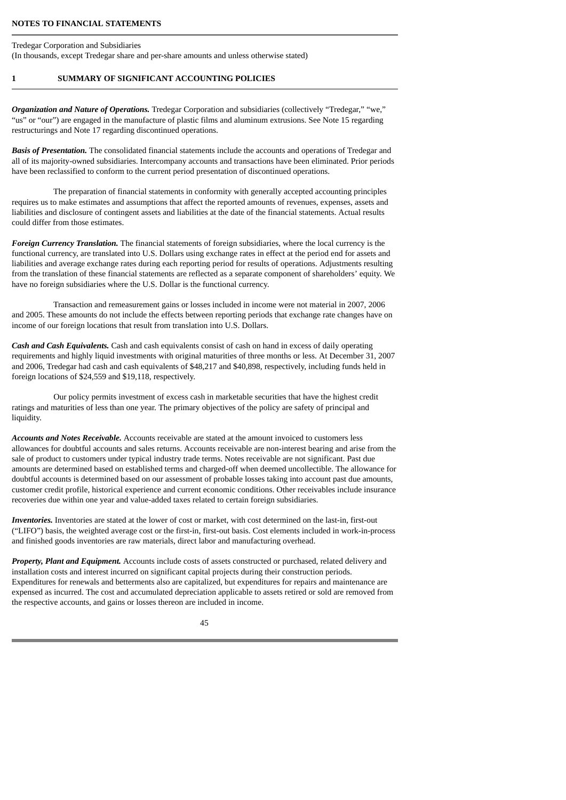<span id="page-50-0"></span>Tredegar Corporation and Subsidiaries

(In thousands, except Tredegar share and per-share amounts and unless otherwise stated)

# **1 SUMMARY OF SIGNIFICANT ACCOUNTING POLICIES**

*Organization and Nature of Operations.* Tredegar Corporation and subsidiaries (collectively "Tredegar," "we," "us" or "our") are engaged in the manufacture of plastic films and aluminum extrusions. See Note 15 regarding restructurings and Note 17 regarding discontinued operations.

*Basis of Presentation.* The consolidated financial statements include the accounts and operations of Tredegar and all of its majority-owned subsidiaries. Intercompany accounts and transactions have been eliminated. Prior periods have been reclassified to conform to the current period presentation of discontinued operations.

 The preparation of financial statements in conformity with generally accepted accounting principles requires us to make estimates and assumptions that affect the reported amounts of revenues, expenses, assets and liabilities and disclosure of contingent assets and liabilities at the date of the financial statements. Actual results could differ from those estimates.

*Foreign Currency Translation.* The financial statements of foreign subsidiaries, where the local currency is the functional currency, are translated into U.S. Dollars using exchange rates in effect at the period end for assets and liabilities and average exchange rates during each reporting period for results of operations. Adjustments resulting from the translation of these financial statements are reflected as a separate component of shareholders' equity. We have no foreign subsidiaries where the U.S. Dollar is the functional currency.

 Transaction and remeasurement gains or losses included in income were not material in 2007, 2006 and 2005. These amounts do not include the effects between reporting periods that exchange rate changes have on income of our foreign locations that result from translation into U.S. Dollars.

*Cash and Cash Equivalents.* Cash and cash equivalents consist of cash on hand in excess of daily operating requirements and highly liquid investments with original maturities of three months or less. At December 31, 2007 and 2006, Tredegar had cash and cash equivalents of \$48,217 and \$40,898, respectively, including funds held in foreign locations of \$24,559 and \$19,118, respectively.

 Our policy permits investment of excess cash in marketable securities that have the highest credit ratings and maturities of less than one year. The primary objectives of the policy are safety of principal and liquidity.

*Accounts and Notes Receivable.* Accounts receivable are stated at the amount invoiced to customers less allowances for doubtful accounts and sales returns. Accounts receivable are non-interest bearing and arise from the sale of product to customers under typical industry trade terms. Notes receivable are not significant. Past due amounts are determined based on established terms and charged-off when deemed uncollectible. The allowance for doubtful accounts is determined based on our assessment of probable losses taking into account past due amounts, customer credit profile, historical experience and current economic conditions. Other receivables include insurance recoveries due within one year and value-added taxes related to certain foreign subsidiaries.

*Inventories.* Inventories are stated at the lower of cost or market, with cost determined on the last-in, first-out ("LIFO") basis, the weighted average cost or the first-in, first-out basis. Cost elements included in work-in-process and finished goods inventories are raw materials, direct labor and manufacturing overhead.

*Property, Plant and Equipment.* Accounts include costs of assets constructed or purchased, related delivery and installation costs and interest incurred on significant capital projects during their construction periods. Expenditures for renewals and betterments also are capitalized, but expenditures for repairs and maintenance are expensed as incurred. The cost and accumulated depreciation applicable to assets retired or sold are removed from the respective accounts, and gains or losses thereon are included in income.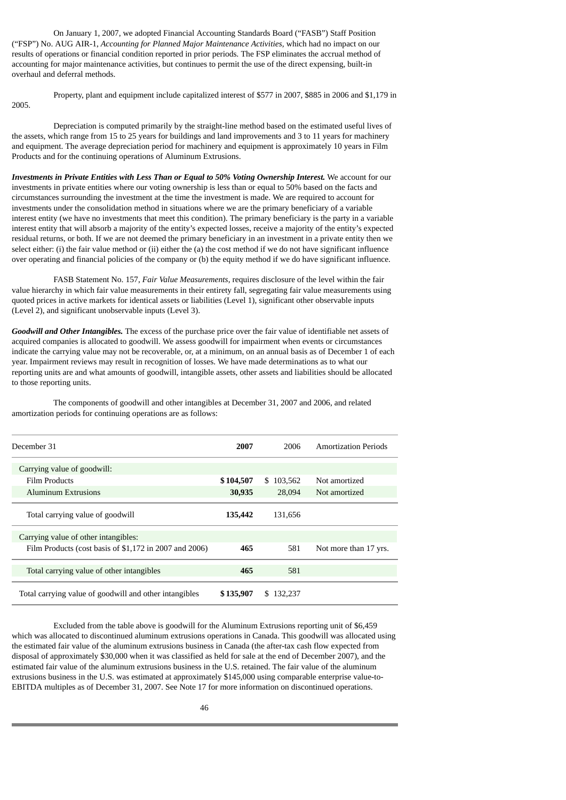On January 1, 2007, we adopted Financial Accounting Standards Board ("FASB") Staff Position ("FSP") No. AUG AIR-1, *Accounting for Planned Major Maintenance Activities,* which had no impact on our results of operations or financial condition reported in prior periods*.* The FSP eliminates the accrual method of accounting for major maintenance activities, but continues to permit the use of the direct expensing, built-in overhaul and deferral methods.

 Property, plant and equipment include capitalized interest of \$577 in 2007, \$885 in 2006 and \$1,179 in 2005.

 Depreciation is computed primarily by the straight-line method based on the estimated useful lives of the assets, which range from 15 to 25 years for buildings and land improvements and 3 to 11 years for machinery and equipment. The average depreciation period for machinery and equipment is approximately 10 years in Film Products and for the continuing operations of Aluminum Extrusions.

*Investments in Private Entities with Less Than or Equal to 50% Voting Ownership Interest.* We account for our investments in private entities where our voting ownership is less than or equal to 50% based on the facts and circumstances surrounding the investment at the time the investment is made. We are required to account for investments under the consolidation method in situations where we are the primary beneficiary of a variable interest entity (we have no investments that meet this condition). The primary beneficiary is the party in a variable interest entity that will absorb a majority of the entity's expected losses, receive a majority of the entity's expected residual returns, or both. If we are not deemed the primary beneficiary in an investment in a private entity then we select either: (i) the fair value method or (ii) either the (a) the cost method if we do not have significant influence over operating and financial policies of the company or (b) the equity method if we do have significant influence.

 FASB Statement No. 157, *Fair Value Measurements*, requires disclosure of the level within the fair value hierarchy in which fair value measurements in their entirety fall, segregating fair value measurements using quoted prices in active markets for identical assets or liabilities (Level 1), significant other observable inputs (Level 2), and significant unobservable inputs (Level 3).

*Goodwill and Other Intangibles.* The excess of the purchase price over the fair value of identifiable net assets of acquired companies is allocated to goodwill. We assess goodwill for impairment when events or circumstances indicate the carrying value may not be recoverable, or, at a minimum, on an annual basis as of December 1 of each year. Impairment reviews may result in recognition of losses. We have made determinations as to what our reporting units are and what amounts of goodwill, intangible assets, other assets and liabilities should be allocated to those reporting units.

 The components of goodwill and other intangibles at December 31, 2007 and 2006, and related amortization periods for continuing operations are as follows:

| December 31                                            | 2007      | 2006          | <b>Amortization Periods</b> |
|--------------------------------------------------------|-----------|---------------|-----------------------------|
| Carrying value of goodwill:                            |           |               |                             |
| Film Products                                          | \$104,507 | \$103,562     | Not amortized               |
| Aluminum Extrusions                                    | 30,935    | 28,094        | Not amortized               |
| Total carrying value of goodwill                       | 135,442   | 131.656       |                             |
| Carrying value of other intangibles:                   |           |               |                             |
| Film Products (cost basis of \$1,172 in 2007 and 2006) | 465       | 581           | Not more than 17 yrs.       |
| Total carrying value of other intangibles              | 465       | 581           |                             |
| Total carrying value of goodwill and other intangibles | \$135,907 | 132,237<br>S. |                             |

 Excluded from the table above is goodwill for the Aluminum Extrusions reporting unit of \$6,459 which was allocated to discontinued aluminum extrusions operations in Canada. This goodwill was allocated using the estimated fair value of the aluminum extrusions business in Canada (the after-tax cash flow expected from disposal of approximately \$30,000 when it was classified as held for sale at the end of December 2007), and the estimated fair value of the aluminum extrusions business in the U.S. retained. The fair value of the aluminum extrusions business in the U.S. was estimated at approximately \$145,000 using comparable enterprise value-to-EBITDA multiples as of December 31, 2007. See Note 17 for more information on discontinued operations.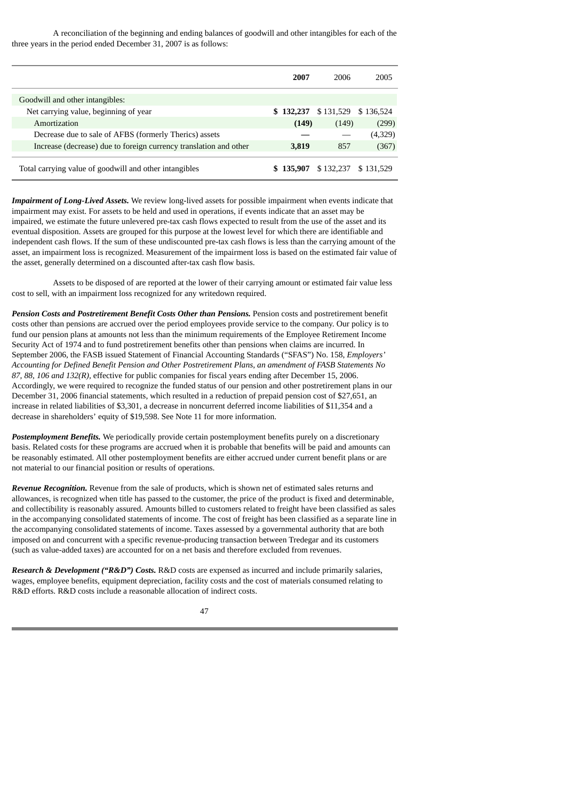A reconciliation of the beginning and ending balances of goodwill and other intangibles for each of the three years in the period ended December 31, 2007 is as follows:

|                                                                   | 2007          | 2006                | 2005      |
|-------------------------------------------------------------------|---------------|---------------------|-----------|
| Goodwill and other intangibles:                                   |               |                     |           |
| Net carrying value, beginning of year                             | \$132,237     | \$131,529 \$136,524 |           |
| Amortization                                                      | (149)         | (149)               | (299)     |
| Decrease due to sale of AFBS (formerly Therics) assets            |               |                     | (4,329)   |
| Increase (decrease) due to foreign currency translation and other | 3,819         | 857                 | (367)     |
|                                                                   |               |                     |           |
| Total carrying value of goodwill and other intangibles            | 135,907<br>S. | \$132,237           | \$131.529 |

*Impairment of Long-Lived Assets.* We review long-lived assets for possible impairment when events indicate that impairment may exist. For assets to be held and used in operations, if events indicate that an asset may be impaired, we estimate the future unlevered pre-tax cash flows expected to result from the use of the asset and its eventual disposition. Assets are grouped for this purpose at the lowest level for which there are identifiable and independent cash flows. If the sum of these undiscounted pre-tax cash flows is less than the carrying amount of the asset, an impairment loss is recognized. Measurement of the impairment loss is based on the estimated fair value of the asset, generally determined on a discounted after-tax cash flow basis.

 Assets to be disposed of are reported at the lower of their carrying amount or estimated fair value less cost to sell, with an impairment loss recognized for any writedown required.

*Pension Costs and Postretirement Benefit Costs Other than Pensions.* Pension costs and postretirement benefit costs other than pensions are accrued over the period employees provide service to the company. Our policy is to fund our pension plans at amounts not less than the minimum requirements of the Employee Retirement Income Security Act of 1974 and to fund postretirement benefits other than pensions when claims are incurred. In September 2006, the FASB issued Statement of Financial Accounting Standards ("SFAS") No. 158, *Employers' Accounting for Defined Benefit Pension and Other Postretirement Plans, an amendment of FASB Statements No 87, 88, 106 and 132(R),* effective for public companies for fiscal years ending after December 15, 2006. Accordingly, we were required to recognize the funded status of our pension and other postretirement plans in our December 31, 2006 financial statements, which resulted in a reduction of prepaid pension cost of \$27,651, an increase in related liabilities of \$3,301, a decrease in noncurrent deferred income liabilities of \$11,354 and a decrease in shareholders' equity of \$19,598. See Note 11 for more information.

*Postemployment Benefits.* We periodically provide certain postemployment benefits purely on a discretionary basis. Related costs for these programs are accrued when it is probable that benefits will be paid and amounts can be reasonably estimated. All other postemployment benefits are either accrued under current benefit plans or are not material to our financial position or results of operations.

*Revenue Recognition.* Revenue from the sale of products, which is shown net of estimated sales returns and allowances, is recognized when title has passed to the customer, the price of the product is fixed and determinable, and collectibility is reasonably assured. Amounts billed to customers related to freight have been classified as sales in the accompanying consolidated statements of income. The cost of freight has been classified as a separate line in the accompanying consolidated statements of income. Taxes assessed by a governmental authority that are both imposed on and concurrent with a specific revenue-producing transaction between Tredegar and its customers (such as value-added taxes) are accounted for on a net basis and therefore excluded from revenues.

*Research & Development ("R&D") Costs.* R&D costs are expensed as incurred and include primarily salaries, wages, employee benefits, equipment depreciation, facility costs and the cost of materials consumed relating to R&D efforts. R&D costs include a reasonable allocation of indirect costs.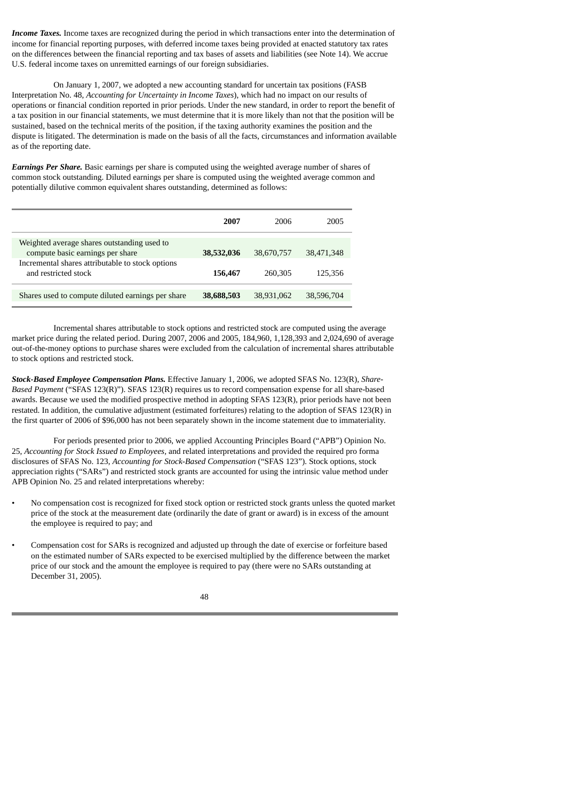*Income Taxes.* Income taxes are recognized during the period in which transactions enter into the determination of income for financial reporting purposes, with deferred income taxes being provided at enacted statutory tax rates on the differences between the financial reporting and tax bases of assets and liabilities (see Note 14). We accrue U.S. federal income taxes on unremitted earnings of our foreign subsidiaries.

 On January 1, 2007, we adopted a new accounting standard for uncertain tax positions (FASB Interpretation No. 48, *Accounting for Uncertainty in Income Taxes*), which had no impact on our results of operations or financial condition reported in prior periods. Under the new standard, in order to report the benefit of a tax position in our financial statements, we must determine that it is more likely than not that the position will be sustained, based on the technical merits of the position, if the taxing authority examines the position and the dispute is litigated. The determination is made on the basis of all the facts, circumstances and information available as of the reporting date.

*Earnings Per Share.* Basic earnings per share is computed using the weighted average number of shares of common stock outstanding. Diluted earnings per share is computed using the weighted average common and potentially dilutive common equivalent shares outstanding, determined as follows:

|                                                                                                                                     | 2007       | 2006       | 2005       |
|-------------------------------------------------------------------------------------------------------------------------------------|------------|------------|------------|
| Weighted average shares outstanding used to<br>compute basic earnings per share<br>Incremental shares attributable to stock options | 38,532,036 | 38,670,757 | 38,471,348 |
| and restricted stock                                                                                                                | 156,467    | 260,305    | 125,356    |
| Shares used to compute diluted earnings per share                                                                                   | 38,688,503 | 38,931,062 | 38,596,704 |

 Incremental shares attributable to stock options and restricted stock are computed using the average market price during the related period. During 2007, 2006 and 2005, 184,960, 1,128,393 and 2,024,690 of average out-of-the-money options to purchase shares were excluded from the calculation of incremental shares attributable to stock options and restricted stock.

*Stock-Based Employee Compensation Plans.* Effective January 1, 2006, we adopted SFAS No. 123(R), *Share-Based Payment* ("SFAS 123(R)"). SFAS 123(R) requires us to record compensation expense for all share-based awards. Because we used the modified prospective method in adopting SFAS 123(R), prior periods have not been restated. In addition, the cumulative adjustment (estimated forfeitures) relating to the adoption of SFAS 123(R) in the first quarter of 2006 of \$96,000 has not been separately shown in the income statement due to immateriality.

 For periods presented prior to 2006, we applied Accounting Principles Board ("APB") Opinion No. 25, *Accounting for Stock Issued to Employees,* and related interpretations and provided the required pro forma disclosures of SFAS No. 123, *Accounting for Stock-Based Compensation* ("SFAS 123"). Stock options, stock appreciation rights ("SARs") and restricted stock grants are accounted for using the intrinsic value method under APB Opinion No. 25 and related interpretations whereby:

- No compensation cost is recognized for fixed stock option or restricted stock grants unless the quoted market price of the stock at the measurement date (ordinarily the date of grant or award) is in excess of the amount the employee is required to pay; and
- Compensation cost for SARs is recognized and adjusted up through the date of exercise or forfeiture based on the estimated number of SARs expected to be exercised multiplied by the difference between the market price of our stock and the amount the employee is required to pay (there were no SARs outstanding at December 31, 2005).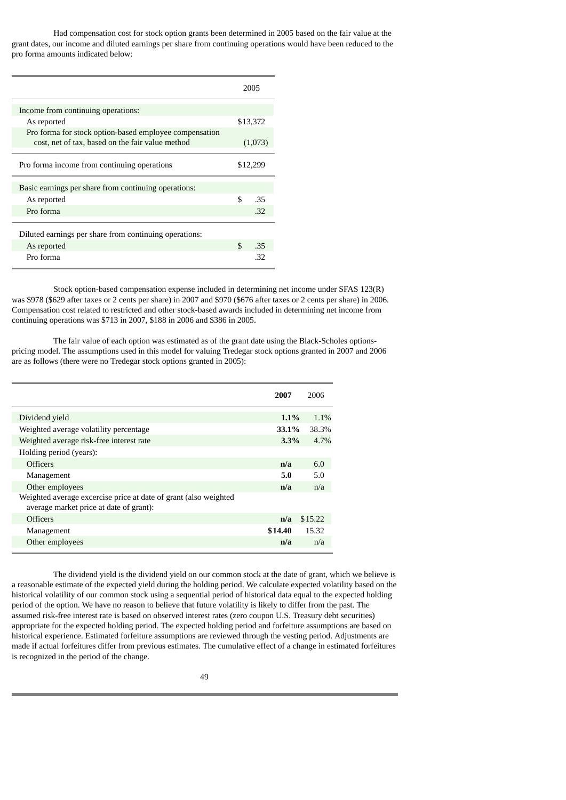Had compensation cost for stock option grants been determined in 2005 based on the fair value at the grant dates, our income and diluted earnings per share from continuing operations would have been reduced to the pro forma amounts indicated below:

|                                                                                                            | 2005      |
|------------------------------------------------------------------------------------------------------------|-----------|
| Income from continuing operations:                                                                         |           |
| As reported                                                                                                | \$13,372  |
| Pro forma for stock option-based employee compensation<br>cost, net of tax, based on the fair value method | (1,073)   |
| Pro forma income from continuing operations                                                                | \$12,299  |
| Basic earnings per share from continuing operations:                                                       |           |
| As reported                                                                                                | \$<br>.35 |
| Pro forma                                                                                                  | .32       |
| Diluted earnings per share from continuing operations:                                                     |           |
| As reported                                                                                                | \$<br>.35 |
| Pro forma                                                                                                  | .32       |

 Stock option-based compensation expense included in determining net income under SFAS 123(R) was \$978 (\$629 after taxes or 2 cents per share) in 2007 and \$970 (\$676 after taxes or 2 cents per share) in 2006. Compensation cost related to restricted and other stock-based awards included in determining net income from continuing operations was \$713 in 2007, \$188 in 2006 and \$386 in 2005.

 The fair value of each option was estimated as of the grant date using the Black-Scholes optionspricing model. The assumptions used in this model for valuing Tredegar stock options granted in 2007 and 2006 are as follows (there were no Tredegar stock options granted in 2005):

|                                                                                                             | 2007    | 2006    |
|-------------------------------------------------------------------------------------------------------------|---------|---------|
| Dividend vield                                                                                              | $1.1\%$ | 1.1%    |
| Weighted average volatility percentage                                                                      | 33.1%   | 38.3%   |
| Weighted average risk-free interest rate                                                                    | 3.3%    | 4.7%    |
| Holding period (years):                                                                                     |         |         |
| <b>Officers</b>                                                                                             | n/a     | 6.0     |
| Management                                                                                                  | 5.0     | 5.0     |
| Other employees                                                                                             | n/a     | n/a     |
| Weighted average excercise price at date of grant (also weighted<br>average market price at date of grant): |         |         |
| <b>Officers</b>                                                                                             | n/a     | \$15.22 |
| Management                                                                                                  | \$14.40 | 15.32   |
| Other employees                                                                                             | n/a     | n/a     |
|                                                                                                             |         |         |

 The dividend yield is the dividend yield on our common stock at the date of grant, which we believe is a reasonable estimate of the expected yield during the holding period. We calculate expected volatility based on the historical volatility of our common stock using a sequential period of historical data equal to the expected holding period of the option. We have no reason to believe that future volatility is likely to differ from the past. The assumed risk-free interest rate is based on observed interest rates (zero coupon U.S. Treasury debt securities) appropriate for the expected holding period. The expected holding period and forfeiture assumptions are based on historical experience. Estimated forfeiture assumptions are reviewed through the vesting period. Adjustments are made if actual forfeitures differ from previous estimates. The cumulative effect of a change in estimated forfeitures is recognized in the period of the change.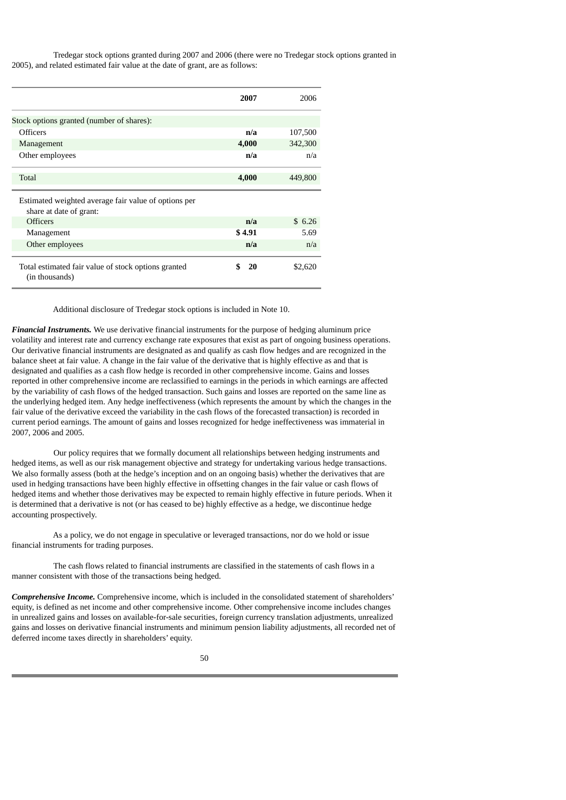Tredegar stock options granted during 2007 and 2006 (there were no Tredegar stock options granted in 2005), and related estimated fair value at the date of grant, are as follows:

|                                                                                 | 2007     | 2006    |
|---------------------------------------------------------------------------------|----------|---------|
| Stock options granted (number of shares):                                       |          |         |
| <b>Officers</b>                                                                 | n/a      | 107,500 |
| Management                                                                      | 4,000    | 342,300 |
| Other employees                                                                 | n/a      | n/a     |
| Total                                                                           | 4,000    | 449,800 |
| Estimated weighted average fair value of options per<br>share at date of grant: |          |         |
| <b>Officers</b>                                                                 | n/a      | \$6.26  |
| Management                                                                      | \$4.91   | 5.69    |
| Other employees                                                                 | n/a      | n/a     |
| Total estimated fair value of stock options granted<br>(in thousands)           | 20<br>\$ | \$2,620 |

Additional disclosure of Tredegar stock options is included in Note 10.

*Financial Instruments.* We use derivative financial instruments for the purpose of hedging aluminum price volatility and interest rate and currency exchange rate exposures that exist as part of ongoing business operations. Our derivative financial instruments are designated as and qualify as cash flow hedges and are recognized in the balance sheet at fair value. A change in the fair value of the derivative that is highly effective as and that is designated and qualifies as a cash flow hedge is recorded in other comprehensive income. Gains and losses reported in other comprehensive income are reclassified to earnings in the periods in which earnings are affected by the variability of cash flows of the hedged transaction. Such gains and losses are reported on the same line as the underlying hedged item. Any hedge ineffectiveness (which represents the amount by which the changes in the fair value of the derivative exceed the variability in the cash flows of the forecasted transaction) is recorded in current period earnings. The amount of gains and losses recognized for hedge ineffectiveness was immaterial in 2007, 2006 and 2005.

 Our policy requires that we formally document all relationships between hedging instruments and hedged items, as well as our risk management objective and strategy for undertaking various hedge transactions. We also formally assess (both at the hedge's inception and on an ongoing basis) whether the derivatives that are used in hedging transactions have been highly effective in offsetting changes in the fair value or cash flows of hedged items and whether those derivatives may be expected to remain highly effective in future periods. When it is determined that a derivative is not (or has ceased to be) highly effective as a hedge, we discontinue hedge accounting prospectively.

 As a policy, we do not engage in speculative or leveraged transactions, nor do we hold or issue financial instruments for trading purposes.

 The cash flows related to financial instruments are classified in the statements of cash flows in a manner consistent with those of the transactions being hedged.

*Comprehensive Income.* Comprehensive income, which is included in the consolidated statement of shareholders' equity, is defined as net income and other comprehensive income. Other comprehensive income includes changes in unrealized gains and losses on available-for-sale securities, foreign currency translation adjustments, unrealized gains and losses on derivative financial instruments and minimum pension liability adjustments, all recorded net of deferred income taxes directly in shareholders' equity.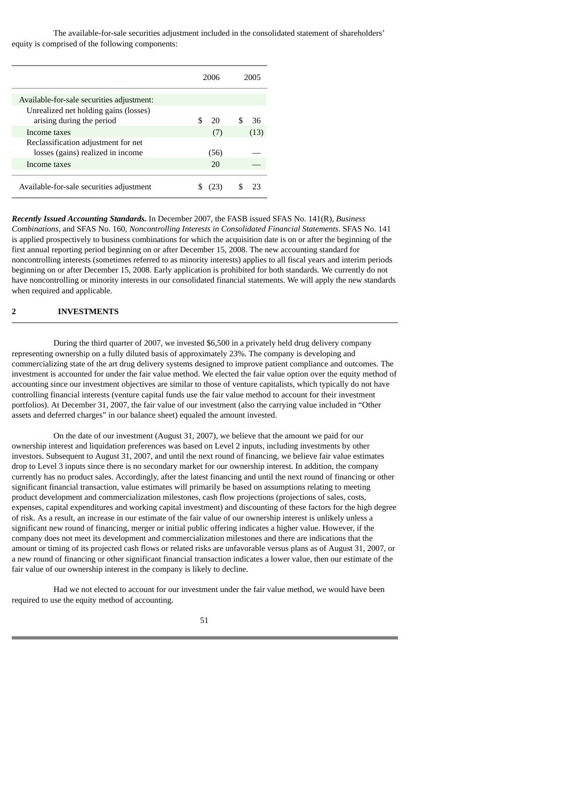The available-for-sale securities adjustment included in the consolidated statement of shareholders' equity is comprised of the following components:

|                                                                    | 2006 | 2005 |
|--------------------------------------------------------------------|------|------|
| Available-for-sale securities adjustment:                          |      |      |
| Unrealized net holding gains (losses)<br>arising during the period | 20   | 36   |
| Income taxes                                                       | (7)  | (13) |
| Reclassification adjustment for net                                |      |      |
| losses (gains) realized in income                                  | (56) |      |
| Income taxes                                                       | 20   |      |
| Available-for-sale securities adjustment                           |      |      |

*Recently Issued Accounting Standards.* In December 2007, the FASB issued SFAS No. 141(R), *Business Combinations*, and SFAS No. 160, *Noncontrolling Interests in Consolidated Financial Statements*. SFAS No. 141 is applied prospectively to business combinations for which the acquisition date is on or after the beginning of the first annual reporting period beginning on or after December 15, 2008. The new accounting standard for noncontrolling interests (sometimes referred to as minority interests) applies to all fiscal years and interim periods beginning on or after December 15, 2008. Early application is prohibited for both standards. We currently do not have noncontrolling or minority interests in our consolidated financial statements. We will apply the new standards when required and applicable.

## **2 INVESTMENTS**

 During the third quarter of 2007, we invested \$6,500 in a privately held drug delivery company representing ownership on a fully diluted basis of approximately 23%. The company is developing and commercializing state of the art drug delivery systems designed to improve patient compliance and outcomes. The investment is accounted for under the fair value method. We elected the fair value option over the equity method of accounting since our investment objectives are similar to those of venture capitalists, which typically do not have controlling financial interests (venture capital funds use the fair value method to account for their investment portfolios). At December 31, 2007, the fair value of our investment (also the carrying value included in "Other assets and deferred charges" in our balance sheet) equaled the amount invested.

 On the date of our investment (August 31, 2007), we believe that the amount we paid for our ownership interest and liquidation preferences was based on Level 2 inputs, including investments by other investors. Subsequent to August 31, 2007, and until the next round of financing, we believe fair value estimates drop to Level 3 inputs since there is no secondary market for our ownership interest. In addition, the company currently has no product sales. Accordingly, after the latest financing and until the next round of financing or other significant financial transaction, value estimates will primarily be based on assumptions relating to meeting product development and commercialization milestones, cash flow projections (projections of sales, costs, expenses, capital expenditures and working capital investment) and discounting of these factors for the high degree of risk. As a result, an increase in our estimate of the fair value of our ownership interest is unlikely unless a significant new round of financing, merger or initial public offering indicates a higher value. However, if the company does not meet its development and commercialization milestones and there are indications that the amount or timing of its projected cash flows or related risks are unfavorable versus plans as of August 31, 2007, or a new round of financing or other significant financial transaction indicates a lower value, then our estimate of the fair value of our ownership interest in the company is likely to decline.

 Had we not elected to account for our investment under the fair value method, we would have been required to use the equity method of accounting.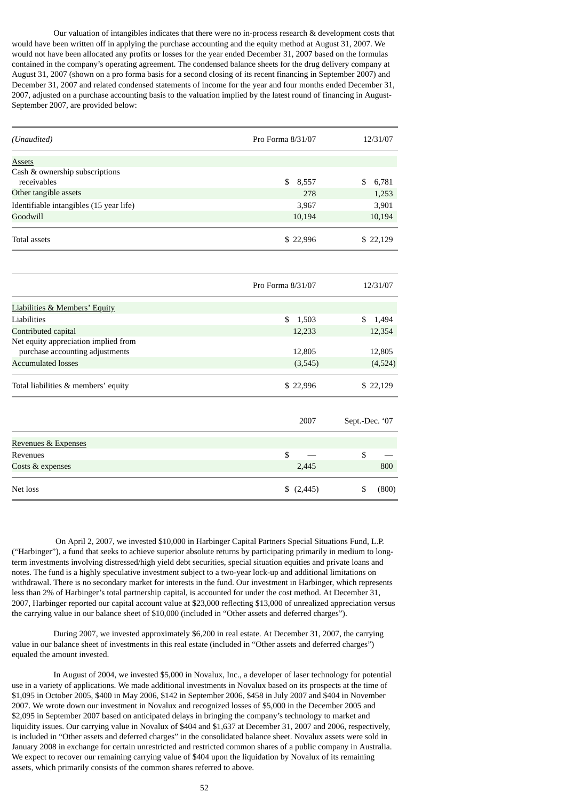Our valuation of intangibles indicates that there were no in-process research & development costs that would have been written off in applying the purchase accounting and the equity method at August 31, 2007. We would not have been allocated any profits or losses for the year ended December 31, 2007 based on the formulas contained in the company's operating agreement. The condensed balance sheets for the drug delivery company at August 31, 2007 (shown on a pro forma basis for a second closing of its recent financing in September 2007) and December 31, 2007 and related condensed statements of income for the year and four months ended December 31, 2007, adjusted on a purchase accounting basis to the valuation implied by the latest round of financing in August-September 2007, are provided below:

| (Unaudited)                                   | Pro Forma 8/31/07 | 12/31/07    |  |  |
|-----------------------------------------------|-------------------|-------------|--|--|
| <b>Assets</b>                                 |                   |             |  |  |
| Cash & ownership subscriptions<br>receivables | \$<br>8,557       | \$<br>6,781 |  |  |
| Other tangible assets                         | 278               | 1,253       |  |  |
| Identifiable intangibles (15 year life)       | 3,967             | 3,901       |  |  |
| Goodwill                                      | 10,194            | 10,194      |  |  |
| Total assets                                  | \$22,996          | \$22,129    |  |  |

|                                          | Pro Forma 8/31/07 | 12/31/07       |
|------------------------------------------|-------------------|----------------|
| <b>Liabilities &amp; Members' Equity</b> |                   |                |
| Liabilities                              | \$<br>1,503       | \$<br>1,494    |
| Contributed capital                      | 12,233            | 12,354         |
| Net equity appreciation implied from     |                   |                |
| purchase accounting adjustments          | 12,805            | 12,805         |
| <b>Accumulated losses</b>                | (3,545)           | (4,524)        |
| Total liabilities & members' equity      | \$22,996          | \$ 22,129      |
|                                          | 2007              | Sept.-Dec. '07 |
| Revenues & Expenses                      |                   |                |
| Revenues                                 | \$                | \$             |
| Costs & expenses                         | 2,445             | 800            |
| Net loss                                 | (2,445)           | \$<br>(800)    |

 On April 2, 2007, we invested \$10,000 in Harbinger Capital Partners Special Situations Fund, L.P. ("Harbinger"), a fund that seeks to achieve superior absolute returns by participating primarily in medium to longterm investments involving distressed/high yield debt securities, special situation equities and private loans and notes. The fund is a highly speculative investment subject to a two-year lock-up and additional limitations on withdrawal. There is no secondary market for interests in the fund. Our investment in Harbinger, which represents less than 2% of Harbinger's total partnership capital, is accounted for under the cost method. At December 31, 2007, Harbinger reported our capital account value at \$23,000 reflecting \$13,000 of unrealized appreciation versus the carrying value in our balance sheet of \$10,000 (included in "Other assets and deferred charges").

 During 2007, we invested approximately \$6,200 in real estate. At December 31, 2007, the carrying value in our balance sheet of investments in this real estate (included in "Other assets and deferred charges") equaled the amount invested.

 In August of 2004, we invested \$5,000 in Novalux, Inc., a developer of laser technology for potential use in a variety of applications. We made additional investments in Novalux based on its prospects at the time of \$1,095 in October 2005, \$400 in May 2006, \$142 in September 2006, \$458 in July 2007 and \$404 in November 2007. We wrote down our investment in Novalux and recognized losses of \$5,000 in the December 2005 and \$2,095 in September 2007 based on anticipated delays in bringing the company's technology to market and liquidity issues. Our carrying value in Novalux of \$404 and \$1,637 at December 31, 2007 and 2006, respectively, is included in "Other assets and deferred charges" in the consolidated balance sheet. Novalux assets were sold in January 2008 in exchange for certain unrestricted and restricted common shares of a public company in Australia. We expect to recover our remaining carrying value of \$404 upon the liquidation by Novalux of its remaining assets, which primarily consists of the common shares referred to above.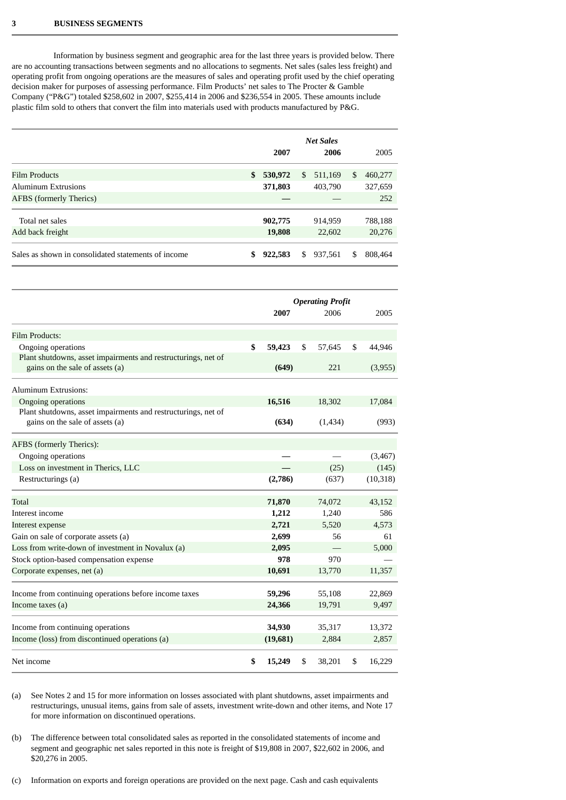Information by business segment and geographic area for the last three years is provided below. There are no accounting transactions between segments and no allocations to segments. Net sales (sales less freight) and operating profit from ongoing operations are the measures of sales and operating profit used by the chief operating decision maker for purposes of assessing performance. Film Products' net sales to The Procter & Gamble Company ("P&G") totaled \$258,602 in 2007, \$255,414 in 2006 and \$236,554 in 2005. These amounts include plastic film sold to others that convert the film into materials used with products manufactured by P&G.

|                                                     |    | 2007    |    | <b>Net Sales</b><br>2006 | 2005          |
|-----------------------------------------------------|----|---------|----|--------------------------|---------------|
| Film Products                                       | \$ | 530,972 | \$ | 511,169                  | \$<br>460,277 |
| Aluminum Extrusions                                 |    | 371,803 |    | 403,790                  | 327,659       |
| <b>AFBS</b> (formerly Therics)                      |    |         |    |                          | 252           |
| Total net sales                                     |    | 902,775 |    | 914,959                  | 788,188       |
| Add back freight                                    |    | 19,808  |    | 22,602                   | 20,276        |
| Sales as shown in consolidated statements of income | S  | 922,583 | S  | 937.561                  | \$<br>808,464 |

|                                                               | <b>Operating Profit</b> |    |         |    |           |
|---------------------------------------------------------------|-------------------------|----|---------|----|-----------|
|                                                               | 2007                    |    | 2006    |    | 2005      |
| <b>Film Products:</b>                                         |                         |    |         |    |           |
| Ongoing operations                                            | \$<br>59,423            | \$ | 57,645  | \$ | 44,946    |
| Plant shutdowns, asset impairments and restructurings, net of |                         |    |         |    |           |
| gains on the sale of assets (a)                               | (649)                   |    | 221     |    | (3,955)   |
| <b>Aluminum Extrusions:</b>                                   |                         |    |         |    |           |
| <b>Ongoing operations</b>                                     | 16,516                  |    | 18,302  |    | 17,084    |
| Plant shutdowns, asset impairments and restructurings, net of |                         |    |         |    |           |
| gains on the sale of assets (a)                               | (634)                   |    | (1,434) |    | (993)     |
| AFBS (formerly Therics):                                      |                         |    |         |    |           |
| Ongoing operations                                            |                         |    |         |    | (3, 467)  |
| Loss on investment in Therics, LLC                            |                         |    | (25)    |    | (145)     |
| Restructurings (a)                                            | (2,786)                 |    | (637)   |    | (10, 318) |
| <b>Total</b>                                                  | 71,870                  |    | 74,072  |    | 43,152    |
| Interest income                                               | 1,212                   |    | 1,240   |    | 586       |
| Interest expense                                              | 2,721                   |    | 5,520   |    | 4,573     |
| Gain on sale of corporate assets (a)                          | 2,699                   |    | 56      |    | 61        |
| Loss from write-down of investment in Novalux (a)             | 2,095                   |    |         |    | 5,000     |
| Stock option-based compensation expense                       | 978                     |    | 970     |    |           |
| Corporate expenses, net (a)                                   | 10,691                  |    | 13,770  |    | 11,357    |
|                                                               |                         |    |         |    |           |
| Income from continuing operations before income taxes         | 59,296                  |    | 55,108  |    | 22,869    |
| Income taxes (a)                                              | 24,366                  |    | 19,791  |    | 9,497     |
| Income from continuing operations                             | 34,930                  |    | 35,317  |    | 13,372    |
| Income (loss) from discontinued operations (a)                | (19,681)                |    | 2,884   |    | 2,857     |
| Net income                                                    | \$<br>15,249            | \$ | 38,201  | \$ | 16,229    |

(a) See Notes 2 and 15 for more information on losses associated with plant shutdowns, asset impairments and restructurings, unusual items, gains from sale of assets, investment write-down and other items, and Note 17 for more information on discontinued operations.

- (b) The difference between total consolidated sales as reported in the consolidated statements of income and segment and geographic net sales reported in this note is freight of \$19,808 in 2007, \$22,602 in 2006, and \$20,276 in 2005.
- (c) Information on exports and foreign operations are provided on the next page. Cash and cash equivalents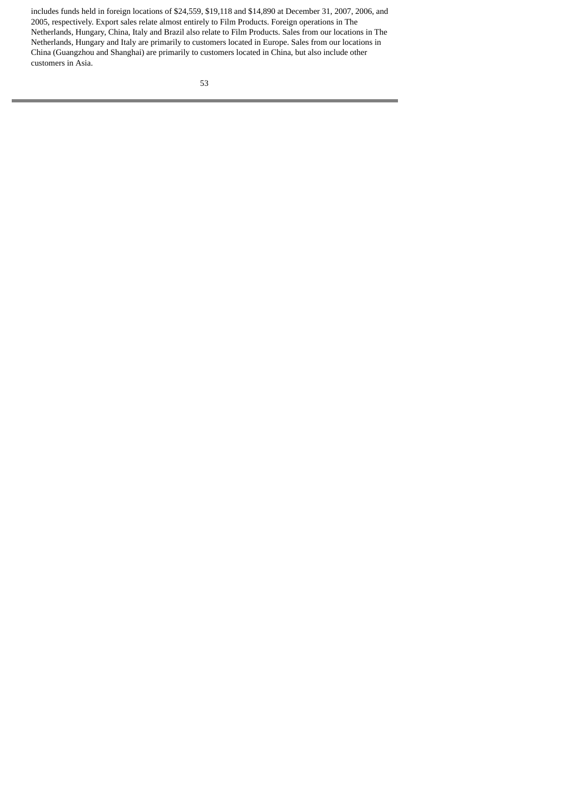includes funds held in foreign locations of \$24,559, \$19,118 and \$14,890 at December 31, 2007, 2006, and 2005, respectively. Export sales relate almost entirely to Film Products. Foreign operations in The Netherlands, Hungary, China, Italy and Brazil also relate to Film Products. Sales from our locations in The Netherlands, Hungary and Italy are primarily to customers located in Europe. Sales from our locations in China (Guangzhou and Shanghai) are primarily to customers located in China, but also include other customers in Asia.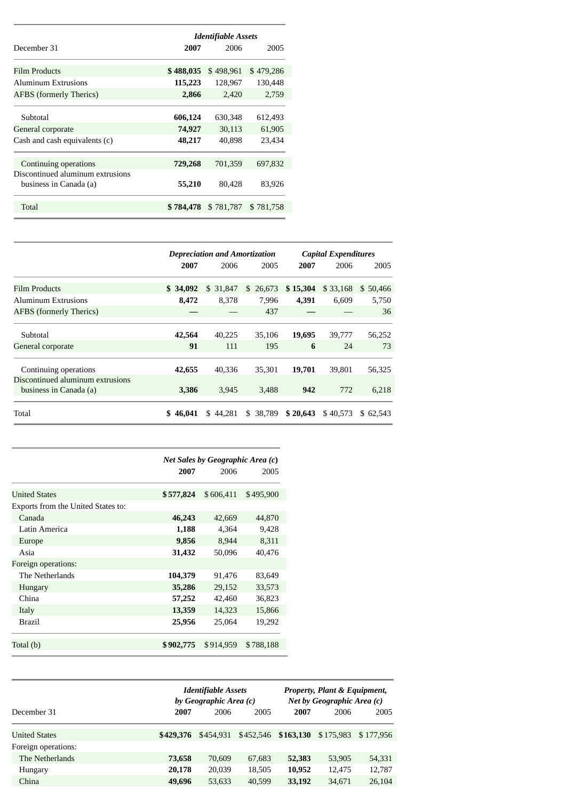|                                                            | <b>Identifiable Assets</b> |           |           |  |  |
|------------------------------------------------------------|----------------------------|-----------|-----------|--|--|
| December 31                                                | 2007                       | 2006      | 2005      |  |  |
| Film Products                                              | \$488,035                  | \$498,961 | \$479,286 |  |  |
| Aluminum Extrusions                                        | 115,223                    | 128,967   | 130,448   |  |  |
| AFBS (formerly Therics)                                    | 2,866                      | 2,420     | 2,759     |  |  |
|                                                            |                            |           |           |  |  |
| Subtotal                                                   | 606,124                    | 630,348   | 612,493   |  |  |
| General corporate                                          | 74,927                     | 30,113    | 61,905    |  |  |
| Cash and cash equivalents (c)                              | 48,217                     | 40,898    | 23,434    |  |  |
| Continuing operations                                      | 729,268                    | 701.359   | 697,832   |  |  |
| Discontinued aluminum extrusions<br>business in Canada (a) | 55,210                     | 80,428    | 83,926    |  |  |
| Total                                                      | \$784,478                  | \$781,787 | \$781,758 |  |  |

|                                  | <b>Depreciation and Amortization</b> |           |              |          | <b>Capital Expenditures</b> |          |
|----------------------------------|--------------------------------------|-----------|--------------|----------|-----------------------------|----------|
|                                  | 2007                                 | 2006      | 2005         | 2007     | 2006                        | 2005     |
| <b>Film Products</b>             | \$ 34,092                            | \$ 31,847 | 26,673<br>S. | \$15,304 | \$33,168                    | \$50,466 |
| Aluminum Extrusions              | 8,472                                | 8,378     | 7,996        | 4,391    | 6,609                       | 5,750    |
| AFBS (formerly Therics)          |                                      |           | 437          |          |                             | 36       |
| Subtotal                         | 42,564                               | 40,225    | 35,106       | 19,695   | 39,777                      | 56,252   |
| General corporate                | 91                                   | 111       | 195          | 6        | 24                          | 73       |
| Continuing operations            | 42,655                               | 40,336    | 35,301       | 19,701   | 39,801                      | 56,325   |
| Discontinued aluminum extrusions |                                      |           |              |          |                             |          |
| business in Canada (a)           | 3,386                                | 3,945     | 3,488        | 942      | 772                         | 6,218    |
| Total                            | 46,041<br>SS.                        | \$44.281  | \$ 38,789    | \$20,643 | \$40,573                    | \$62,543 |

|                                    | <b>Net Sales by Geographic Area (c)</b> |           |           |  |  |  |  |
|------------------------------------|-----------------------------------------|-----------|-----------|--|--|--|--|
|                                    | 2007                                    | 2006      | 2005      |  |  |  |  |
| <b>United States</b>               | \$577,824                               | \$606,411 | \$495,900 |  |  |  |  |
| Exports from the United States to: |                                         |           |           |  |  |  |  |
| Canada                             | 46,243                                  | 42,669    | 44,870    |  |  |  |  |
| Latin America                      | 1,188                                   | 4,364     | 9,428     |  |  |  |  |
| Europe                             | 9,856                                   | 8,944     | 8,311     |  |  |  |  |
| Asia                               | 31,432                                  | 50,096    | 40,476    |  |  |  |  |
| Foreign operations:                |                                         |           |           |  |  |  |  |
| The Netherlands                    | 104,379                                 | 91,476    | 83,649    |  |  |  |  |
| Hungary                            | 35,286                                  | 29,152    | 33,573    |  |  |  |  |
| China                              | 57,252                                  | 42,460    | 36,823    |  |  |  |  |
| Italy                              | 13,359                                  | 14,323    | 15,866    |  |  |  |  |
| <b>Brazil</b>                      | 25,956                                  | 25,064    | 19,292    |  |  |  |  |
| Total (b)                          | \$902,775                               | \$914,959 | \$788,188 |  |  |  |  |

|                      |           | <b>Identifiable Assets</b><br>by Geographic Area (c) |           |           | Property, Plant & Equipment,<br>Net by Geographic Area (c) |           |
|----------------------|-----------|------------------------------------------------------|-----------|-----------|------------------------------------------------------------|-----------|
| December 31          | 2007      | 2006                                                 | 2005      | 2007      | 2006                                                       | 2005      |
|                      |           |                                                      |           |           |                                                            |           |
| <b>United States</b> | \$429,376 | \$454,931                                            | \$452,546 | \$163,130 | \$175,983                                                  | \$177.956 |
| Foreign operations:  |           |                                                      |           |           |                                                            |           |
| The Netherlands      | 73,658    | 70,609                                               | 67,683    | 52,383    | 53,905                                                     | 54,331    |
| Hungary              | 20,178    | 20,039                                               | 18,505    | 10.952    | 12,475                                                     | 12,787    |
| China                | 49,696    | 53,633                                               | 40,599    | 33,192    | 34,671                                                     | 26,104    |
|                      |           |                                                      |           |           |                                                            |           |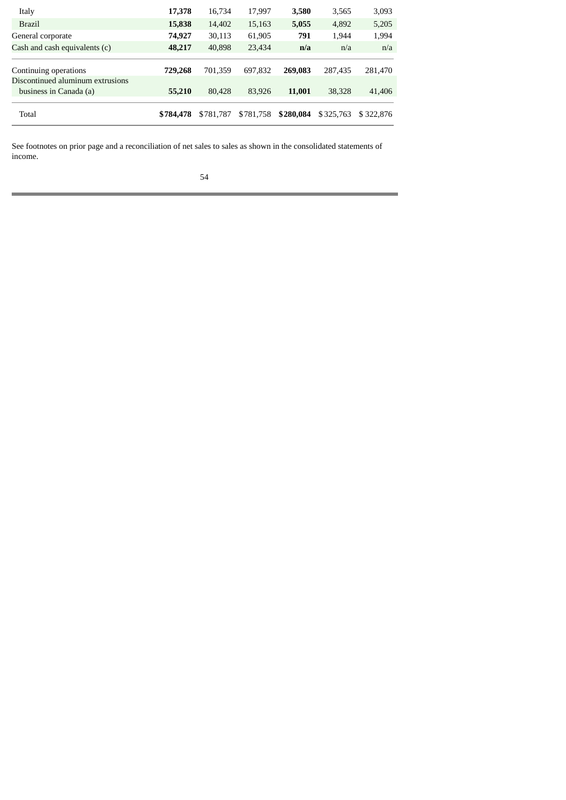| Italy                            | 17,378    | 16,734    | 17,997    | 3,580     | 3,565     | 3,093     |
|----------------------------------|-----------|-----------|-----------|-----------|-----------|-----------|
| <b>Brazil</b>                    | 15,838    | 14,402    | 15,163    | 5,055     | 4,892     | 5,205     |
| General corporate                | 74,927    | 30,113    | 61,905    | 791       | 1,944     | 1,994     |
| Cash and cash equivalents (c)    | 48,217    | 40,898    | 23,434    | n/a       | n/a       | n/a       |
|                                  |           |           |           |           |           |           |
| Continuing operations            | 729,268   | 701,359   | 697,832   | 269,083   | 287,435   | 281,470   |
| Discontinued aluminum extrusions |           |           |           |           |           |           |
| business in Canada (a)           | 55,210    | 80,428    | 83.926    | 11,001    | 38,328    | 41,406    |
|                                  |           |           |           |           |           |           |
| Total                            | \$784,478 | \$781,787 | \$781,758 | \$280,084 | \$325,763 | \$322,876 |

See footnotes on prior page and a reconciliation of net sales to sales as shown in the consolidated statements of income.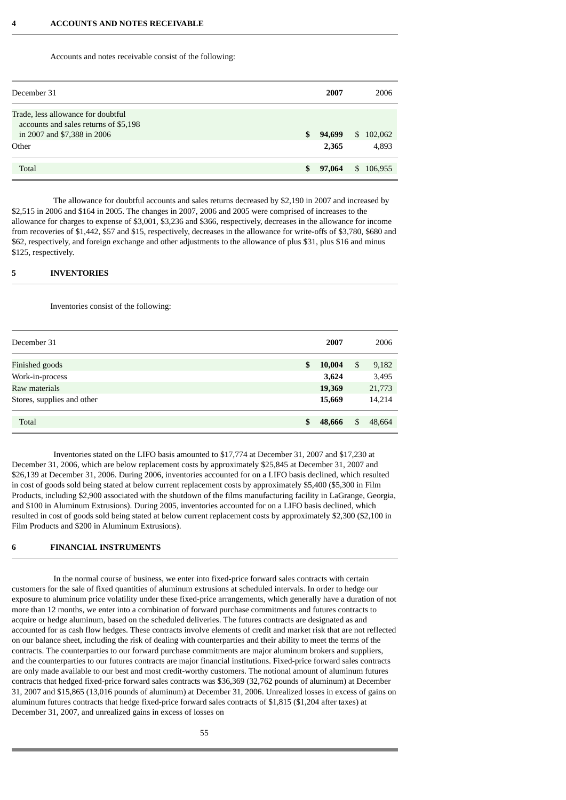Accounts and notes receivable consist of the following:

| December 31                                                                                                |   | 2007   | 2006          |
|------------------------------------------------------------------------------------------------------------|---|--------|---------------|
| Trade, less allowance for doubtful<br>accounts and sales returns of \$5,198<br>in 2007 and \$7,388 in 2006 | S | 94,699 | 102,062<br>\$ |
| Other                                                                                                      |   | 2,365  | 4,893         |
| Total                                                                                                      | S | 97,064 | \$106,955     |

 The allowance for doubtful accounts and sales returns decreased by \$2,190 in 2007 and increased by \$2,515 in 2006 and \$164 in 2005. The changes in 2007, 2006 and 2005 were comprised of increases to the allowance for charges to expense of \$3,001, \$3,236 and \$366, respectively, decreases in the allowance for income from recoveries of \$1,442, \$57 and \$15, respectively, decreases in the allowance for write-offs of \$3,780, \$680 and \$62, respectively, and foreign exchange and other adjustments to the allowance of plus \$31, plus \$16 and minus \$125, respectively.

### **5 INVENTORIES**

Inventories consist of the following:

| December 31                | 2007         |   | 2006   |
|----------------------------|--------------|---|--------|
| Finished goods             | \$<br>10,004 | S | 9,182  |
| Work-in-process            | 3,624        |   | 3,495  |
| Raw materials              | 19,369       |   | 21,773 |
| Stores, supplies and other | 15,669       |   | 14,214 |
| Total                      | \$<br>48,666 | S | 48,664 |

 Inventories stated on the LIFO basis amounted to \$17,774 at December 31, 2007 and \$17,230 at December 31, 2006, which are below replacement costs by approximately \$25,845 at December 31, 2007 and \$26,139 at December 31, 2006. During 2006, inventories accounted for on a LIFO basis declined, which resulted in cost of goods sold being stated at below current replacement costs by approximately \$5,400 (\$5,300 in Film Products, including \$2,900 associated with the shutdown of the films manufacturing facility in LaGrange, Georgia, and \$100 in Aluminum Extrusions). During 2005, inventories accounted for on a LIFO basis declined, which resulted in cost of goods sold being stated at below current replacement costs by approximately \$2,300 (\$2,100 in Film Products and \$200 in Aluminum Extrusions).

### **6 FINANCIAL INSTRUMENTS**

 In the normal course of business, we enter into fixed-price forward sales contracts with certain customers for the sale of fixed quantities of aluminum extrusions at scheduled intervals. In order to hedge our exposure to aluminum price volatility under these fixed-price arrangements, which generally have a duration of not more than 12 months, we enter into a combination of forward purchase commitments and futures contracts to acquire or hedge aluminum, based on the scheduled deliveries. The futures contracts are designated as and accounted for as cash flow hedges. These contracts involve elements of credit and market risk that are not reflected on our balance sheet, including the risk of dealing with counterparties and their ability to meet the terms of the contracts. The counterparties to our forward purchase commitments are major aluminum brokers and suppliers, and the counterparties to our futures contracts are major financial institutions. Fixed-price forward sales contracts are only made available to our best and most credit-worthy customers. The notional amount of aluminum futures contracts that hedged fixed-price forward sales contracts was \$36,369 (32,762 pounds of aluminum) at December 31, 2007 and \$15,865 (13,016 pounds of aluminum) at December 31, 2006. Unrealized losses in excess of gains on aluminum futures contracts that hedge fixed-price forward sales contracts of \$1,815 (\$1,204 after taxes) at December 31, 2007, and unrealized gains in excess of losses on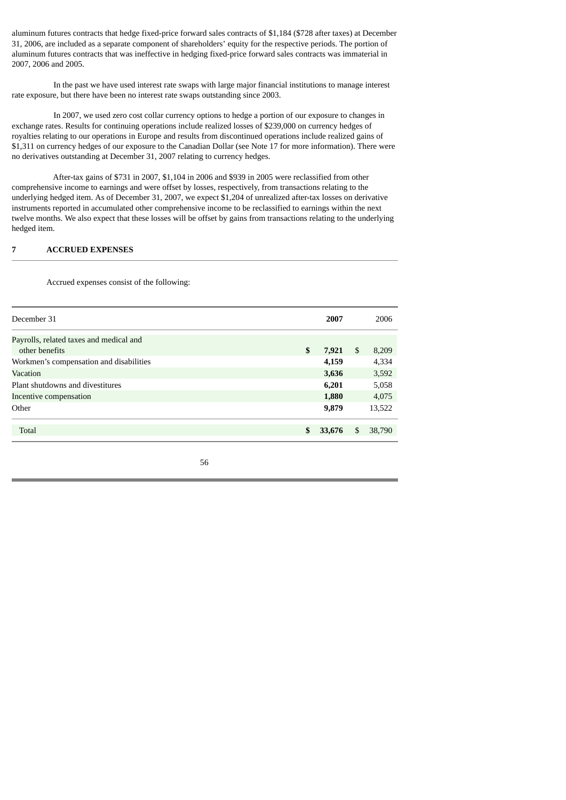aluminum futures contracts that hedge fixed-price forward sales contracts of \$1,184 (\$728 after taxes) at December 31, 2006, are included as a separate component of shareholders' equity for the respective periods. The portion of aluminum futures contracts that was ineffective in hedging fixed-price forward sales contracts was immaterial in 2007, 2006 and 2005.

 In the past we have used interest rate swaps with large major financial institutions to manage interest rate exposure, but there have been no interest rate swaps outstanding since 2003.

 In 2007, we used zero cost collar currency options to hedge a portion of our exposure to changes in exchange rates. Results for continuing operations include realized losses of \$239,000 on currency hedges of royalties relating to our operations in Europe and results from discontinued operations include realized gains of \$1,311 on currency hedges of our exposure to the Canadian Dollar (see Note 17 for more information). There were no derivatives outstanding at December 31, 2007 relating to currency hedges.

 After-tax gains of \$731 in 2007, \$1,104 in 2006 and \$939 in 2005 were reclassified from other comprehensive income to earnings and were offset by losses, respectively, from transactions relating to the underlying hedged item. As of December 31, 2007, we expect \$1,204 of unrealized after-tax losses on derivative instruments reported in accumulated other comprehensive income to be reclassified to earnings within the next twelve months. We also expect that these losses will be offset by gains from transactions relating to the underlying hedged item.

# **7 ACCRUED EXPENSES**

Accrued expenses consist of the following:

| December 31                                               | 2007         | 2006         |
|-----------------------------------------------------------|--------------|--------------|
| Payrolls, related taxes and medical and<br>other benefits | \$<br>7,921  | \$<br>8,209  |
| Workmen's compensation and disabilities                   | 4,159        | 4,334        |
| Vacation                                                  | 3,636        | 3,592        |
| Plant shutdowns and divestitures                          | 6,201        | 5,058        |
| Incentive compensation                                    | 1,880        | 4,075        |
| Other                                                     | 9,879        | 13,522       |
| Total                                                     | \$<br>33,676 | \$<br>38,790 |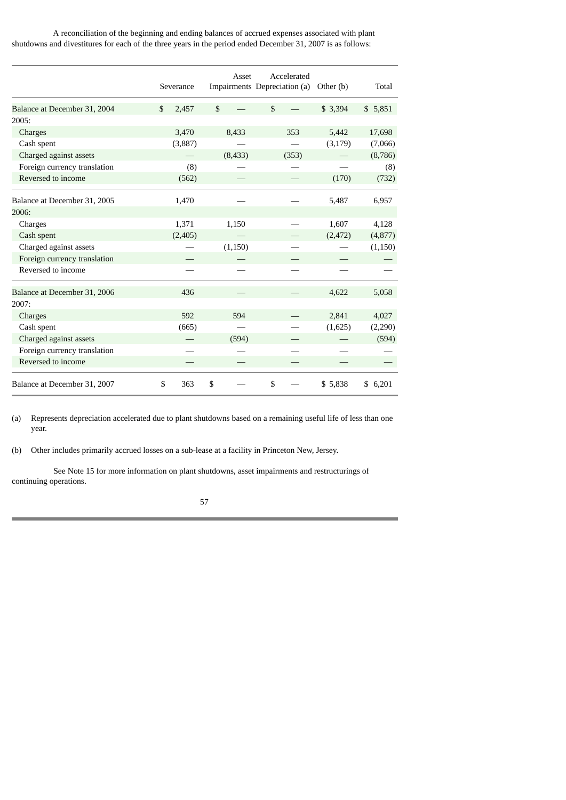A reconciliation of the beginning and ending balances of accrued expenses associated with plant shutdowns and divestitures for each of the three years in the period ended December 31, 2007 is as follows:

|                                       | Severance   | Asset    |              | Accelerated<br>Impairments Depreciation (a) | Other (b) | Total    |
|---------------------------------------|-------------|----------|--------------|---------------------------------------------|-----------|----------|
| Balance at December 31, 2004          | \$<br>2,457 | \$       | $\mathbb{S}$ |                                             | \$3,394   | \$5,851  |
| 2005:                                 |             |          |              |                                             |           |          |
| Charges                               | 3,470       | 8,433    |              | 353                                         | 5,442     | 17,698   |
| Cash spent                            | (3,887)     |          |              |                                             | (3, 179)  | (7,066)  |
| Charged against assets                |             | (8, 433) |              | (353)                                       |           | (8,786)  |
| Foreign currency translation          | (8)         |          |              |                                             |           | (8)      |
| Reversed to income                    | (562)       |          |              |                                             | (170)     | (732)    |
| Balance at December 31, 2005<br>2006: | 1,470       |          |              |                                             | 5,487     | 6,957    |
| Charges                               | 1,371       | 1,150    |              |                                             | 1,607     | 4,128    |
| Cash spent                            | (2,405)     |          |              |                                             | (2, 472)  | (4, 877) |
| Charged against assets                |             | (1,150)  |              |                                             |           | (1,150)  |
| Foreign currency translation          |             |          |              |                                             |           |          |
| Reversed to income                    |             |          |              |                                             |           |          |
| Balance at December 31, 2006          | 436         |          |              |                                             | 4,622     | 5,058    |
| 2007:                                 |             |          |              |                                             |           |          |
| Charges                               | 592         | 594      |              |                                             | 2,841     | 4,027    |
| Cash spent                            | (665)       |          |              |                                             | (1,625)   | (2,290)  |
| Charged against assets                |             | (594)    |              |                                             |           | (594)    |
| Foreign currency translation          |             |          |              |                                             |           |          |
| Reversed to income                    |             |          |              |                                             |           |          |
| Balance at December 31, 2007          | \$<br>363   | \$       | \$           |                                             | \$5,838   | \$6,201  |
|                                       |             |          |              |                                             |           |          |

(a) Represents depreciation accelerated due to plant shutdowns based on a remaining useful life of less than one year.

(b) Other includes primarily accrued losses on a sub-lease at a facility in Princeton New, Jersey.

 See Note 15 for more information on plant shutdowns, asset impairments and restructurings of continuing operations.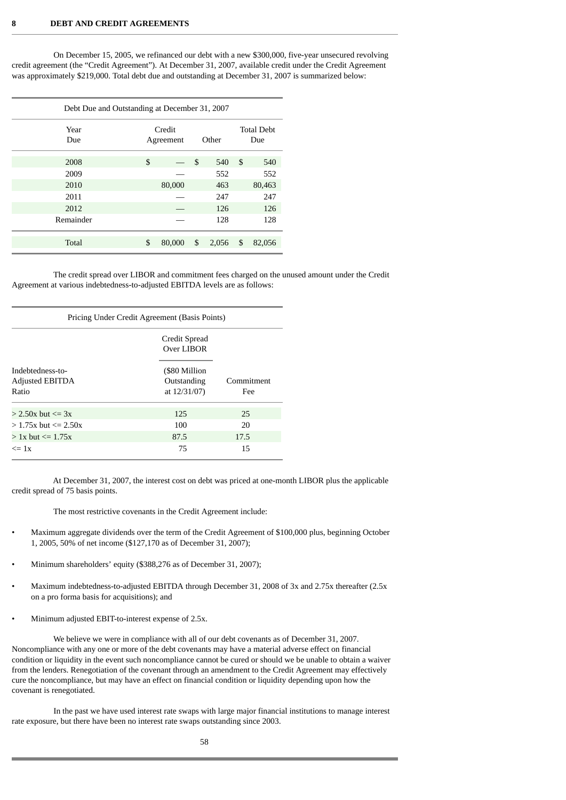On December 15, 2005, we refinanced our debt with a new \$300,000, five-year unsecured revolving credit agreement (the "Credit Agreement"). At December 31, 2007, available credit under the Credit Agreement was approximately \$219,000. Total debt due and outstanding at December 31, 2007 is summarized below:

| Debt Due and Outstanding at December 31, 2007 |                              |        |    |       |    |                          |  |  |  |  |  |  |
|-----------------------------------------------|------------------------------|--------|----|-------|----|--------------------------|--|--|--|--|--|--|
| Year<br>Due                                   | Credit<br>Other<br>Agreement |        |    |       |    | <b>Total Debt</b><br>Due |  |  |  |  |  |  |
| 2008                                          | \$                           |        | \$ | 540   | \$ | 540                      |  |  |  |  |  |  |
| 2009                                          |                              |        |    | 552   |    | 552                      |  |  |  |  |  |  |
| 2010                                          |                              | 80,000 |    | 463   |    | 80,463                   |  |  |  |  |  |  |
| 2011                                          |                              |        |    | 247   |    | 247                      |  |  |  |  |  |  |
| 2012                                          |                              |        |    | 126   |    | 126                      |  |  |  |  |  |  |
| Remainder                                     |                              |        |    | 128   |    | 128                      |  |  |  |  |  |  |
| Total                                         | \$                           | 80,000 | \$ | 2,056 | \$ | 82,056                   |  |  |  |  |  |  |

 The credit spread over LIBOR and commitment fees charged on the unused amount under the Credit Agreement at various indebtedness-to-adjusted EBITDA levels are as follows:

| Pricing Under Credit Agreement (Basis Points) |                                                 |                   |  |  |  |  |  |  |  |
|-----------------------------------------------|-------------------------------------------------|-------------------|--|--|--|--|--|--|--|
|                                               | Credit Spread<br>Over LIBOR                     |                   |  |  |  |  |  |  |  |
| Indebtedness-to-<br>Adjusted EBITDA<br>Ratio  | (\$80 Million<br>Outstanding<br>at $12/31/07$ ) | Commitment<br>Fee |  |  |  |  |  |  |  |
| $> 2.50x$ but $\leq 3x$                       | 125                                             | 25                |  |  |  |  |  |  |  |
| $> 1.75x$ but $\leq 2.50x$                    | 100                                             | 20                |  |  |  |  |  |  |  |
| $> 1x$ but $\leq 1.75x$                       | 87.5                                            | 17.5              |  |  |  |  |  |  |  |
| $\leq$ 1 x                                    | 75                                              | 15                |  |  |  |  |  |  |  |

 At December 31, 2007, the interest cost on debt was priced at one-month LIBOR plus the applicable credit spread of 75 basis points.

The most restrictive covenants in the Credit Agreement include:

- Maximum aggregate dividends over the term of the Credit Agreement of \$100,000 plus, beginning October 1, 2005, 50% of net income (\$127,170 as of December 31, 2007);
- Minimum shareholders' equity (\$388,276 as of December 31, 2007);
- Maximum indebtedness-to-adjusted EBITDA through December 31, 2008 of 3x and 2.75x thereafter (2.5x on a pro forma basis for acquisitions); and
- Minimum adjusted EBIT-to-interest expense of 2.5x.

 We believe we were in compliance with all of our debt covenants as of December 31, 2007. Noncompliance with any one or more of the debt covenants may have a material adverse effect on financial condition or liquidity in the event such noncompliance cannot be cured or should we be unable to obtain a waiver from the lenders. Renegotiation of the covenant through an amendment to the Credit Agreement may effectively cure the noncompliance, but may have an effect on financial condition or liquidity depending upon how the covenant is renegotiated.

 In the past we have used interest rate swaps with large major financial institutions to manage interest rate exposure, but there have been no interest rate swaps outstanding since 2003.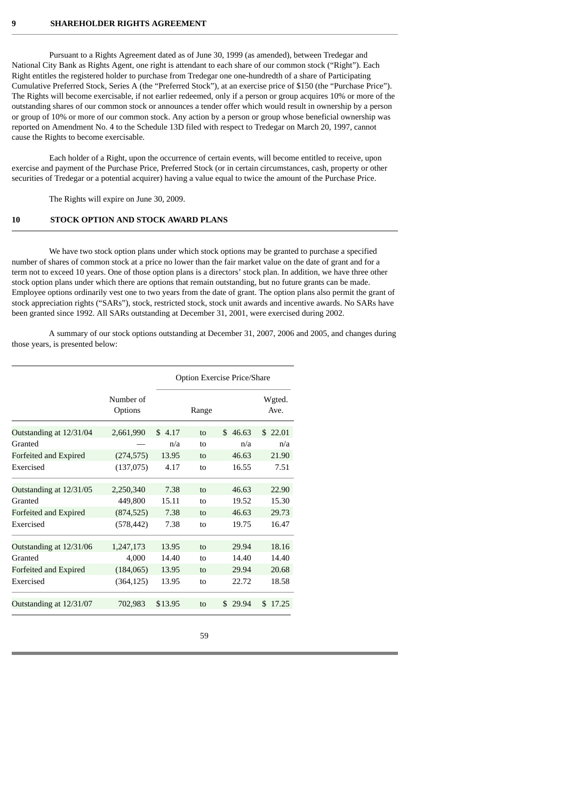Pursuant to a Rights Agreement dated as of June 30, 1999 (as amended), between Tredegar and National City Bank as Rights Agent, one right is attendant to each share of our common stock ("Right"). Each Right entitles the registered holder to purchase from Tredegar one one-hundredth of a share of Participating Cumulative Preferred Stock, Series A (the "Preferred Stock"), at an exercise price of \$150 (the "Purchase Price"). The Rights will become exercisable, if not earlier redeemed, only if a person or group acquires 10% or more of the outstanding shares of our common stock or announces a tender offer which would result in ownership by a person or group of 10% or more of our common stock. Any action by a person or group whose beneficial ownership was reported on Amendment No. 4 to the Schedule 13D filed with respect to Tredegar on March 20, 1997, cannot cause the Rights to become exercisable.

 Each holder of a Right, upon the occurrence of certain events, will become entitled to receive, upon exercise and payment of the Purchase Price, Preferred Stock (or in certain circumstances, cash, property or other securities of Tredegar or a potential acquirer) having a value equal to twice the amount of the Purchase Price.

The Rights will expire on June 30, 2009.

### **10 STOCK OPTION AND STOCK AWARD PLANS**

 We have two stock option plans under which stock options may be granted to purchase a specified number of shares of common stock at a price no lower than the fair market value on the date of grant and for a term not to exceed 10 years. One of those option plans is a directors' stock plan. In addition, we have three other stock option plans under which there are options that remain outstanding, but no future grants can be made. Employee options ordinarily vest one to two years from the date of grant. The option plans also permit the grant of stock appreciation rights ("SARs"), stock, restricted stock, stock unit awards and incentive awards. No SARs have been granted since 1992. All SARs outstanding at December 31, 2001, were exercised during 2002.

 A summary of our stock options outstanding at December 31, 2007, 2006 and 2005, and changes during those years, is presented below:

|                         |                      |         |       | Option Exercise Price/Share |                |
|-------------------------|----------------------|---------|-------|-----------------------------|----------------|
|                         | Number of<br>Options |         | Range |                             | Wgted.<br>Ave. |
| Outstanding at 12/31/04 | 2,661,990            | \$4.17  | to    | 46.63<br>\$                 | \$22.01        |
| Granted                 |                      | n/a     | to    | n/a                         | n/a            |
| Forfeited and Expired   | (274, 575)           | 13.95   | to    | 46.63                       | 21.90          |
| Exercised               | (137,075)            | 4.17    | to    | 16.55                       | 7.51           |
| Outstanding at 12/31/05 | 2,250,340            | 7.38    | to    | 46.63                       | 22.90          |
| Granted                 | 449,800              | 15.11   | to    | 19.52                       | 15.30          |
| Forfeited and Expired   | (874, 525)           | 7.38    | to    | 46.63                       | 29.73          |
| Exercised               | (578, 442)           | 7.38    | to    | 19.75                       | 16.47          |
| Outstanding at 12/31/06 | 1,247,173            | 13.95   | to    | 29.94                       | 18.16          |
| Granted                 | 4,000                | 14.40   | to    | 14.40                       | 14.40          |
| Forfeited and Expired   | (184, 065)           | 13.95   | to    | 29.94                       | 20.68          |
| Exercised               | (364, 125)           | 13.95   | to    | 22.72                       | 18.58          |
| Outstanding at 12/31/07 | 702,983              | \$13.95 | to    | 29.94<br>S.                 | \$17.25        |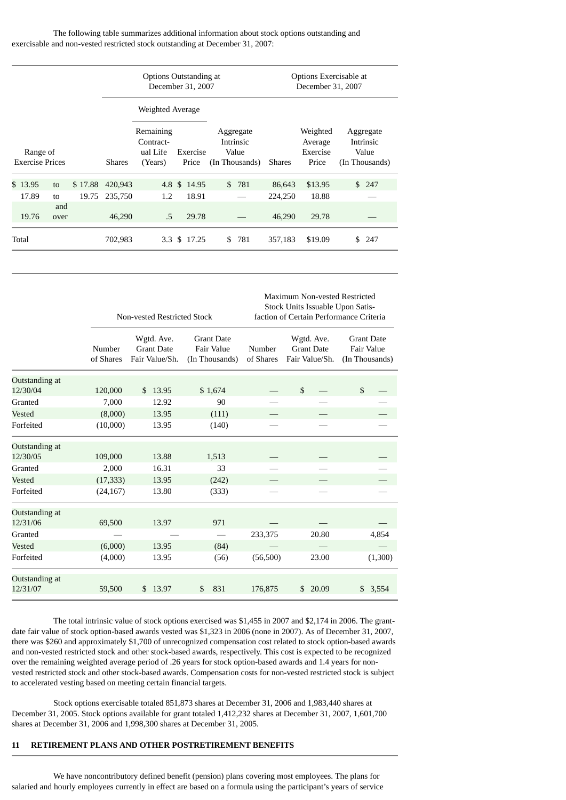The following table summarizes additional information about stock options outstanding and exercisable and non-vested restricted stock outstanding at December 31, 2007:

|                                    |             |         |               | <b>Options Outstanding at</b>                 | December 31, 2007 |                                                   | Options Exercisable at<br>December 31, 2007 |                                          |                                                   |
|------------------------------------|-------------|---------|---------------|-----------------------------------------------|-------------------|---------------------------------------------------|---------------------------------------------|------------------------------------------|---------------------------------------------------|
|                                    |             |         |               | Weighted Average                              |                   |                                                   |                                             |                                          |                                                   |
| Range of<br><b>Exercise Prices</b> |             |         | <b>Shares</b> | Remaining<br>Contract-<br>ual Life<br>(Years) | Exercise<br>Price | Aggregate<br>Intrinsic<br>Value<br>(In Thousands) | Shares                                      | Weighted<br>Average<br>Exercise<br>Price | Aggregate<br>Intrinsic<br>Value<br>(In Thousands) |
| \$13.95                            | to          | \$17.88 | 420,943       | 4.8                                           | \$14.95           | 781<br>$\mathbb{S}$                               | 86,643                                      | \$13.95                                  | $\mathcal{S}$<br>247                              |
| 17.89                              | to          | 19.75   | 235,750       | 1.2                                           | 18.91             |                                                   | 224,250                                     | 18.88                                    |                                                   |
| 19.76                              | and<br>over |         | 46,290        | $.5\,$                                        | 29.78             |                                                   | 46,290                                      | 29.78                                    |                                                   |
| Total                              |             |         | 702,983       |                                               | 3.3 \$ 17.25      | 781<br>\$.                                        | 357,183                                     | \$19.09                                  | \$<br>247                                         |

|                            |                                                                          |                             |                                                   | Maximum Non-vested Restricted<br>Stock Units Issuable Upon Satis- |                                                   |                                                   |  |  |
|----------------------------|--------------------------------------------------------------------------|-----------------------------|---------------------------------------------------|-------------------------------------------------------------------|---------------------------------------------------|---------------------------------------------------|--|--|
|                            |                                                                          | Non-vested Restricted Stock |                                                   |                                                                   | faction of Certain Performance Criteria           |                                                   |  |  |
|                            | Wgtd. Ave.<br><b>Grant Date</b><br>Number<br>of Shares<br>Fair Value/Sh. |                             | <b>Grant Date</b><br>Fair Value<br>(In Thousands) | Number<br>of Shares                                               | Wgtd. Ave.<br><b>Grant Date</b><br>Fair Value/Sh. | <b>Grant Date</b><br>Fair Value<br>(In Thousands) |  |  |
| Outstanding at<br>12/30/04 | 120,000                                                                  | 13.95<br>\$                 | \$1,674                                           |                                                                   | \$                                                | \$                                                |  |  |
| Granted                    | 7,000                                                                    | 12.92                       | 90                                                |                                                                   |                                                   |                                                   |  |  |
| <b>Vested</b>              | (8,000)                                                                  | 13.95                       | (111)                                             |                                                                   |                                                   |                                                   |  |  |
| Forfeited                  | (10,000)                                                                 | 13.95                       | (140)                                             |                                                                   |                                                   |                                                   |  |  |
| Outstanding at<br>12/30/05 | 109,000                                                                  | 13.88                       | 1,513                                             |                                                                   |                                                   |                                                   |  |  |
| Granted                    | 2,000                                                                    | 16.31                       | 33                                                |                                                                   |                                                   |                                                   |  |  |
| Vested                     | (17, 333)                                                                | 13.95                       | (242)                                             |                                                                   |                                                   |                                                   |  |  |
| Forfeited                  | (24, 167)                                                                | 13.80                       | (333)                                             |                                                                   |                                                   |                                                   |  |  |
| Outstanding at<br>12/31/06 | 69,500                                                                   | 13.97                       | 971                                               |                                                                   |                                                   |                                                   |  |  |
| Granted                    |                                                                          |                             |                                                   | 233,375                                                           | 20.80                                             | 4,854                                             |  |  |
| Vested                     | (6,000)                                                                  | 13.95                       | (84)                                              |                                                                   |                                                   |                                                   |  |  |
| Forfeited                  | (4,000)                                                                  | 13.95                       | (56)                                              | (56, 500)                                                         | 23.00                                             | (1,300)                                           |  |  |
| Outstanding at<br>12/31/07 | 59,500                                                                   | 13.97<br>\$.                | 831<br>\$                                         | 176,875                                                           | 20.09<br>\$.                                      | 3,554<br>$\mathbb{S}^-$                           |  |  |

 The total intrinsic value of stock options exercised was \$1,455 in 2007 and \$2,174 in 2006. The grantdate fair value of stock option-based awards vested was \$1,323 in 2006 (none in 2007). As of December 31, 2007, there was \$260 and approximately \$1,700 of unrecognized compensation cost related to stock option-based awards and non-vested restricted stock and other stock-based awards, respectively. This cost is expected to be recognized over the remaining weighted average period of .26 years for stock option-based awards and 1.4 years for nonvested restricted stock and other stock-based awards. Compensation costs for non-vested restricted stock is subject to accelerated vesting based on meeting certain financial targets.

 Stock options exercisable totaled 851,873 shares at December 31, 2006 and 1,983,440 shares at December 31, 2005. Stock options available for grant totaled 1,412,232 shares at December 31, 2007, 1,601,700 shares at December 31, 2006 and 1,998,300 shares at December 31, 2005.

# **11 RETIREMENT PLANS AND OTHER POSTRETIREMENT BENEFITS**

 We have noncontributory defined benefit (pension) plans covering most employees. The plans for salaried and hourly employees currently in effect are based on a formula using the participant's years of service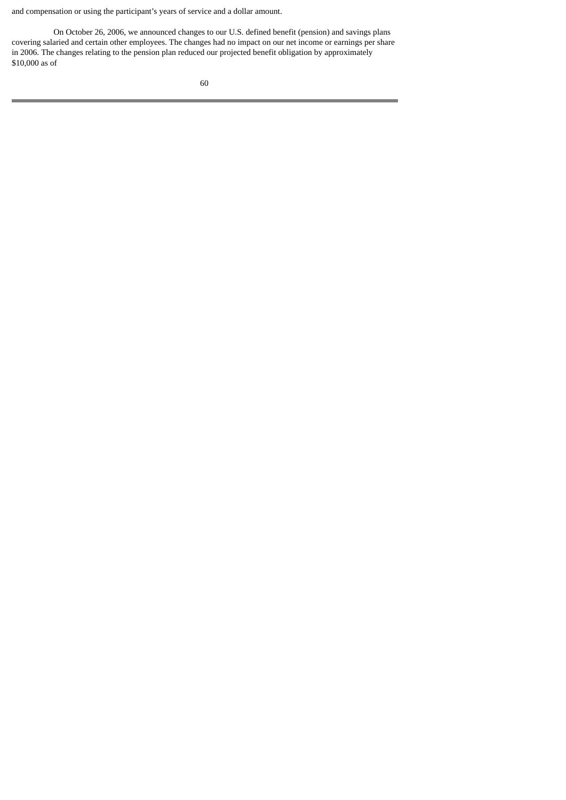and compensation or using the participant's years of service and a dollar amount.

 On October 26, 2006, we announced changes to our U.S. defined benefit (pension) and savings plans covering salaried and certain other employees. The changes had no impact on our net income or earnings per share in 2006. The changes relating to the pension plan reduced our projected benefit obligation by approximately \$10,000 as of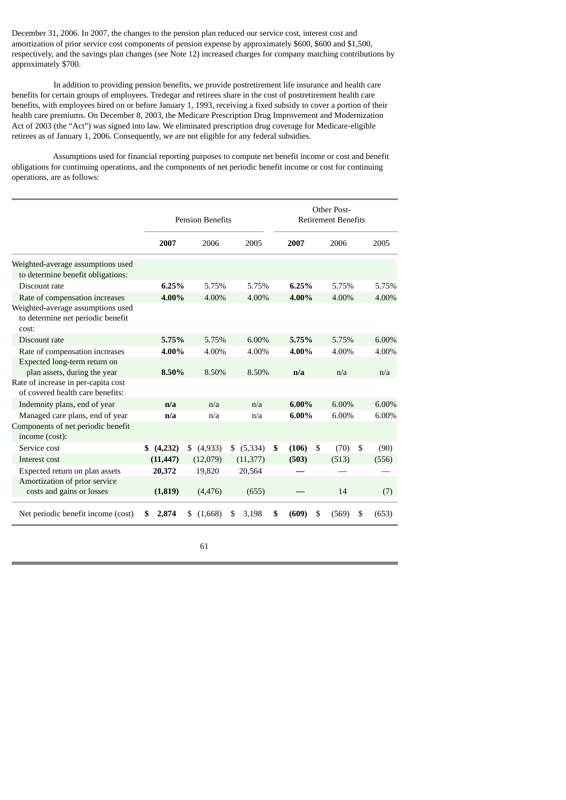December 31, 2006. In 2007, the changes to the pension plan reduced our service cost, interest cost and amortization of prior service cost components of pension expense by approximately \$600, \$600 and \$1,500, respectively, and the savings plan changes (see Note 12) increased charges for company matching contributions by approximately \$700.

 In addition to providing pension benefits, we provide postretirement life insurance and health care benefits for certain groups of employees. Tredegar and retirees share in the cost of postretirement health care benefits, with employees hired on or before January 1, 1993, receiving a fixed subsidy to cover a portion of their health care premiums. On December 8, 2003, the Medicare Prescription Drug Improvement and Modernization Act of 2003 (the "Act") was signed into law. We eliminated prescription drug coverage for Medicare-eligible retirees as of January 1, 2006. Consequently, we are not eligible for any federal subsidies.

 Assumptions used for financial reporting purposes to compute net benefit income or cost and benefit obligations for continuing operations, and the components of net periodic benefit income or cost for continuing operations, are as follows:

|                                                                                 | <b>Pension Benefits</b> |               |                |    | Other Post-<br><b>Retirement Benefits</b> |    |       |               |       |  |  |
|---------------------------------------------------------------------------------|-------------------------|---------------|----------------|----|-------------------------------------------|----|-------|---------------|-------|--|--|
|                                                                                 | 2007                    | 2006          | 2005           |    | 2007                                      |    | 2006  |               | 2005  |  |  |
| Weighted-average assumptions used<br>to determine benefit obligations:          |                         |               |                |    |                                           |    |       |               |       |  |  |
| Discount rate                                                                   | 6.25%                   | 5.75%         | 5.75%          |    | 6.25%                                     |    | 5.75% |               | 5.75% |  |  |
| Rate of compensation increases                                                  | 4.00%                   | 4.00%         | 4.00%          |    | 4.00%                                     |    | 4.00% |               | 4.00% |  |  |
| Weighted-average assumptions used<br>to determine net periodic benefit<br>cost: |                         |               |                |    |                                           |    |       |               |       |  |  |
| Discount rate                                                                   | 5.75%                   | 5.75%         | 6.00%          |    | 5.75%                                     |    | 5.75% |               | 6.00% |  |  |
| Rate of compensation increases                                                  | 4.00%                   | 4.00%         | 4.00%          |    | 4.00%                                     |    | 4.00% |               | 4.00% |  |  |
| Expected long-term return on<br>plan assets, during the year                    | 8.50%                   | 8.50%         | 8.50%          |    | n/a                                       |    | n/a   |               | n/a   |  |  |
| Rate of increase in per-capita cost<br>of covered health care benefits:         |                         |               |                |    |                                           |    |       |               |       |  |  |
| Indemnity plans, end of year                                                    | n/a                     | n/a           | n/a            |    | $6.00\%$                                  |    | 6.00% |               | 6.00% |  |  |
| Managed care plans, end of year                                                 | n/a                     | n/a           | n/a            |    | $6.00\%$                                  |    | 6.00% |               | 6.00% |  |  |
| Components of net periodic benefit<br>income (cost):                            |                         |               |                |    |                                           |    |       |               |       |  |  |
| Service cost                                                                    | (4,232)<br>\$           | (4,933)<br>\$ | (5, 334)<br>S. | \$ | (106)                                     | \$ | (70)  | $\mathcal{S}$ | (90)  |  |  |
| Interest cost                                                                   | (11, 447)               | (12,079)      | (11, 377)      |    | (503)                                     |    | (513) |               | (556) |  |  |
| Expected return on plan assets                                                  | 20,372                  | 19,820        | 20,564         |    |                                           |    |       |               |       |  |  |
| Amortization of prior service<br>costs and gains or losses                      | (1,819)                 | (4, 476)      | (655)          |    |                                           |    | 14    |               | (7)   |  |  |
| Net periodic benefit income (cost)                                              | 2,874<br>\$             | (1,668)<br>S  | \$<br>3,198    | \$ | (609)                                     | \$ | (569) | \$            | (653) |  |  |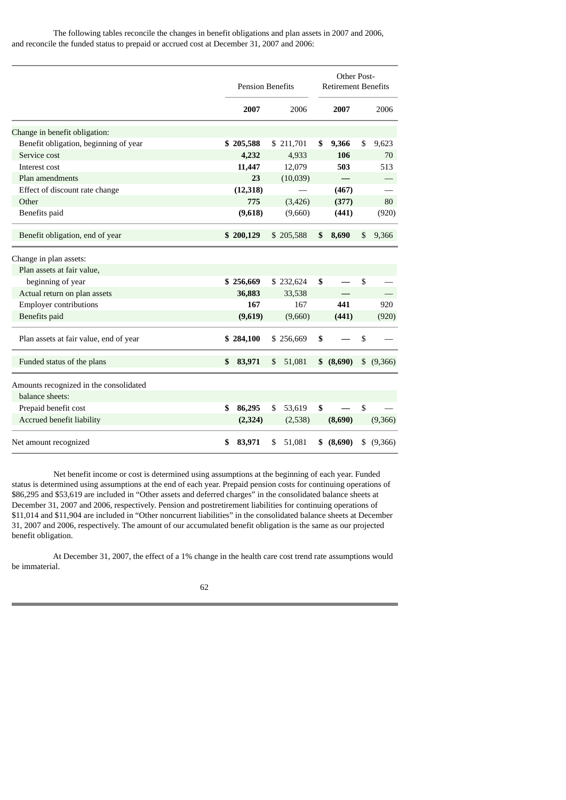The following tables reconcile the changes in benefit obligations and plan assets in 2007 and 2006, and reconcile the funded status to prepaid or accrued cost at December 31, 2007 and 2006:

|                                        | <b>Pension Benefits</b> |           |    |           | Other Post-<br><b>Retirement Benefits</b> |            |    |            |
|----------------------------------------|-------------------------|-----------|----|-----------|-------------------------------------------|------------|----|------------|
|                                        |                         | 2007      |    | 2006      |                                           | 2007       |    | 2006       |
| Change in benefit obligation:          |                         |           |    |           |                                           |            |    |            |
| Benefit obligation, beginning of year  |                         | \$205,588 |    | \$211,701 | \$                                        | 9,366      | \$ | 9,623      |
| Service cost                           |                         | 4,232     |    | 4,933     |                                           | 106        |    | 70         |
| Interest cost                          |                         | 11,447    |    | 12,079    |                                           | 503        |    | 513        |
| Plan amendments                        |                         | 23        |    | (10,039)  |                                           |            |    |            |
| Effect of discount rate change         |                         | (12, 318) |    |           |                                           | (467)      |    |            |
| Other                                  |                         | 775       |    | (3, 426)  |                                           | (377)      |    | 80         |
| Benefits paid                          |                         | (9,618)   |    | (9,660)   |                                           | (441)      |    | (920)      |
| Benefit obligation, end of year        |                         | \$200,129 |    | \$205,588 | \$                                        | 8,690      | \$ | 9,366      |
| Change in plan assets:                 |                         |           |    |           |                                           |            |    |            |
| Plan assets at fair value,             |                         |           |    |           |                                           |            |    |            |
| beginning of year                      |                         | \$256,669 |    | \$232,624 | \$                                        |            | \$ |            |
| Actual return on plan assets           |                         | 36,883    |    | 33,538    |                                           |            |    |            |
| <b>Employer contributions</b>          |                         | 167       |    | 167       |                                           | 441        |    | 920        |
| <b>Benefits</b> paid                   |                         | (9,619)   |    | (9,660)   |                                           | (441)      |    | (920)      |
| Plan assets at fair value, end of year |                         | \$284,100 |    | \$256,669 | \$                                        |            | \$ |            |
| Funded status of the plans             | \$                      | 83,971    | \$ | 51,081    |                                           | \$ (8,690) |    | \$ (9,366) |
| Amounts recognized in the consolidated |                         |           |    |           |                                           |            |    |            |
| balance sheets:                        |                         |           |    |           |                                           |            |    |            |
| Prepaid benefit cost                   | \$                      | 86,295    | \$ | 53,619    | \$                                        |            | \$ |            |
| Accrued benefit liability              |                         | (2,324)   |    | (2,538)   |                                           | (8,690)    |    | (9,366)    |
| Net amount recognized                  | \$                      | 83,971    | \$ | 51,081    | \$                                        | (8,690)    |    | \$ (9,366) |

 Net benefit income or cost is determined using assumptions at the beginning of each year. Funded status is determined using assumptions at the end of each year. Prepaid pension costs for continuing operations of \$86,295 and \$53,619 are included in "Other assets and deferred charges" in the consolidated balance sheets at December 31, 2007 and 2006, respectively. Pension and postretirement liabilities for continuing operations of \$11,014 and \$11,904 are included in "Other noncurrent liabilities" in the consolidated balance sheets at December 31, 2007 and 2006, respectively. The amount of our accumulated benefit obligation is the same as our projected benefit obligation.

 At December 31, 2007, the effect of a 1% change in the health care cost trend rate assumptions would be immaterial.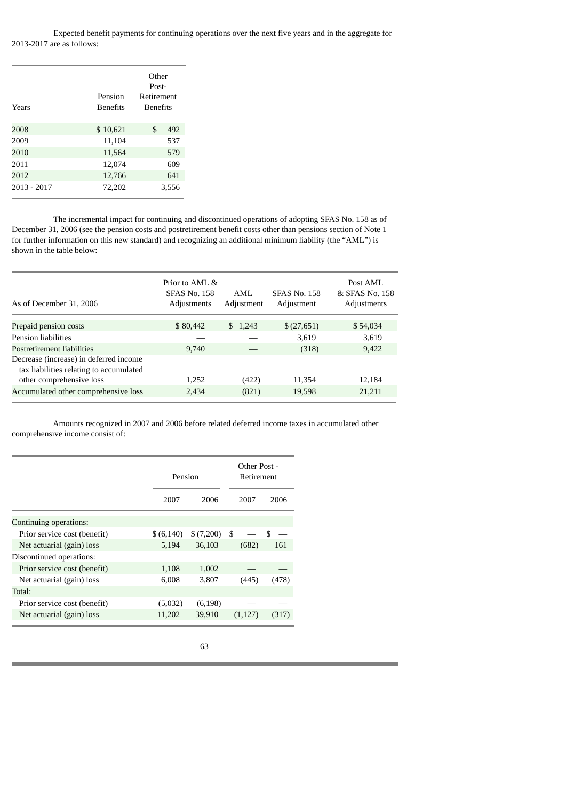Expected benefit payments for continuing operations over the next five years and in the aggregate for 2013-2017 are as follows:

| Years       | Pension<br><b>Benefits</b> | Other<br>Post-<br>Retirement<br><b>Benefits</b> |
|-------------|----------------------------|-------------------------------------------------|
| 2008        | \$10,621                   | \$<br>492                                       |
| 2009        | 11,104                     | 537                                             |
| 2010        | 11,564                     | 579                                             |
| 2011        | 12,074                     | 609                                             |
| 2012        | 12,766                     | 641                                             |
| 2013 - 2017 | 72,202                     | 3,556                                           |

 The incremental impact for continuing and discontinued operations of adopting SFAS No. 158 as of December 31, 2006 (see the pension costs and postretirement benefit costs other than pensions section of Note 1 for further information on this new standard) and recognizing an additional minimum liability (the "AML") is shown in the table below:

| As of December 31, 2006                                                           | Prior to AML &<br><b>SFAS No. 158</b><br>Adjustments | AML<br>Adjustment | <b>SFAS No. 158</b><br>Adjustment | Post AML<br>& SFAS No. 158<br>Adjustments |
|-----------------------------------------------------------------------------------|------------------------------------------------------|-------------------|-----------------------------------|-------------------------------------------|
| Prepaid pension costs                                                             | \$80,442                                             | \$1,243           | \$(27,651)                        | \$54,034                                  |
| Pension liabilities                                                               |                                                      |                   | 3,619                             | 3,619                                     |
| Postretirement liabilities                                                        | 9,740                                                |                   | (318)                             | 9.422                                     |
| Decrease (increase) in deferred income<br>tax liabilities relating to accumulated |                                                      |                   |                                   |                                           |
| other comprehensive loss                                                          | 1.252                                                | (422)             | 11.354                            | 12,184                                    |
| Accumulated other comprehensive loss                                              | 2.434                                                | (821)             | 19,598                            | 21,211                                    |

 Amounts recognized in 2007 and 2006 before related deferred income taxes in accumulated other comprehensive income consist of:

|                              | Pension     |           | Other Post -<br>Retirement |       |
|------------------------------|-------------|-----------|----------------------------|-------|
|                              | 2007        | 2006      | 2007                       | 2006  |
| Continuing operations:       |             |           |                            |       |
| Prior service cost (benefit) | \$ (6, 140) | \$(7,200) | \$                         | \$    |
| Net actuarial (gain) loss    | 5,194       | 36,103    | (682)                      | 161   |
| Discontinued operations:     |             |           |                            |       |
| Prior service cost (benefit) | 1,108       | 1,002     |                            |       |
| Net actuarial (gain) loss    | 6,008       | 3,807     | (445)                      | (478) |
| Total:                       |             |           |                            |       |
| Prior service cost (benefit) | (5,032)     | (6, 198)  |                            |       |
| Net actuarial (gain) loss    | 11,202      | 39,910    | (1.127)                    | 317)  |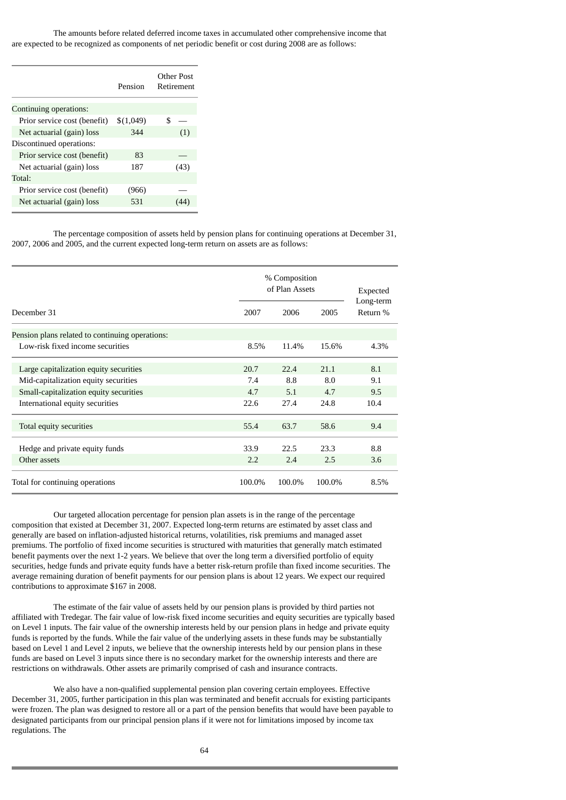The amounts before related deferred income taxes in accumulated other comprehensive income that are expected to be recognized as components of net periodic benefit or cost during 2008 are as follows:

|                              | Pension   | Other Post<br>Retirement |
|------------------------------|-----------|--------------------------|
| Continuing operations:       |           |                          |
| Prior service cost (benefit) | \$(1,049) | \$                       |
| Net actuarial (gain) loss    | 344       | (1)                      |
| Discontinued operations:     |           |                          |
| Prior service cost (benefit) | 83        |                          |
| Net actuarial (gain) loss    | 187       | (43)                     |
| Total:                       |           |                          |
| Prior service cost (benefit) | (966)     |                          |
| Net actuarial (gain) loss    | 531       |                          |
|                              |           |                          |

 The percentage composition of assets held by pension plans for continuing operations at December 31, 2007, 2006 and 2005, and the current expected long-term return on assets are as follows:

|                                                 | % Composition<br>of Plan Assets |        | Expected |                       |
|-------------------------------------------------|---------------------------------|--------|----------|-----------------------|
| December 31                                     | 2007                            | 2006   | 2005     | Long-term<br>Return % |
| Pension plans related to continuing operations: |                                 |        |          |                       |
| Low-risk fixed income securities                | 8.5%                            | 11.4%  | 15.6%    | 4.3%                  |
| Large capitalization equity securities          | 20.7                            | 22.4   | 21.1     | 8.1                   |
| Mid-capitalization equity securities            | 7.4                             | 8.8    | 8.0      | 9.1                   |
| Small-capitalization equity securities          | 4.7                             | 5.1    | 4.7      | 9.5                   |
| International equity securities                 | 22.6                            | 27.4   | 24.8     | 10.4                  |
| Total equity securities                         | 55.4                            | 63.7   | 58.6     | 9.4                   |
| Hedge and private equity funds                  | 33.9                            | 22.5   | 23.3     | 8.8                   |
| Other assets                                    | 2.2                             | 2.4    | 2.5      | 3.6                   |
| Total for continuing operations                 | 100.0%                          | 100.0% | 100.0%   | 8.5%                  |

 Our targeted allocation percentage for pension plan assets is in the range of the percentage composition that existed at December 31, 2007. Expected long-term returns are estimated by asset class and generally are based on inflation-adjusted historical returns, volatilities, risk premiums and managed asset premiums. The portfolio of fixed income securities is structured with maturities that generally match estimated benefit payments over the next 1-2 years. We believe that over the long term a diversified portfolio of equity securities, hedge funds and private equity funds have a better risk-return profile than fixed income securities. The average remaining duration of benefit payments for our pension plans is about 12 years. We expect our required contributions to approximate \$167 in 2008.

 The estimate of the fair value of assets held by our pension plans is provided by third parties not affiliated with Tredegar. The fair value of low-risk fixed income securities and equity securities are typically based on Level 1 inputs. The fair value of the ownership interests held by our pension plans in hedge and private equity funds is reported by the funds. While the fair value of the underlying assets in these funds may be substantially based on Level 1 and Level 2 inputs, we believe that the ownership interests held by our pension plans in these funds are based on Level 3 inputs since there is no secondary market for the ownership interests and there are restrictions on withdrawals. Other assets are primarily comprised of cash and insurance contracts.

 We also have a non-qualified supplemental pension plan covering certain employees. Effective December 31, 2005, further participation in this plan was terminated and benefit accruals for existing participants were frozen. The plan was designed to restore all or a part of the pension benefits that would have been payable to designated participants from our principal pension plans if it were not for limitations imposed by income tax regulations. The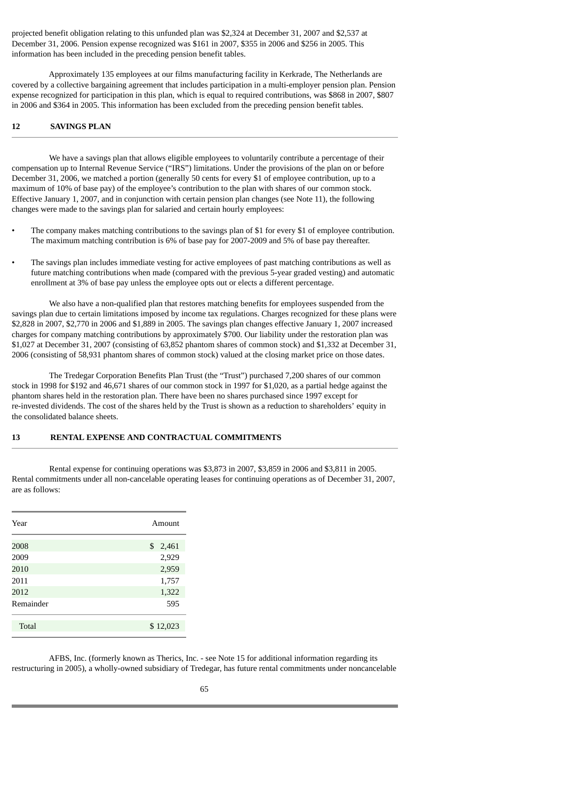projected benefit obligation relating to this unfunded plan was \$2,324 at December 31, 2007 and \$2,537 at December 31, 2006. Pension expense recognized was \$161 in 2007, \$355 in 2006 and \$256 in 2005. This information has been included in the preceding pension benefit tables.

 Approximately 135 employees at our films manufacturing facility in Kerkrade, The Netherlands are covered by a collective bargaining agreement that includes participation in a multi-employer pension plan. Pension expense recognized for participation in this plan, which is equal to required contributions, was \$868 in 2007, \$807 in 2006 and \$364 in 2005. This information has been excluded from the preceding pension benefit tables.

# **12 SAVINGS PLAN**

 We have a savings plan that allows eligible employees to voluntarily contribute a percentage of their compensation up to Internal Revenue Service ("IRS") limitations. Under the provisions of the plan on or before December 31, 2006, we matched a portion (generally 50 cents for every \$1 of employee contribution, up to a maximum of 10% of base pay) of the employee's contribution to the plan with shares of our common stock. Effective January 1, 2007, and in conjunction with certain pension plan changes (see Note 11), the following changes were made to the savings plan for salaried and certain hourly employees:

- The company makes matching contributions to the savings plan of \$1 for every \$1 of employee contribution. The maximum matching contribution is 6% of base pay for 2007-2009 and 5% of base pay thereafter.
- The savings plan includes immediate vesting for active employees of past matching contributions as well as future matching contributions when made (compared with the previous 5-year graded vesting) and automatic enrollment at 3% of base pay unless the employee opts out or elects a different percentage.

 We also have a non-qualified plan that restores matching benefits for employees suspended from the savings plan due to certain limitations imposed by income tax regulations. Charges recognized for these plans were \$2,828 in 2007, \$2,770 in 2006 and \$1,889 in 2005. The savings plan changes effective January 1, 2007 increased charges for company matching contributions by approximately \$700. Our liability under the restoration plan was \$1,027 at December 31, 2007 (consisting of 63,852 phantom shares of common stock) and \$1,332 at December 31, 2006 (consisting of 58,931 phantom shares of common stock) valued at the closing market price on those dates.

 The Tredegar Corporation Benefits Plan Trust (the "Trust") purchased 7,200 shares of our common stock in 1998 for \$192 and 46,671 shares of our common stock in 1997 for \$1,020, as a partial hedge against the phantom shares held in the restoration plan. There have been no shares purchased since 1997 except for re-invested dividends. The cost of the shares held by the Trust is shown as a reduction to shareholders' equity in the consolidated balance sheets.

# **13 RENTAL EXPENSE AND CONTRACTUAL COMMITMENTS**

 Rental expense for continuing operations was \$3,873 in 2007, \$3,859 in 2006 and \$3,811 in 2005. Rental commitments under all non-cancelable operating leases for continuing operations as of December 31, 2007, are as follows:

| Year      | Amount      |
|-----------|-------------|
| 2008      | \$<br>2,461 |
| 2009      | 2,929       |
| 2010      | 2,959       |
| 2011      | 1,757       |
| 2012      | 1,322       |
| Remainder | 595         |
| Total     | \$12,023    |

 AFBS, Inc. (formerly known as Therics, Inc. - see Note 15 for additional information regarding its restructuring in 2005), a wholly-owned subsidiary of Tredegar, has future rental commitments under noncancelable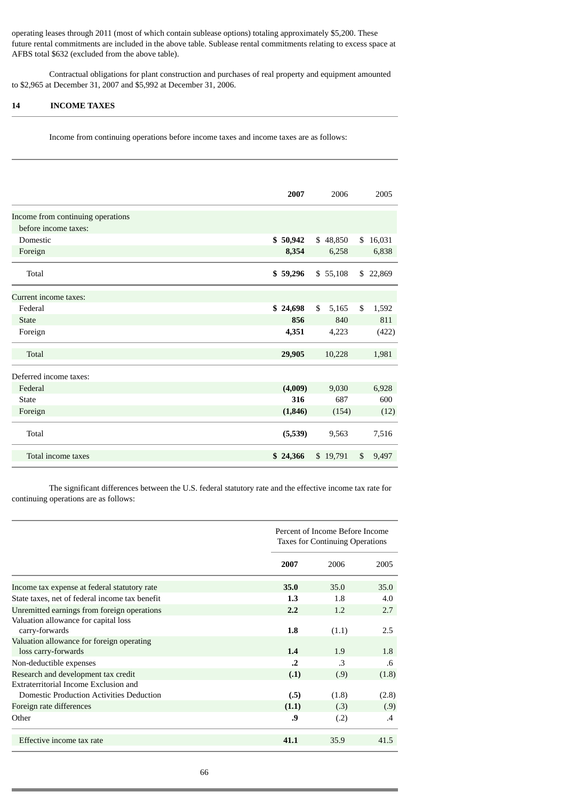operating leases through 2011 (most of which contain sublease options) totaling approximately \$5,200. These future rental commitments are included in the above table. Sublease rental commitments relating to excess space at AFBS total \$632 (excluded from the above table).

 Contractual obligations for plant construction and purchases of real property and equipment amounted to \$2,965 at December 31, 2007 and \$5,992 at December 31, 2006.

### **14 INCOME TAXES**

Income from continuing operations before income taxes and income taxes are as follows:

|                                   | 2007     | 2006        | 2005         |
|-----------------------------------|----------|-------------|--------------|
| Income from continuing operations |          |             |              |
| before income taxes:              |          |             |              |
| Domestic                          | \$50,942 | \$48,850    | \$<br>16,031 |
| Foreign                           | 8,354    | 6,258       | 6,838        |
| Total                             | \$59,296 | \$55,108    | \$22,869     |
| Current income taxes:             |          |             |              |
| Federal                           | \$24,698 | \$<br>5,165 | \$<br>1,592  |
| <b>State</b>                      | 856      | 840         | 811          |
| Foreign                           | 4,351    | 4,223       | (422)        |
| <b>Total</b>                      | 29,905   | 10,228      | 1,981        |
| Deferred income taxes:            |          |             |              |
| Federal                           | (4,009)  | 9,030       | 6,928        |
| <b>State</b>                      | 316      | 687         | 600          |
| Foreign                           | (1, 846) | (154)       | (12)         |
| Total                             | (5,539)  | 9,563       | 7,516        |
| Total income taxes                | \$24,366 | \$19,791    | \$<br>9,497  |

 The significant differences between the U.S. federal statutory rate and the effective income tax rate for continuing operations are as follows:

|                                                                                          |           | Percent of Income Before Income<br><b>Taxes for Continuing Operations</b> |       |  |
|------------------------------------------------------------------------------------------|-----------|---------------------------------------------------------------------------|-------|--|
|                                                                                          | 2007      | 2006                                                                      | 2005  |  |
| Income tax expense at federal statutory rate                                             | 35.0      | 35.0                                                                      | 35.0  |  |
| State taxes, net of federal income tax benefit                                           | 1.3       | 1.8                                                                       | 4.0   |  |
| Unremitted earnings from foreign operations                                              | 2.2       | 1.2                                                                       | 2.7   |  |
| Valuation allowance for capital loss<br>carry-forwards                                   | 1.8       | (1.1)                                                                     | 2.5   |  |
| Valuation allowance for foreign operating<br>loss carry-forwards                         | 1.4       | 1.9                                                                       | 1.8   |  |
| Non-deductible expenses                                                                  | $\cdot$ . | $\mathcal{R}$                                                             | .6    |  |
| Research and development tax credit                                                      | (.1)      | (.9)                                                                      | (1.8) |  |
| Extraterritorial Income Exclusion and<br><b>Domestic Production Activities Deduction</b> | (.5)      | (1.8)                                                                     | (2.8) |  |
| Foreign rate differences                                                                 | (1.1)     | (.3)                                                                      | (.9)  |  |
| Other                                                                                    | .9        | (.2)                                                                      | .4    |  |
| Effective income tax rate                                                                | 41.1      | 35.9                                                                      | 41.5  |  |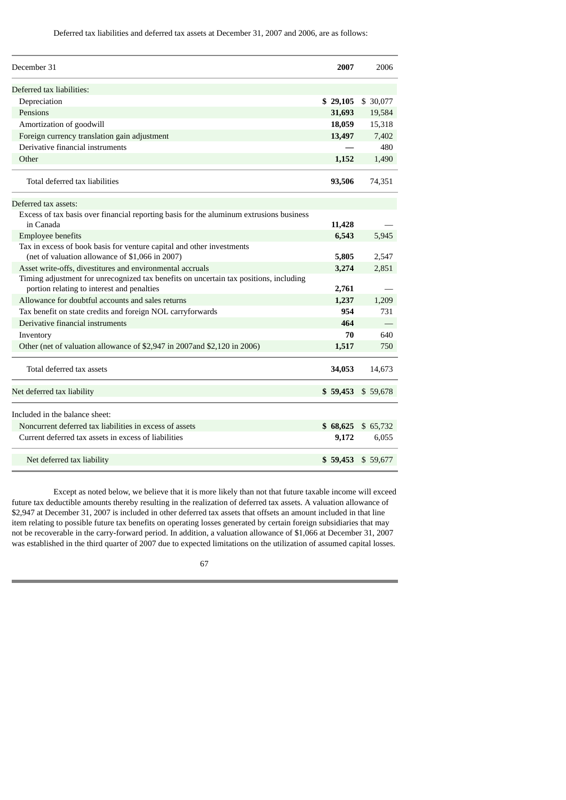| December 31                                                                                                                         | 2007     | 2006      |
|-------------------------------------------------------------------------------------------------------------------------------------|----------|-----------|
| Deferred tax liabilities:                                                                                                           |          |           |
| Depreciation                                                                                                                        | \$29,105 | \$ 30,077 |
| Pensions                                                                                                                            | 31,693   | 19,584    |
| Amortization of goodwill                                                                                                            | 18,059   | 15,318    |
| Foreign currency translation gain adjustment                                                                                        | 13,497   | 7,402     |
| Derivative financial instruments                                                                                                    |          | 480       |
| Other                                                                                                                               | 1,152    | 1,490     |
| Total deferred tax liabilities                                                                                                      | 93,506   | 74,351    |
| Deferred tax assets:                                                                                                                |          |           |
| Excess of tax basis over financial reporting basis for the aluminum extrusions business                                             |          |           |
| in Canada                                                                                                                           | 11,428   |           |
| <b>Employee benefits</b>                                                                                                            | 6,543    | 5,945     |
| Tax in excess of book basis for venture capital and other investments<br>(net of valuation allowance of \$1,066 in 2007)            | 5,805    | 2,547     |
| Asset write-offs, divestitures and environmental accruals                                                                           | 3,274    | 2,851     |
| Timing adjustment for unrecognized tax benefits on uncertain tax positions, including<br>portion relating to interest and penalties | 2,761    |           |
| Allowance for doubtful accounts and sales returns                                                                                   | 1,237    | 1,209     |
| Tax benefit on state credits and foreign NOL carryforwards                                                                          | 954      | 731       |
| Derivative financial instruments                                                                                                    | 464      |           |
| Inventory                                                                                                                           | 70       | 640       |
| Other (net of valuation allowance of \$2,947 in 2007and \$2,120 in 2006)                                                            | 1,517    | 750       |
| Total deferred tax assets                                                                                                           | 34,053   | 14,673    |
| Net deferred tax liability                                                                                                          | \$59,453 | \$59,678  |
| Included in the balance sheet:                                                                                                      |          |           |
| Noncurrent deferred tax liabilities in excess of assets                                                                             | \$68,625 | \$65,732  |
| Current deferred tax assets in excess of liabilities                                                                                | 9,172    | 6,055     |
| Net deferred tax liability                                                                                                          | \$59,453 | \$59,677  |

 Except as noted below, we believe that it is more likely than not that future taxable income will exceed future tax deductible amounts thereby resulting in the realization of deferred tax assets. A valuation allowance of \$2,947 at December 31, 2007 is included in other deferred tax assets that offsets an amount included in that line item relating to possible future tax benefits on operating losses generated by certain foreign subsidiaries that may not be recoverable in the carry-forward period. In addition, a valuation allowance of \$1,066 at December 31, 2007 was established in the third quarter of 2007 due to expected limitations on the utilization of assumed capital losses.

#### 67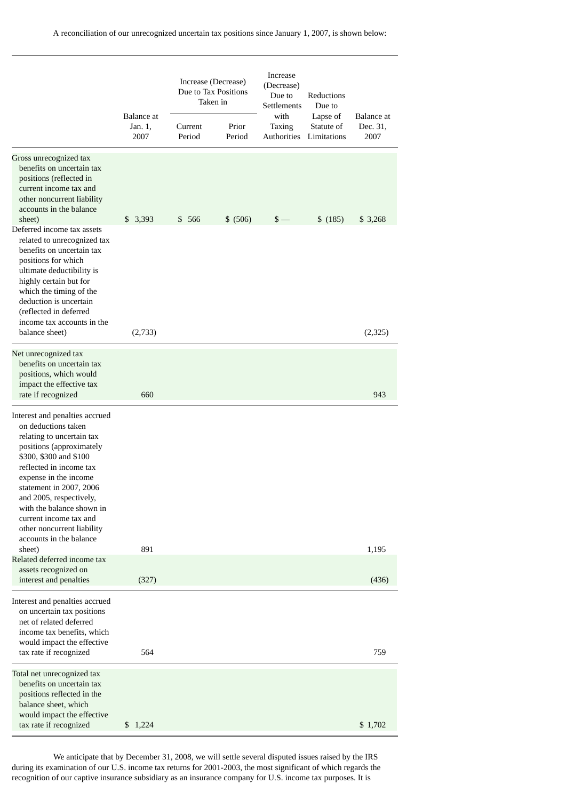|                                                                                                                                                                                                                                                                                                                                                                    | Balance at<br>Jan. 1, | Due to Tax Positions<br>Current | Increase (Decrease)<br>Taken in<br>Prior | Increase<br>(Decrease)<br>Due to<br>Settlements<br>with<br><b>Taxing</b> | Reductions<br>Due to<br>Lapse of<br>Statute of | Balance at<br>Dec. 31, |
|--------------------------------------------------------------------------------------------------------------------------------------------------------------------------------------------------------------------------------------------------------------------------------------------------------------------------------------------------------------------|-----------------------|---------------------------------|------------------------------------------|--------------------------------------------------------------------------|------------------------------------------------|------------------------|
|                                                                                                                                                                                                                                                                                                                                                                    | 2007                  | Period                          | Period                                   | Authorities                                                              | Limitations                                    | 2007                   |
| Gross unrecognized tax<br>benefits on uncertain tax<br>positions (reflected in<br>current income tax and<br>other noncurrent liability<br>accounts in the balance<br>sheet)                                                                                                                                                                                        | \$3,393               | \$566                           | \$ (506)                                 | $\frac{1}{2}$                                                            | \$ (185)                                       | \$3,268                |
| Deferred income tax assets<br>related to unrecognized tax<br>benefits on uncertain tax<br>positions for which<br>ultimate deductibility is<br>highly certain but for<br>which the timing of the<br>deduction is uncertain<br>(reflected in deferred<br>income tax accounts in the                                                                                  |                       |                                 |                                          |                                                                          |                                                |                        |
| balance sheet)                                                                                                                                                                                                                                                                                                                                                     | (2,733)               |                                 |                                          |                                                                          |                                                | (2, 325)               |
| Net unrecognized tax<br>benefits on uncertain tax<br>positions, which would<br>impact the effective tax<br>rate if recognized                                                                                                                                                                                                                                      | 660                   |                                 |                                          |                                                                          |                                                | 943                    |
| Interest and penalties accrued<br>on deductions taken<br>relating to uncertain tax<br>positions (approximately<br>\$300, \$300 and \$100<br>reflected in income tax<br>expense in the income<br>statement in 2007, 2006<br>and 2005, respectively,<br>with the balance shown in<br>current income tax and<br>other noncurrent liability<br>accounts in the balance |                       |                                 |                                          |                                                                          |                                                |                        |
| sheet)<br>Related deferred income tax                                                                                                                                                                                                                                                                                                                              | 891                   |                                 |                                          |                                                                          |                                                | 1,195                  |
| assets recognized on<br>interest and penalties                                                                                                                                                                                                                                                                                                                     | (327)                 |                                 |                                          |                                                                          |                                                | (436)                  |
| Interest and penalties accrued<br>on uncertain tax positions<br>net of related deferred<br>income tax benefits, which<br>would impact the effective<br>tax rate if recognized                                                                                                                                                                                      | 564                   |                                 |                                          |                                                                          |                                                | 759                    |
| Total net unrecognized tax<br>benefits on uncertain tax<br>positions reflected in the<br>balance sheet, which<br>would impact the effective<br>tax rate if recognized                                                                                                                                                                                              | \$1,224               |                                 |                                          |                                                                          |                                                | \$1,702                |

 We anticipate that by December 31, 2008, we will settle several disputed issues raised by the IRS during its examination of our U.S. income tax returns for 2001-2003, the most significant of which regards the recognition of our captive insurance subsidiary as an insurance company for U.S. income tax purposes. It is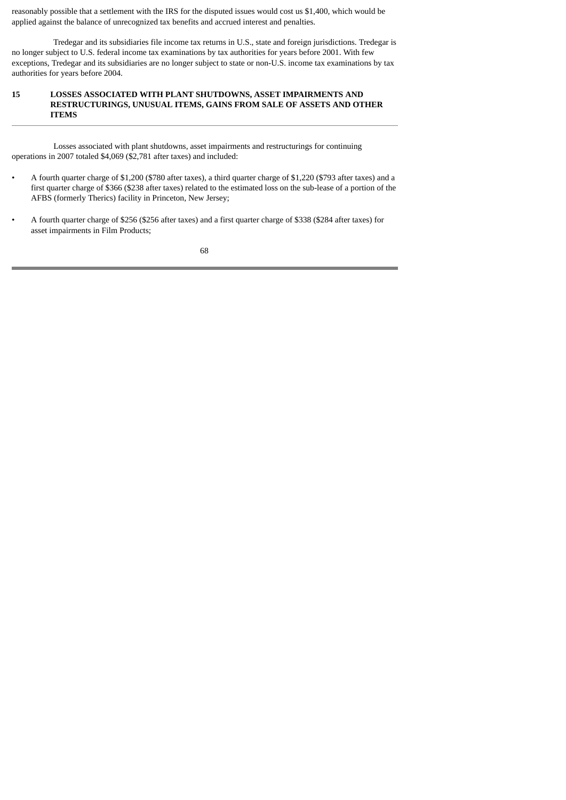reasonably possible that a settlement with the IRS for the disputed issues would cost us \$1,400, which would be applied against the balance of unrecognized tax benefits and accrued interest and penalties.

 Tredegar and its subsidiaries file income tax returns in U.S., state and foreign jurisdictions. Tredegar is no longer subject to U.S. federal income tax examinations by tax authorities for years before 2001. With few exceptions, Tredegar and its subsidiaries are no longer subject to state or non-U.S. income tax examinations by tax authorities for years before 2004.

### **15 LOSSES ASSOCIATED WITH PLANT SHUTDOWNS, ASSET IMPAIRMENTS AND RESTRUCTURINGS, UNUSUAL ITEMS, GAINS FROM SALE OF ASSETS AND OTHER ITEMS**

 Losses associated with plant shutdowns, asset impairments and restructurings for continuing operations in 2007 totaled \$4,069 (\$2,781 after taxes) and included:

- A fourth quarter charge of \$1,200 (\$780 after taxes), a third quarter charge of \$1,220 (\$793 after taxes) and a first quarter charge of \$366 (\$238 after taxes) related to the estimated loss on the sub-lease of a portion of the AFBS (formerly Therics) facility in Princeton, New Jersey;
- A fourth quarter charge of \$256 (\$256 after taxes) and a first quarter charge of \$338 (\$284 after taxes) for asset impairments in Film Products;

68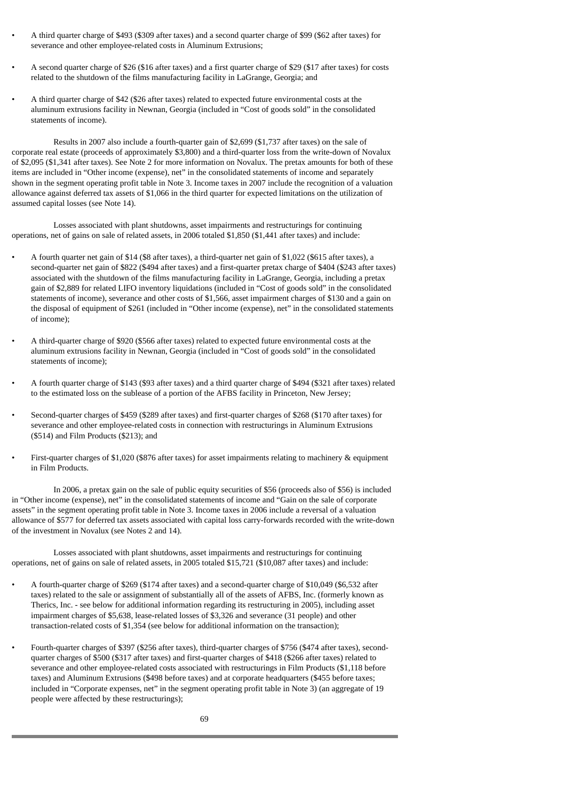- A third quarter charge of \$493 (\$309 after taxes) and a second quarter charge of \$99 (\$62 after taxes) for severance and other employee-related costs in Aluminum Extrusions;
- A second quarter charge of \$26 (\$16 after taxes) and a first quarter charge of \$29 (\$17 after taxes) for costs related to the shutdown of the films manufacturing facility in LaGrange, Georgia; and
- A third quarter charge of \$42 (\$26 after taxes) related to expected future environmental costs at the aluminum extrusions facility in Newnan, Georgia (included in "Cost of goods sold" in the consolidated statements of income).

 Results in 2007 also include a fourth-quarter gain of \$2,699 (\$1,737 after taxes) on the sale of corporate real estate (proceeds of approximately \$3,800) and a third-quarter loss from the write-down of Novalux of \$2,095 (\$1,341 after taxes). See Note 2 for more information on Novalux. The pretax amounts for both of these items are included in "Other income (expense), net" in the consolidated statements of income and separately shown in the segment operating profit table in Note 3. Income taxes in 2007 include the recognition of a valuation allowance against deferred tax assets of \$1,066 in the third quarter for expected limitations on the utilization of assumed capital losses (see Note 14).

 Losses associated with plant shutdowns, asset impairments and restructurings for continuing operations, net of gains on sale of related assets, in 2006 totaled \$1,850 (\$1,441 after taxes) and include:

- A fourth quarter net gain of \$14 (\$8 after taxes), a third-quarter net gain of \$1,022 (\$615 after taxes), a second-quarter net gain of \$822 (\$494 after taxes) and a first-quarter pretax charge of \$404 (\$243 after taxes) associated with the shutdown of the films manufacturing facility in LaGrange, Georgia, including a pretax gain of \$2,889 for related LIFO inventory liquidations (included in "Cost of goods sold" in the consolidated statements of income), severance and other costs of \$1,566, asset impairment charges of \$130 and a gain on the disposal of equipment of \$261 (included in "Other income (expense), net" in the consolidated statements of income);
- A third-quarter charge of \$920 (\$566 after taxes) related to expected future environmental costs at the aluminum extrusions facility in Newnan, Georgia (included in "Cost of goods sold" in the consolidated statements of income);
- A fourth quarter charge of \$143 (\$93 after taxes) and a third quarter charge of \$494 (\$321 after taxes) related to the estimated loss on the sublease of a portion of the AFBS facility in Princeton, New Jersey;
- Second-quarter charges of \$459 (\$289 after taxes) and first-quarter charges of \$268 (\$170 after taxes) for severance and other employee-related costs in connection with restructurings in Aluminum Extrusions (\$514) and Film Products (\$213); and
- First-quarter charges of \$1,020 (\$876 after taxes) for asset impairments relating to machinery & equipment in Film Products.

 In 2006, a pretax gain on the sale of public equity securities of \$56 (proceeds also of \$56) is included in "Other income (expense), net" in the consolidated statements of income and "Gain on the sale of corporate assets" in the segment operating profit table in Note 3. Income taxes in 2006 include a reversal of a valuation allowance of \$577 for deferred tax assets associated with capital loss carry-forwards recorded with the write-down of the investment in Novalux (see Notes 2 and 14).

 Losses associated with plant shutdowns, asset impairments and restructurings for continuing operations, net of gains on sale of related assets, in 2005 totaled \$15,721 (\$10,087 after taxes) and include:

- A fourth-quarter charge of \$269 (\$174 after taxes) and a second-quarter charge of \$10,049 (\$6,532 after taxes) related to the sale or assignment of substantially all of the assets of AFBS, Inc. (formerly known as Therics, Inc. - see below for additional information regarding its restructuring in 2005), including asset impairment charges of \$5,638, lease-related losses of \$3,326 and severance (31 people) and other transaction-related costs of \$1,354 (see below for additional information on the transaction);
- Fourth-quarter charges of \$397 (\$256 after taxes), third-quarter charges of \$756 (\$474 after taxes), secondquarter charges of \$500 (\$317 after taxes) and first-quarter charges of \$418 (\$266 after taxes) related to severance and other employee-related costs associated with restructurings in Film Products (\$1,118 before taxes) and Aluminum Extrusions (\$498 before taxes) and at corporate headquarters (\$455 before taxes; included in "Corporate expenses, net" in the segment operating profit table in Note 3) (an aggregate of 19 people were affected by these restructurings);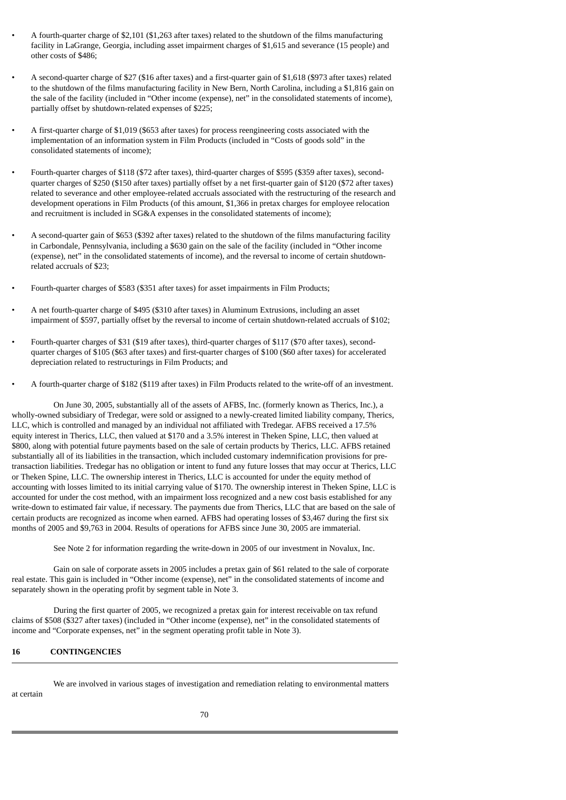- A fourth-quarter charge of \$2,101 (\$1,263 after taxes) related to the shutdown of the films manufacturing facility in LaGrange, Georgia, including asset impairment charges of \$1,615 and severance (15 people) and other costs of \$486;
- A second-quarter charge of \$27 (\$16 after taxes) and a first-quarter gain of \$1,618 (\$973 after taxes) related to the shutdown of the films manufacturing facility in New Bern, North Carolina, including a \$1,816 gain on the sale of the facility (included in "Other income (expense), net" in the consolidated statements of income), partially offset by shutdown-related expenses of \$225;
- A first-quarter charge of \$1,019 (\$653 after taxes) for process reengineering costs associated with the implementation of an information system in Film Products (included in "Costs of goods sold" in the consolidated statements of income);
- Fourth-quarter charges of \$118 (\$72 after taxes), third-quarter charges of \$595 (\$359 after taxes), secondquarter charges of \$250 (\$150 after taxes) partially offset by a net first-quarter gain of \$120 (\$72 after taxes) related to severance and other employee-related accruals associated with the restructuring of the research and development operations in Film Products (of this amount, \$1,366 in pretax charges for employee relocation and recruitment is included in SG&A expenses in the consolidated statements of income);
- A second-quarter gain of \$653 (\$392 after taxes) related to the shutdown of the films manufacturing facility in Carbondale, Pennsylvania, including a \$630 gain on the sale of the facility (included in "Other income (expense), net" in the consolidated statements of income), and the reversal to income of certain shutdownrelated accruals of \$23;
- Fourth-quarter charges of \$583 (\$351 after taxes) for asset impairments in Film Products;
- A net fourth-quarter charge of \$495 (\$310 after taxes) in Aluminum Extrusions, including an asset impairment of \$597, partially offset by the reversal to income of certain shutdown-related accruals of \$102;
- Fourth-quarter charges of \$31 (\$19 after taxes), third-quarter charges of \$117 (\$70 after taxes), secondquarter charges of \$105 (\$63 after taxes) and first-quarter charges of \$100 (\$60 after taxes) for accelerated depreciation related to restructurings in Film Products; and
- A fourth-quarter charge of \$182 (\$119 after taxes) in Film Products related to the write-off of an investment.

 On June 30, 2005, substantially all of the assets of AFBS, Inc. (formerly known as Therics, Inc.), a wholly-owned subsidiary of Tredegar, were sold or assigned to a newly-created limited liability company, Therics, LLC, which is controlled and managed by an individual not affiliated with Tredegar. AFBS received a 17.5% equity interest in Therics, LLC, then valued at \$170 and a 3.5% interest in Theken Spine, LLC, then valued at \$800, along with potential future payments based on the sale of certain products by Therics, LLC. AFBS retained substantially all of its liabilities in the transaction, which included customary indemnification provisions for pretransaction liabilities. Tredegar has no obligation or intent to fund any future losses that may occur at Therics, LLC or Theken Spine, LLC. The ownership interest in Therics, LLC is accounted for under the equity method of accounting with losses limited to its initial carrying value of \$170. The ownership interest in Theken Spine, LLC is accounted for under the cost method, with an impairment loss recognized and a new cost basis established for any write-down to estimated fair value, if necessary. The payments due from Therics, LLC that are based on the sale of certain products are recognized as income when earned. AFBS had operating losses of \$3,467 during the first six months of 2005 and \$9,763 in 2004. Results of operations for AFBS since June 30, 2005 are immaterial.

See Note 2 for information regarding the write-down in 2005 of our investment in Novalux, Inc.

 Gain on sale of corporate assets in 2005 includes a pretax gain of \$61 related to the sale of corporate real estate. This gain is included in "Other income (expense), net" in the consolidated statements of income and separately shown in the operating profit by segment table in Note 3.

 During the first quarter of 2005, we recognized a pretax gain for interest receivable on tax refund claims of \$508 (\$327 after taxes) (included in "Other income (expense), net" in the consolidated statements of income and "Corporate expenses, net" in the segment operating profit table in Note 3).

# **16 CONTINGENCIES**

We are involved in various stages of investigation and remediation relating to environmental matters

at certain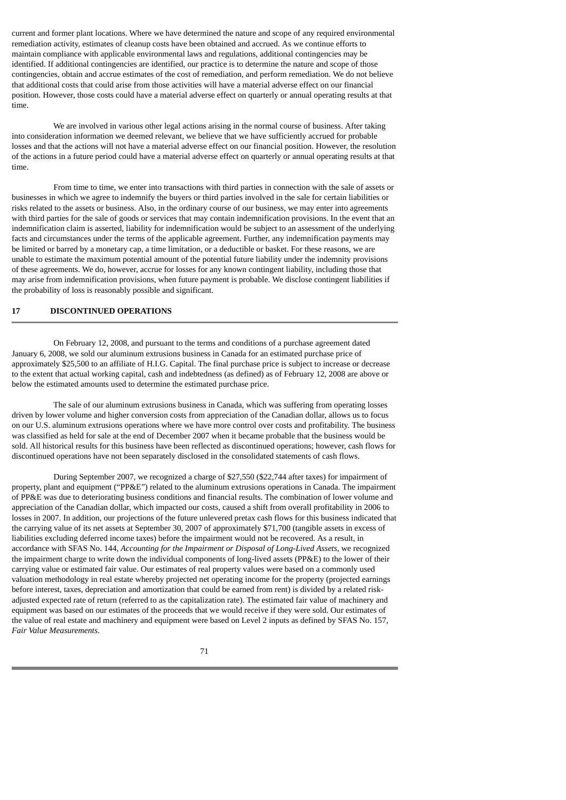current and former plant locations. Where we have determined the nature and scope of any required environmental remediation activity, estimates of cleanup costs have been obtained and accrued. As we continue efforts to maintain compliance with applicable environmental laws and regulations, additional contingencies may be identified. If additional contingencies are identified, our practice is to determine the nature and scope of those contingencies, obtain and accrue estimates of the cost of remediation, and perform remediation. We do not believe that additional costs that could arise from those activities will have a material adverse effect on our financial position. However, those costs could have a material adverse effect on quarterly or annual operating results at that time.

 We are involved in various other legal actions arising in the normal course of business. After taking into consideration information we deemed relevant, we believe that we have sufficiently accrued for probable losses and that the actions will not have a material adverse effect on our financial position. However, the resolution of the actions in a future period could have a material adverse effect on quarterly or annual operating results at that time.

 From time to time, we enter into transactions with third parties in connection with the sale of assets or businesses in which we agree to indemnify the buyers or third parties involved in the sale for certain liabilities or risks related to the assets or business. Also, in the ordinary course of our business, we may enter into agreements with third parties for the sale of goods or services that may contain indemnification provisions. In the event that an indemnification claim is asserted, liability for indemnification would be subject to an assessment of the underlying facts and circumstances under the terms of the applicable agreement. Further, any indemnification payments may be limited or barred by a monetary cap, a time limitation, or a deductible or basket. For these reasons, we are unable to estimate the maximum potential amount of the potential future liability under the indemnity provisions of these agreements. We do, however, accrue for losses for any known contingent liability, including those that may arise from indemnification provisions, when future payment is probable. We disclose contingent liabilities if the probability of loss is reasonably possible and significant.

### **17 DISCONTINUED OPERATIONS**

 On February 12, 2008, and pursuant to the terms and conditions of a purchase agreement dated January 6, 2008, we sold our aluminum extrusions business in Canada for an estimated purchase price of approximately \$25,500 to an affiliate of H.I.G. Capital. The final purchase price is subject to increase or decrease to the extent that actual working capital, cash and indebtedness (as defined) as of February 12, 2008 are above or below the estimated amounts used to determine the estimated purchase price.

 The sale of our aluminum extrusions business in Canada, which was suffering from operating losses driven by lower volume and higher conversion costs from appreciation of the Canadian dollar, allows us to focus on our U.S. aluminum extrusions operations where we have more control over costs and profitability. The business was classified as held for sale at the end of December 2007 when it became probable that the business would be sold. All historical results for this business have been reflected as discontinued operations; however, cash flows for discontinued operations have not been separately disclosed in the consolidated statements of cash flows.

 During September 2007, we recognized a charge of \$27,550 (\$22,744 after taxes) for impairment of property, plant and equipment ("PP&E") related to the aluminum extrusions operations in Canada. The impairment of PP&E was due to deteriorating business conditions and financial results. The combination of lower volume and appreciation of the Canadian dollar, which impacted our costs, caused a shift from overall profitability in 2006 to losses in 2007. In addition, our projections of the future unlevered pretax cash flows for this business indicated that the carrying value of its net assets at September 30, 2007 of approximately \$71,700 (tangible assets in excess of liabilities excluding deferred income taxes) before the impairment would not be recovered. As a result, in accordance with SFAS No. 144, *Accounting for the Impairment or Disposal of Long-Lived Assets*, we recognized the impairment charge to write down the individual components of long-lived assets (PP&E) to the lower of their carrying value or estimated fair value. Our estimates of real property values were based on a commonly used valuation methodology in real estate whereby projected net operating income for the property (projected earnings before interest, taxes, depreciation and amortization that could be earned from rent) is divided by a related riskadjusted expected rate of return (referred to as the capitalization rate). The estimated fair value of machinery and equipment was based on our estimates of the proceeds that we would receive if they were sold. Our estimates of the value of real estate and machinery and equipment were based on Level 2 inputs as defined by SFAS No. 157, *Fair Value Measurements*.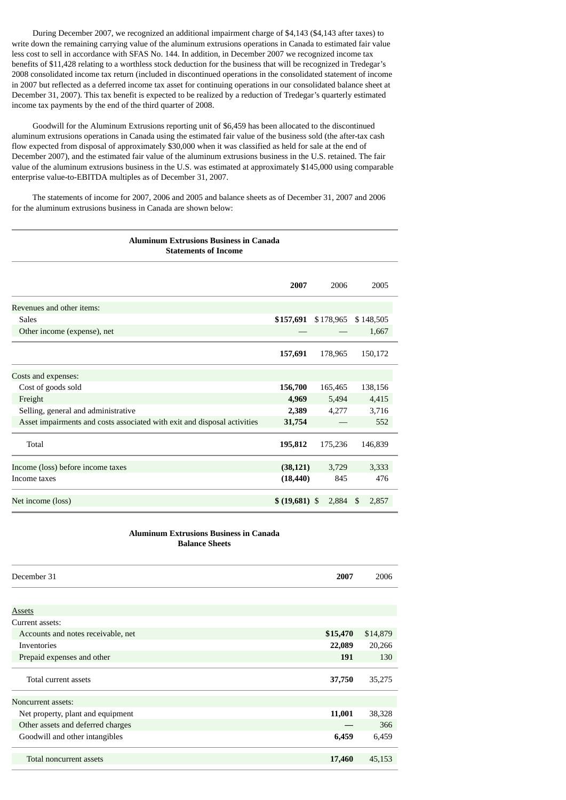During December 2007, we recognized an additional impairment charge of \$4,143 (\$4,143 after taxes) to write down the remaining carrying value of the aluminum extrusions operations in Canada to estimated fair value less cost to sell in accordance with SFAS No. 144. In addition, in December 2007 we recognized income tax benefits of \$11,428 relating to a worthless stock deduction for the business that will be recognized in Tredegar's 2008 consolidated income tax return (included in discontinued operations in the consolidated statement of income in 2007 but reflected as a deferred income tax asset for continuing operations in our consolidated balance sheet at December 31, 2007). This tax benefit is expected to be realized by a reduction of Tredegar's quarterly estimated income tax payments by the end of the third quarter of 2008.

 Goodwill for the Aluminum Extrusions reporting unit of \$6,459 has been allocated to the discontinued aluminum extrusions operations in Canada using the estimated fair value of the business sold (the after-tax cash flow expected from disposal of approximately \$30,000 when it was classified as held for sale at the end of December 2007), and the estimated fair value of the aluminum extrusions business in the U.S. retained. The fair value of the aluminum extrusions business in the U.S. was estimated at approximately \$145,000 using comparable enterprise value-to-EBITDA multiples as of December 31, 2007.

 The statements of income for 2007, 2006 and 2005 and balance sheets as of December 31, 2007 and 2006 for the aluminum extrusions business in Canada are shown below:

| <b>Aluminum Extrusions Business in Canada</b><br><b>Statements of Income</b> |                |           |             |  |
|------------------------------------------------------------------------------|----------------|-----------|-------------|--|
|                                                                              | 2007           | 2006      | 2005        |  |
| Revenues and other items:                                                    |                |           |             |  |
| <b>Sales</b>                                                                 | \$157,691      | \$178,965 | \$148,505   |  |
| Other income (expense), net                                                  |                |           | 1,667       |  |
|                                                                              | 157,691        | 178,965   | 150,172     |  |
| Costs and expenses:                                                          |                |           |             |  |
| Cost of goods sold                                                           | 156,700        | 165,465   | 138,156     |  |
| Freight                                                                      | 4,969          | 5,494     | 4,415       |  |
| Selling, general and administrative                                          | 2,389          | 4,277     | 3,716       |  |
| Asset impairments and costs associated with exit and disposal activities     | 31,754         |           | 552         |  |
| Total                                                                        | 195,812        | 175,236   | 146,839     |  |
| Income (loss) before income taxes                                            | (38, 121)      | 3,729     | 3,333       |  |
| Income taxes                                                                 | (18, 440)      | 845       | 476         |  |
| Net income (loss)                                                            | $$(19,681)$ \$ | 2,884     | \$<br>2,857 |  |

# **Aluminum Extrusions Business in Canada**

**Balance Sheets**

| December 31                        | 2007     | 2006     |
|------------------------------------|----------|----------|
|                                    |          |          |
| <b>Assets</b>                      |          |          |
| Current assets:                    |          |          |
| Accounts and notes receivable, net | \$15,470 | \$14,879 |
| Inventories                        | 22,089   | 20,266   |
| Prepaid expenses and other         | 191      | 130      |
| Total current assets               | 37,750   | 35,275   |
| Noncurrent assets:                 |          |          |
| Net property, plant and equipment  | 11,001   | 38,328   |
| Other assets and deferred charges  |          | 366      |
|                                    |          |          |
| Goodwill and other intangibles     | 6,459    | 6,459    |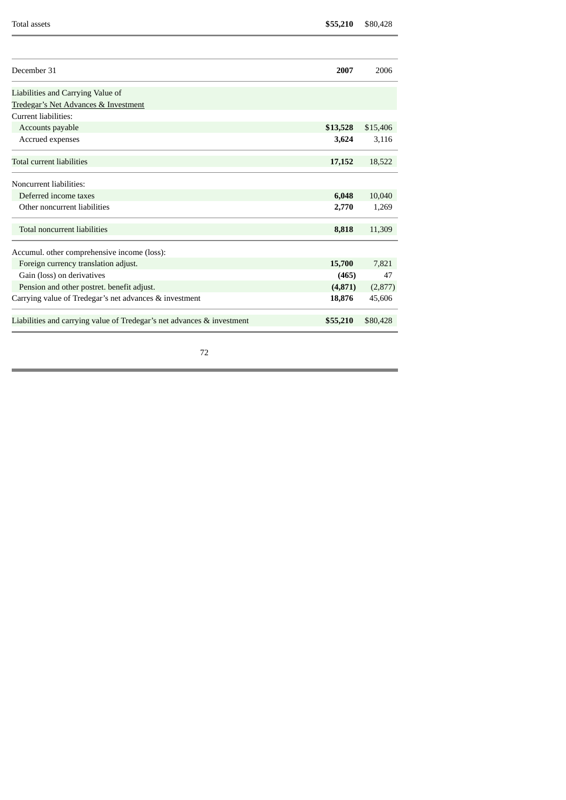| December 31                                                            | 2007     | 2006     |
|------------------------------------------------------------------------|----------|----------|
| Liabilities and Carrying Value of                                      |          |          |
| Tredegar's Net Advances & Investment                                   |          |          |
| Current liabilities:                                                   |          |          |
| Accounts payable                                                       | \$13,528 | \$15,406 |
| Accrued expenses                                                       | 3,624    | 3,116    |
| <b>Total current liabilities</b>                                       | 17,152   | 18,522   |
| Noncurrent liabilities:                                                |          |          |
| Deferred income taxes                                                  | 6,048    | 10,040   |
| Other noncurrent liabilities                                           | 2,770    | 1,269    |
| Total noncurrent liabilities                                           | 8,818    | 11,309   |
| Accumul. other comprehensive income (loss):                            |          |          |
| Foreign currency translation adjust.                                   | 15,700   | 7,821    |
| Gain (loss) on derivatives                                             | (465)    | 47       |
| Pension and other postret. benefit adjust.                             | (4, 871) | (2,877)  |
| Carrying value of Tredegar's net advances & investment                 | 18,876   | 45,606   |
| Liabilities and carrying value of Tredegar's net advances & investment | \$55,210 | \$80,428 |

72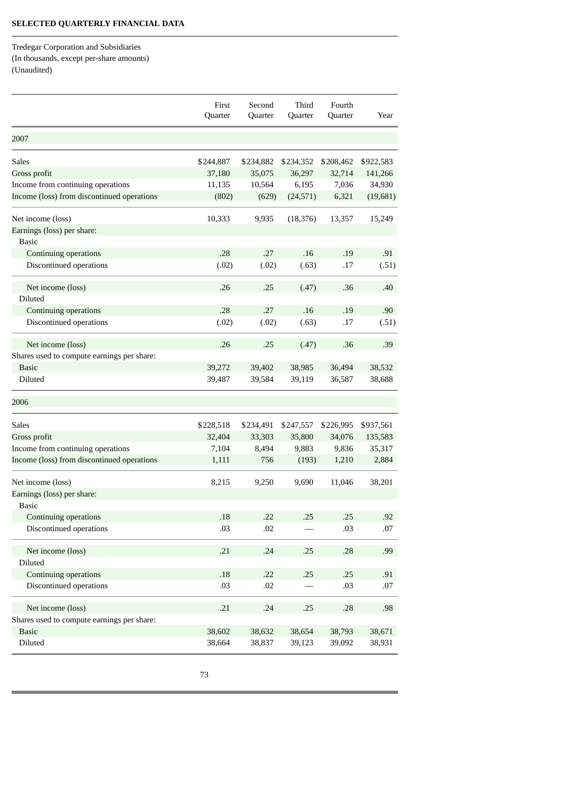Tredegar Corporation and Subsidiaries (In thousands, except per-share amounts) (Unaudited)

|                                            | First<br>Quarter | Second<br>Quarter | Third<br>Quarter | Fourth<br>Quarter | Year      |
|--------------------------------------------|------------------|-------------------|------------------|-------------------|-----------|
| 2007                                       |                  |                   |                  |                   |           |
| <b>Sales</b>                               | \$244,887        | \$234,882         | \$234,352        | \$208,462         | \$922,583 |
| Gross profit                               | 37,180           | 35,075            | 36,297           | 32,714            | 141,266   |
| Income from continuing operations          | 11,135           | 10,564            | 6,195            | 7,036             | 34,930    |
| Income (loss) from discontinued operations | (802)            | (629)             | (24, 571)        | 6,321             | (19,681)  |
| Net income (loss)                          | 10,333           | 9,935             | (18, 376)        | 13,357            | 15,249    |
| Earnings (loss) per share:                 |                  |                   |                  |                   |           |
| <b>Basic</b>                               |                  |                   |                  |                   |           |
| Continuing operations                      | .28              | .27               | .16              | .19               | .91       |
| Discontinued operations                    | (.02)            | (.02)             | (.63)            | .17               | (.51)     |
| Net income (loss)                          | .26              | .25               | (.47)            | .36               | .40       |
| Diluted                                    |                  |                   |                  |                   |           |
| Continuing operations                      | .28              | .27               | .16              | .19               | .90       |
| Discontinued operations                    | (.02)            | (.02)             | (.63)            | .17               | (.51)     |
| Net income (loss)                          | .26              | .25               | (.47)            | .36               | .39       |
| Shares used to compute earnings per share: |                  |                   |                  |                   |           |
| <b>Basic</b>                               | 39,272           | 39,402            | 38,985           | 36,494            | 38,532    |
| Diluted                                    | 39,487           | 39,584            | 39,119           | 36,587            | 38,688    |
| 2006                                       |                  |                   |                  |                   |           |
| Sales                                      | \$228,518        | \$234,491         | \$247,557        | \$226,995         | \$937,561 |
| Gross profit                               | 32,404           | 33,303            | 35,800           | 34,076            | 135,583   |
| Income from continuing operations          | 7,104            | 8,494             | 9,883            | 9,836             | 35,317    |
| Income (loss) from discontinued operations | 1,111            | 756               | (193)            | 1,210             | 2,884     |
| Net income (loss)                          | 8,215            | 9,250             | 9,690            | 11,046            | 38,201    |
| Earnings (loss) per share:                 |                  |                   |                  |                   |           |
| <b>Basic</b>                               |                  |                   |                  |                   |           |
| Continuing operations                      | .18              | .22               | .25              | .25               | .92       |
| Discontinued operations                    | .03              | .02               |                  | .03               | .07       |
| Net income (loss)                          | .21              | .24               | .25              | .28               | .99       |
| Diluted                                    |                  |                   |                  |                   |           |
| Continuing operations                      | .18              | .22               | .25              | .25               | .91       |
| Discontinued operations                    | .03              | .02               |                  | .03               | .07       |
| Net income (loss)                          | .21              | .24               | .25              | .28               | .98       |
| Shares used to compute earnings per share: |                  |                   |                  |                   |           |
| <b>Basic</b>                               | 38,602           | 38,632            | 38,654           | 38,793            | 38,671    |
| Diluted                                    | 38,664           | 38,837            | 39,123           | 39,092            | 38,931    |

÷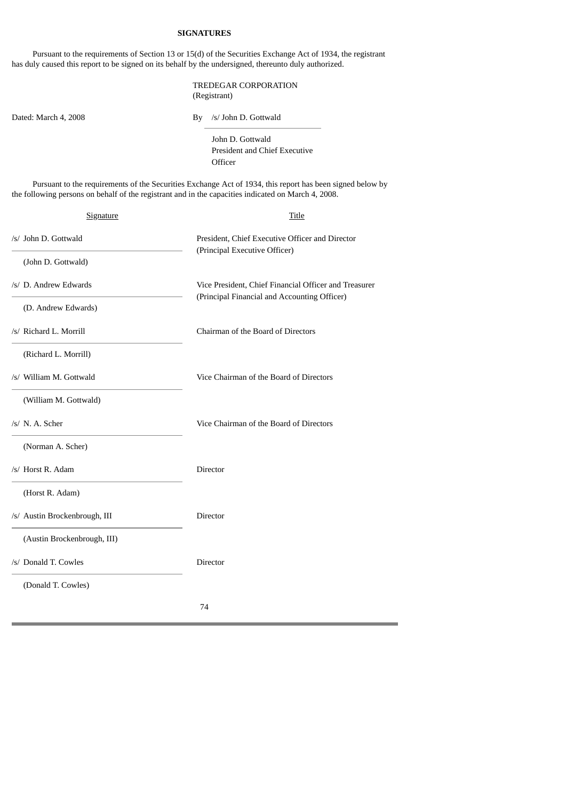### **SIGNATURES**

 Pursuant to the requirements of Section 13 or 15(d) of the Securities Exchange Act of 1934, the registrant has duly caused this report to be signed on its behalf by the undersigned, thereunto duly authorized.

> TREDEGAR CORPORATION (Registrant)

Dated: March 4, 2008 By /s/ John D. Gottwald

John D. Gottwald President and Chief Executive **Officer** 

 Pursuant to the requirements of the Securities Exchange Act of 1934, this report has been signed below by the following persons on behalf of the registrant and in the capacities indicated on March 4, 2008.

| <b>Signature</b>              | <b>Title</b>                                          |
|-------------------------------|-------------------------------------------------------|
| /s/ John D. Gottwald          | President, Chief Executive Officer and Director       |
| (John D. Gottwald)            | (Principal Executive Officer)                         |
| /s/ D. Andrew Edwards         | Vice President, Chief Financial Officer and Treasurer |
| (D. Andrew Edwards)           | (Principal Financial and Accounting Officer)          |
| /s/ Richard L. Morrill        | Chairman of the Board of Directors                    |
| (Richard L. Morrill)          |                                                       |
| /s/ William M. Gottwald       | Vice Chairman of the Board of Directors               |
| (William M. Gottwald)         |                                                       |
| /s/ N. A. Scher               | Vice Chairman of the Board of Directors               |
| (Norman A. Scher)             |                                                       |
| /s/ Horst R. Adam             | Director                                              |
| (Horst R. Adam)               |                                                       |
| /s/ Austin Brockenbrough, III | Director                                              |
| (Austin Brockenbrough, III)   |                                                       |
| /s/ Donald T. Cowles          | Director                                              |
| (Donald T. Cowles)            |                                                       |
|                               | 74                                                    |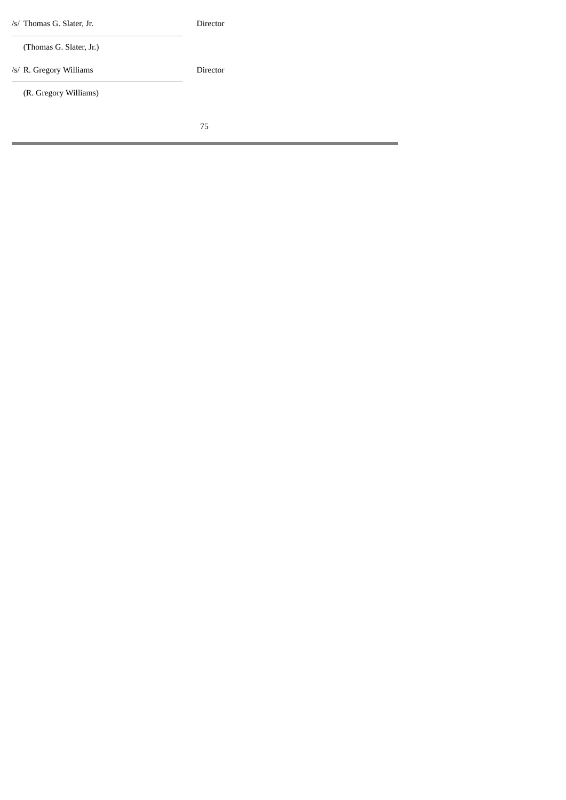| /s/ Thomas G. Slater, Jr. | Director |
|---------------------------|----------|
| (Thomas G. Slater, Jr.)   |          |
| /s/ R. Gregory Williams   | Director |
| (R. Gregory Williams)     |          |
|                           |          |
|                           | 75       |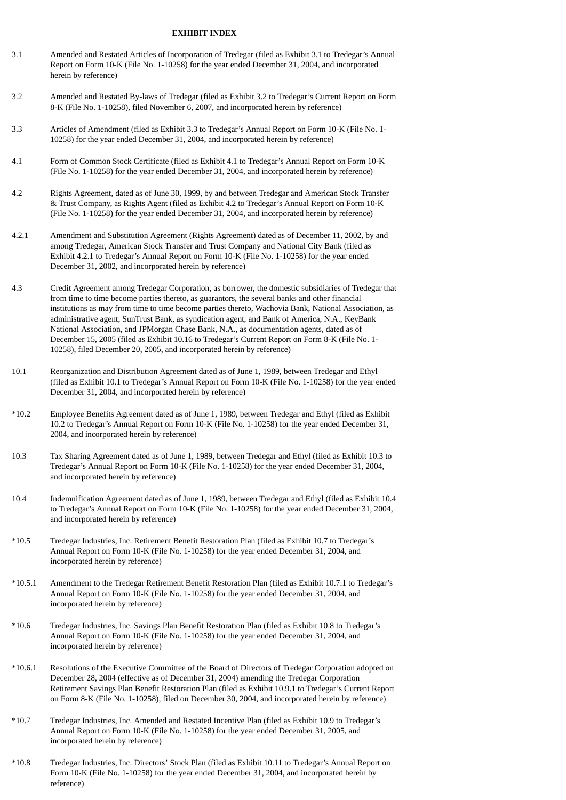#### **EXHIBIT INDEX**

- 3.1 Amended and Restated Articles of Incorporation of Tredegar (filed as Exhibit 3.1 to Tredegar's Annual Report on Form 10-K (File No. 1-10258) for the year ended December 31, 2004, and incorporated herein by reference)
- 3.2 Amended and Restated By-laws of Tredegar (filed as Exhibit 3.2 to Tredegar's Current Report on Form 8-K (File No. 1-10258), filed November 6, 2007, and incorporated herein by reference)
- 3.3 Articles of Amendment (filed as Exhibit 3.3 to Tredegar's Annual Report on Form 10-K (File No. 1- 10258) for the year ended December 31, 2004, and incorporated herein by reference)
- 4.1 Form of Common Stock Certificate (filed as Exhibit 4.1 to Tredegar's Annual Report on Form 10-K (File No. 1-10258) for the year ended December 31, 2004, and incorporated herein by reference)
- 4.2 Rights Agreement, dated as of June 30, 1999, by and between Tredegar and American Stock Transfer & Trust Company, as Rights Agent (filed as Exhibit 4.2 to Tredegar's Annual Report on Form 10-K (File No. 1-10258) for the year ended December 31, 2004, and incorporated herein by reference)
- 4.2.1 Amendment and Substitution Agreement (Rights Agreement) dated as of December 11, 2002, by and among Tredegar, American Stock Transfer and Trust Company and National City Bank (filed as Exhibit 4.2.1 to Tredegar's Annual Report on Form 10-K (File No. 1-10258) for the year ended December 31, 2002, and incorporated herein by reference)
- 4.3 Credit Agreement among Tredegar Corporation, as borrower, the domestic subsidiaries of Tredegar that from time to time become parties thereto, as guarantors, the several banks and other financial institutions as may from time to time become parties thereto, Wachovia Bank, National Association, as administrative agent, SunTrust Bank, as syndication agent, and Bank of America, N.A., KeyBank National Association, and JPMorgan Chase Bank, N.A., as documentation agents, dated as of December 15, 2005 (filed as Exhibit 10.16 to Tredegar's Current Report on Form 8-K (File No. 1- 10258), filed December 20, 2005, and incorporated herein by reference)
- 10.1 Reorganization and Distribution Agreement dated as of June 1, 1989, between Tredegar and Ethyl (filed as Exhibit 10.1 to Tredegar's Annual Report on Form 10-K (File No. 1-10258) for the year ended December 31, 2004, and incorporated herein by reference)
- \*10.2 Employee Benefits Agreement dated as of June 1, 1989, between Tredegar and Ethyl (filed as Exhibit 10.2 to Tredegar's Annual Report on Form 10-K (File No. 1-10258) for the year ended December 31, 2004, and incorporated herein by reference)
- 10.3 Tax Sharing Agreement dated as of June 1, 1989, between Tredegar and Ethyl (filed as Exhibit 10.3 to Tredegar's Annual Report on Form 10-K (File No. 1-10258) for the year ended December 31, 2004, and incorporated herein by reference)
- 10.4 Indemnification Agreement dated as of June 1, 1989, between Tredegar and Ethyl (filed as Exhibit 10.4 to Tredegar's Annual Report on Form 10-K (File No. 1-10258) for the year ended December 31, 2004, and incorporated herein by reference)
- \*10.5 Tredegar Industries, Inc. Retirement Benefit Restoration Plan (filed as Exhibit 10.7 to Tredegar's Annual Report on Form 10-K (File No. 1-10258) for the year ended December 31, 2004, and incorporated herein by reference)
- \*10.5.1 Amendment to the Tredegar Retirement Benefit Restoration Plan (filed as Exhibit 10.7.1 to Tredegar's Annual Report on Form 10-K (File No. 1-10258) for the year ended December 31, 2004, and incorporated herein by reference)
- \*10.6 Tredegar Industries, Inc. Savings Plan Benefit Restoration Plan (filed as Exhibit 10.8 to Tredegar's Annual Report on Form 10-K (File No. 1-10258) for the year ended December 31, 2004, and incorporated herein by reference)
- \*10.6.1 Resolutions of the Executive Committee of the Board of Directors of Tredegar Corporation adopted on December 28, 2004 (effective as of December 31, 2004) amending the Tredegar Corporation Retirement Savings Plan Benefit Restoration Plan (filed as Exhibit 10.9.1 to Tredegar's Current Report on Form 8-K (File No. 1-10258), filed on December 30, 2004, and incorporated herein by reference)
- \*10.7 Tredegar Industries, Inc. Amended and Restated Incentive Plan (filed as Exhibit 10.9 to Tredegar's Annual Report on Form 10-K (File No. 1-10258) for the year ended December 31, 2005, and incorporated herein by reference)
- \*10.8 Tredegar Industries, Inc. Directors' Stock Plan (filed as Exhibit 10.11 to Tredegar's Annual Report on Form 10-K (File No. 1-10258) for the year ended December 31, 2004, and incorporated herein by reference)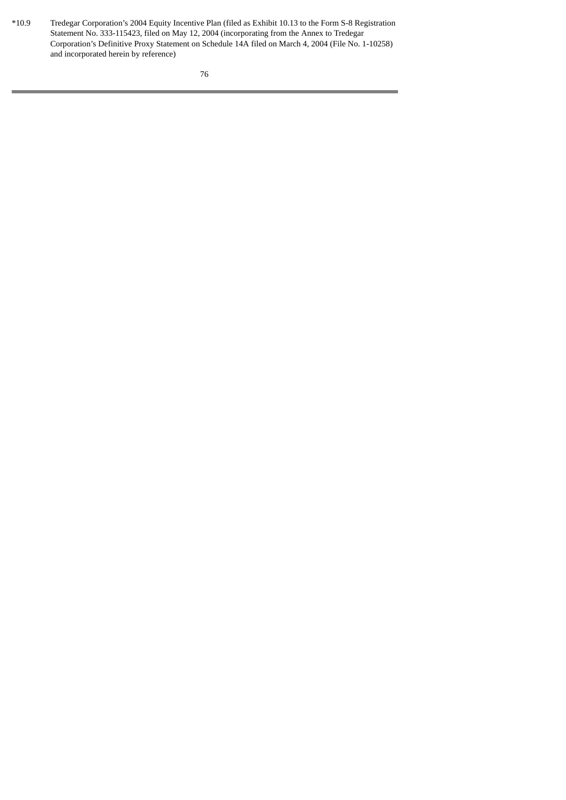\*10.9 Tredegar Corporation's 2004 Equity Incentive Plan (filed as Exhibit 10.13 to the Form S-8 Registration Statement No. 333-115423, filed on May 12, 2004 (incorporating from the Annex to Tredegar Corporation's Definitive Proxy Statement on Schedule 14A filed on March 4, 2004 (File No. 1-10258) and incorporated herein by reference)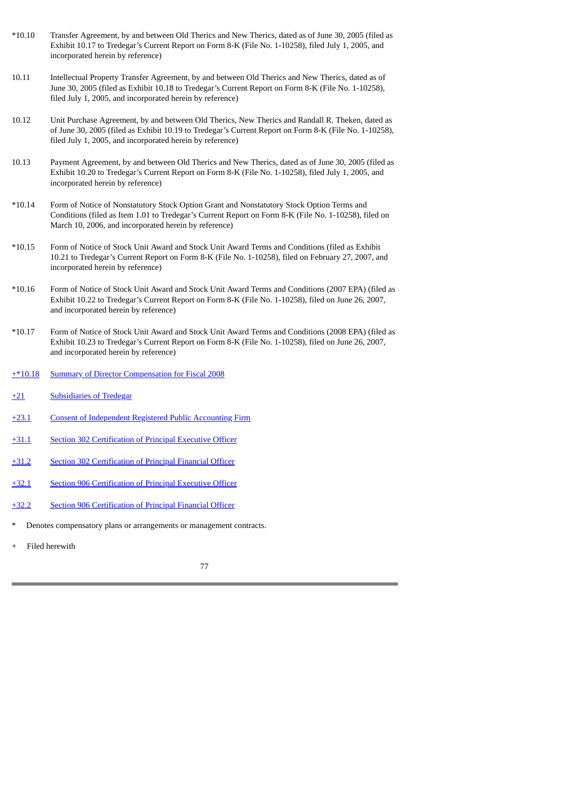- \*10.10 Transfer Agreement, by and between Old Therics and New Therics, dated as of June 30, 2005 (filed as Exhibit 10.17 to Tredegar's Current Report on Form 8-K (File No. 1-10258), filed July 1, 2005, and incorporated herein by reference)
- 10.11 Intellectual Property Transfer Agreement, by and between Old Therics and New Therics, dated as of June 30, 2005 (filed as Exhibit 10.18 to Tredegar's Current Report on Form 8-K (File No. 1-10258), filed July 1, 2005, and incorporated herein by reference)
- 10.12 Unit Purchase Agreement, by and between Old Therics, New Therics and Randall R. Theken, dated as of June 30, 2005 (filed as Exhibit 10.19 to Tredegar's Current Report on Form 8-K (File No. 1-10258), filed July 1, 2005, and incorporated herein by reference)
- 10.13 Payment Agreement, by and between Old Therics and New Therics, dated as of June 30, 2005 (filed as Exhibit 10.20 to Tredegar's Current Report on Form 8-K (File No. 1-10258), filed July 1, 2005, and incorporated herein by reference)
- \*10.14 Form of Notice of Nonstatutory Stock Option Grant and Nonstatutory Stock Option Terms and Conditions (filed as Item 1.01 to Tredegar's Current Report on Form 8-K (File No. 1-10258), filed on March 10, 2006, and incorporated herein by reference)
- \*10.15 Form of Notice of Stock Unit Award and Stock Unit Award Terms and Conditions (filed as Exhibit 10.21 to Tredegar's Current Report on Form 8-K (File No. 1-10258), filed on February 27, 2007, and incorporated herein by reference)
- \*10.16 Form of Notice of Stock Unit Award and Stock Unit Award Terms and Conditions (2007 EPA) (filed as Exhibit 10.22 to Tredegar's Current Report on Form 8-K (File No. 1-10258), filed on June 26, 2007, and incorporated herein by reference)
- \*10.17 Form of Notice of Stock Unit Award and Stock Unit Award Terms and Conditions (2008 EPA) (filed as Exhibit 10.23 to Tredegar's Current Report on Form 8-K (File No. 1-10258), filed on June 26, 2007, and incorporated herein by reference)
- +\*10.18 Summary of Director Compensation for Fiscal 2008
- +21 Subsidiaries of Tredegar
- +23.1 Consent of Independent Registered Public Accounting Firm
- +31.1 Section 302 Certification of Principal Executive Officer
- +31.2 Section 302 Certification of Principal Financial Officer
- +32.1 Section 906 Certification of Principal Executive Officer
- +32.2 Section 906 Certification of Principal Financial Officer
- Denotes compensatory plans or arrangements or management contracts.
- Filed herewith

77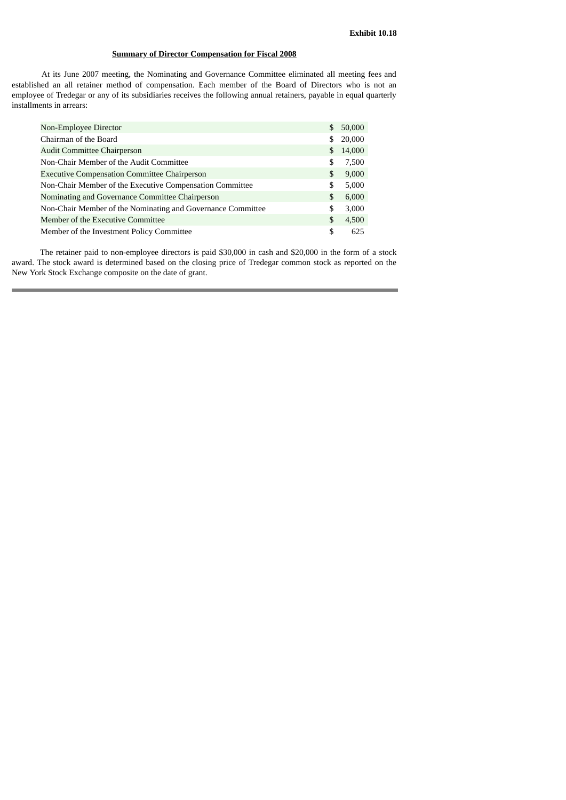# **Summary of Director Compensation for Fiscal 2008**

At its June 2007 meeting, the Nominating and Governance Committee eliminated all meeting fees and established an all retainer method of compensation. Each member of the Board of Directors who is not an employee of Tredegar or any of its subsidiaries receives the following annual retainers, payable in equal quarterly installments in arrears:

| Non-Employee Director                                       | S   | 50,000 |
|-------------------------------------------------------------|-----|--------|
| Chairman of the Board                                       | S   | 20,000 |
| <b>Audit Committee Chairperson</b>                          | \$  | 14,000 |
| Non-Chair Member of the Audit Committee                     | \$  | 7,500  |
| <b>Executive Compensation Committee Chairperson</b>         | \$  | 9,000  |
| Non-Chair Member of the Executive Compensation Committee    | \$  | 5,000  |
| Nominating and Governance Committee Chairperson             | \$. | 6,000  |
| Non-Chair Member of the Nominating and Governance Committee | S   | 3,000  |
| Member of the Executive Committee                           | \$  | 4,500  |
| Member of the Investment Policy Committee                   | \$  | 625    |

The retainer paid to non-employee directors is paid \$30,000 in cash and \$20,000 in the form of a stock award. The stock award is determined based on the closing price of Tredegar common stock as reported on the New York Stock Exchange composite on the date of grant.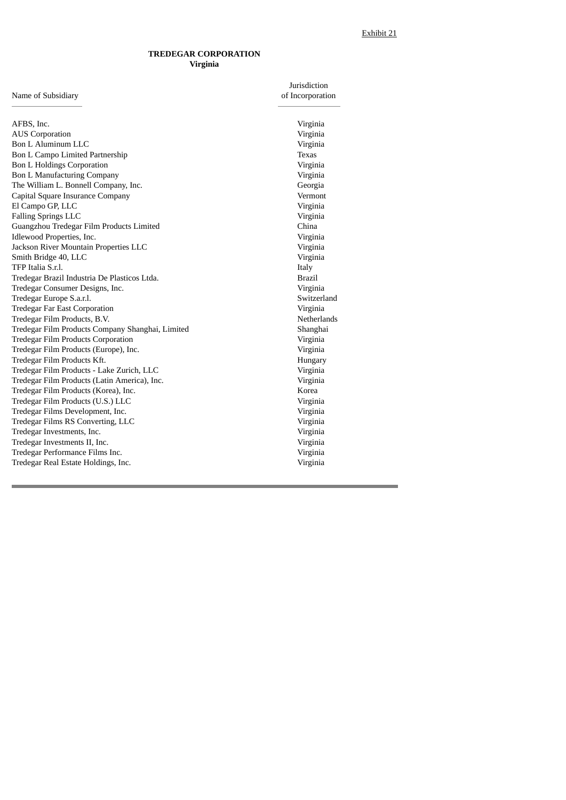Exhibit 21

# **TREDEGAR CORPORATION Virginia**

| Name of Subsidiary                               | Jurisdiction<br>of Incorporation |
|--------------------------------------------------|----------------------------------|
| AFBS, Inc.                                       | Virginia                         |
| <b>AUS</b> Corporation                           | Virginia                         |
| <b>Bon L Aluminum LLC</b>                        | Virginia                         |
| <b>Bon L Campo Limited Partnership</b>           | <b>Texas</b>                     |
| <b>Bon L Holdings Corporation</b>                | Virginia                         |
| <b>Bon L Manufacturing Company</b>               | Virginia                         |
| The William L. Bonnell Company, Inc.             | Georgia                          |
| Capital Square Insurance Company                 | Vermont                          |
| El Campo GP, LLC                                 | Virginia                         |
| Falling Springs LLC                              | Virginia                         |
| Guangzhou Tredegar Film Products Limited         | China                            |
| Idlewood Properties, Inc.                        | Virginia                         |
| Jackson River Mountain Properties LLC            | Virginia                         |
| Smith Bridge 40, LLC                             | Virginia                         |
| TFP Italia S.r.l.                                | Italy                            |
| Tredegar Brazil Industria De Plasticos Ltda.     | Brazil                           |
| Tredegar Consumer Designs, Inc.                  | Virginia                         |
| Tredegar Europe S.a.r.l.                         | Switzerland                      |
| Tredegar Far East Corporation                    | Virginia                         |
| Tredegar Film Products, B.V.                     | <b>Netherlands</b>               |
| Tredegar Film Products Company Shanghai, Limited | Shanghai                         |
| <b>Tredegar Film Products Corporation</b>        | Virginia                         |
| Tredegar Film Products (Europe), Inc.            | Virginia                         |
| Tredegar Film Products Kft.                      | Hungary                          |
| Tredegar Film Products - Lake Zurich, LLC        | Virginia                         |
| Tredegar Film Products (Latin America), Inc.     | Virginia                         |
| Tredegar Film Products (Korea), Inc.             | Korea                            |
| Tredegar Film Products (U.S.) LLC                | Virginia                         |
| Tredegar Films Development, Inc.                 | Virginia                         |
| Tredegar Films RS Converting, LLC                | Virginia                         |
| Tredegar Investments, Inc.                       | Virginia                         |
| Tredegar Investments II, Inc.                    | Virginia                         |
| Tredegar Performance Films Inc.                  | Virginia                         |
| Tredegar Real Estate Holdings, Inc.              | Virginia                         |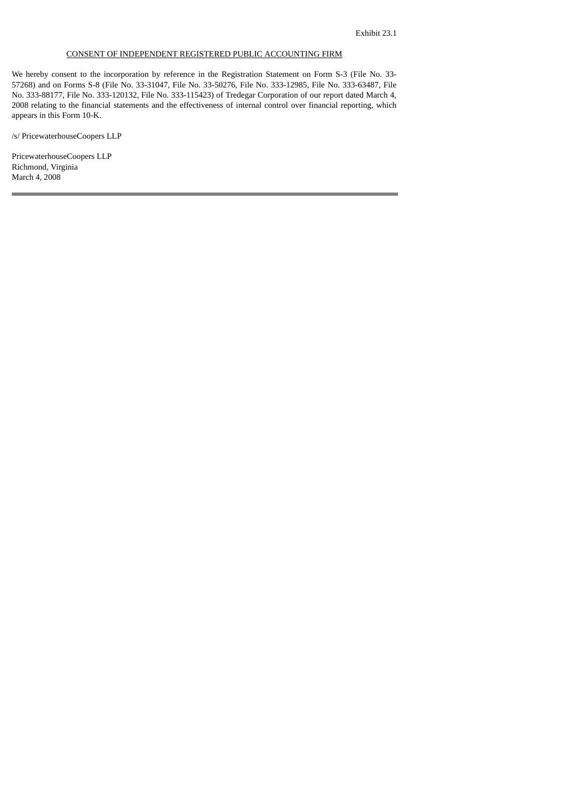# CONSENT OF INDEPENDENT REGISTERED PUBLIC ACCOUNTING FIRM

We hereby consent to the incorporation by reference in the Registration Statement on Form S-3 (File No. 33- 57268) and on Forms S-8 (File No. 33-31047, File No. 33-50276, File No. 333-12985, File No. 333-63487, File No. 333-88177, File No. 333-120132, File No. 333-115423) of Tredegar Corporation of our report dated March 4, 2008 relating to the financial statements and the effectiveness of internal control over financial reporting, which appears in this Form 10-K.

/s/ PricewaterhouseCoopers LLP

PricewaterhouseCoopers LLP Richmond, Virginia March 4, 2008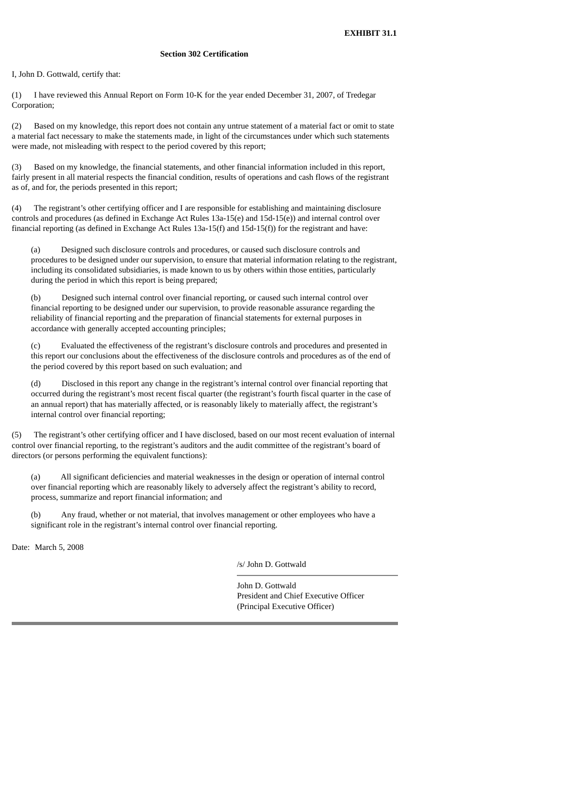### **Section 302 Certification**

I, John D. Gottwald, certify that:

(1) I have reviewed this Annual Report on Form 10-K for the year ended December 31, 2007, of Tredegar Corporation;

(2) Based on my knowledge, this report does not contain any untrue statement of a material fact or omit to state a material fact necessary to make the statements made, in light of the circumstances under which such statements were made, not misleading with respect to the period covered by this report;

(3) Based on my knowledge, the financial statements, and other financial information included in this report, fairly present in all material respects the financial condition, results of operations and cash flows of the registrant as of, and for, the periods presented in this report;

(4) The registrant's other certifying officer and I are responsible for establishing and maintaining disclosure controls and procedures (as defined in Exchange Act Rules 13a-15(e) and 15d-15(e)) and internal control over financial reporting (as defined in Exchange Act Rules 13a-15(f) and 15d-15(f)) for the registrant and have:

(a) Designed such disclosure controls and procedures, or caused such disclosure controls and procedures to be designed under our supervision, to ensure that material information relating to the registrant, including its consolidated subsidiaries, is made known to us by others within those entities, particularly during the period in which this report is being prepared;

(b) Designed such internal control over financial reporting, or caused such internal control over financial reporting to be designed under our supervision, to provide reasonable assurance regarding the reliability of financial reporting and the preparation of financial statements for external purposes in accordance with generally accepted accounting principles;

(c) Evaluated the effectiveness of the registrant's disclosure controls and procedures and presented in this report our conclusions about the effectiveness of the disclosure controls and procedures as of the end of the period covered by this report based on such evaluation; and

(d) Disclosed in this report any change in the registrant's internal control over financial reporting that occurred during the registrant's most recent fiscal quarter (the registrant's fourth fiscal quarter in the case of an annual report) that has materially affected, or is reasonably likely to materially affect, the registrant's internal control over financial reporting;

(5) The registrant's other certifying officer and I have disclosed, based on our most recent evaluation of internal control over financial reporting, to the registrant's auditors and the audit committee of the registrant's board of directors (or persons performing the equivalent functions):

(a) All significant deficiencies and material weaknesses in the design or operation of internal control over financial reporting which are reasonably likely to adversely affect the registrant's ability to record, process, summarize and report financial information; and

(b) Any fraud, whether or not material, that involves management or other employees who have a significant role in the registrant's internal control over financial reporting.

Date: March 5, 2008

/s/ John D. Gottwald

John D. Gottwald President and Chief Executive Officer (Principal Executive Officer)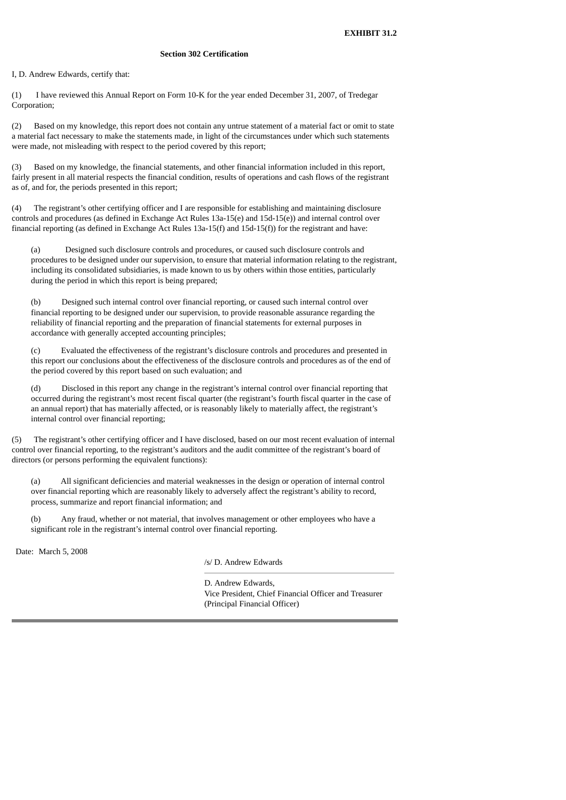### **Section 302 Certification**

I, D. Andrew Edwards, certify that:

(1) I have reviewed this Annual Report on Form 10-K for the year ended December 31, 2007, of Tredegar Corporation;

(2) Based on my knowledge, this report does not contain any untrue statement of a material fact or omit to state a material fact necessary to make the statements made, in light of the circumstances under which such statements were made, not misleading with respect to the period covered by this report;

(3) Based on my knowledge, the financial statements, and other financial information included in this report, fairly present in all material respects the financial condition, results of operations and cash flows of the registrant as of, and for, the periods presented in this report;

(4) The registrant's other certifying officer and I are responsible for establishing and maintaining disclosure controls and procedures (as defined in Exchange Act Rules 13a-15(e) and 15d-15(e)) and internal control over financial reporting (as defined in Exchange Act Rules 13a-15(f) and 15d-15(f)) for the registrant and have:

(a) Designed such disclosure controls and procedures, or caused such disclosure controls and procedures to be designed under our supervision, to ensure that material information relating to the registrant, including its consolidated subsidiaries, is made known to us by others within those entities, particularly during the period in which this report is being prepared;

(b) Designed such internal control over financial reporting, or caused such internal control over financial reporting to be designed under our supervision, to provide reasonable assurance regarding the reliability of financial reporting and the preparation of financial statements for external purposes in accordance with generally accepted accounting principles;

(c) Evaluated the effectiveness of the registrant's disclosure controls and procedures and presented in this report our conclusions about the effectiveness of the disclosure controls and procedures as of the end of the period covered by this report based on such evaluation; and

(d) Disclosed in this report any change in the registrant's internal control over financial reporting that occurred during the registrant's most recent fiscal quarter (the registrant's fourth fiscal quarter in the case of an annual report) that has materially affected, or is reasonably likely to materially affect, the registrant's internal control over financial reporting;

The registrant's other certifying officer and I have disclosed, based on our most recent evaluation of internal control over financial reporting, to the registrant's auditors and the audit committee of the registrant's board of directors (or persons performing the equivalent functions):

(a) All significant deficiencies and material weaknesses in the design or operation of internal control over financial reporting which are reasonably likely to adversely affect the registrant's ability to record, process, summarize and report financial information; and

(b) Any fraud, whether or not material, that involves management or other employees who have a significant role in the registrant's internal control over financial reporting.

Date: March 5, 2008

/s/ D. Andrew Edwards

D. Andrew Edwards, Vice President, Chief Financial Officer and Treasurer (Principal Financial Officer)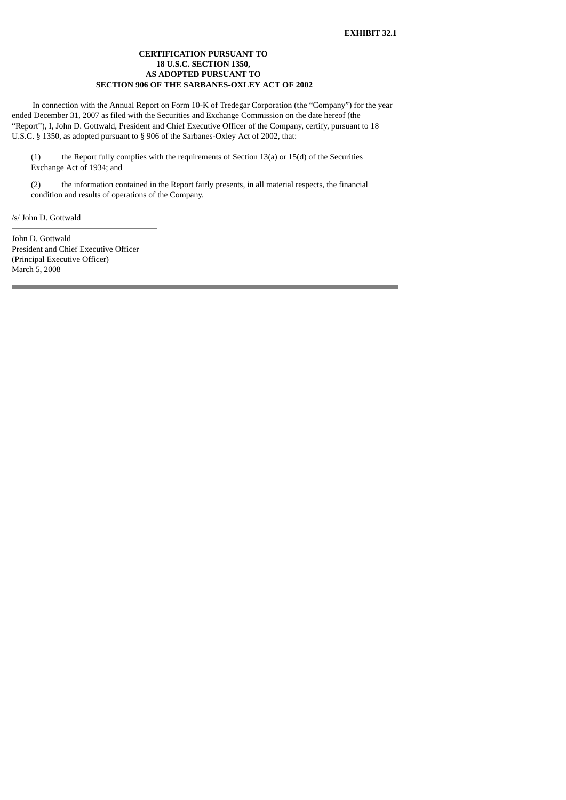### **CERTIFICATION PURSUANT TO 18 U.S.C. SECTION 1350, AS ADOPTED PURSUANT TO SECTION 906 OF THE SARBANES-OXLEY ACT OF 2002**

 In connection with the Annual Report on Form 10-K of Tredegar Corporation (the "Company") for the year ended December 31, 2007 as filed with the Securities and Exchange Commission on the date hereof (the "Report"), I, John D. Gottwald, President and Chief Executive Officer of the Company, certify, pursuant to 18 U.S.C. § 1350, as adopted pursuant to § 906 of the Sarbanes-Oxley Act of 2002, that:

(1) the Report fully complies with the requirements of Section 13(a) or 15(d) of the Securities Exchange Act of 1934; and

(2) the information contained in the Report fairly presents, in all material respects, the financial condition and results of operations of the Company.

/s/ John D. Gottwald

John D. Gottwald President and Chief Executive Officer (Principal Executive Officer) March 5, 2008